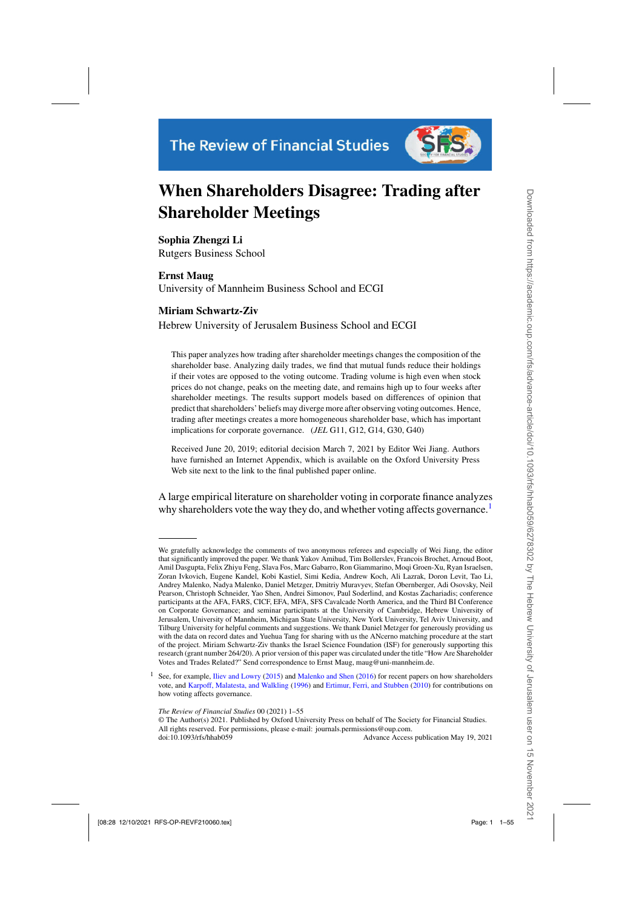

# **When Shareholders Disagree: Trading after Shareholder Meetings**

**Sophia Zhengzi Li** Rutgers Business School

**Ernst Maug** University of Mannheim Business School and ECGI

### **Miriam Schwartz-Ziv**

Hebrew University of Jerusalem Business School and ECGI

This paper analyzes how trading after shareholder meetings changes the composition of the shareholder base. Analyzing daily trades, we find that mutual funds reduce their holdings if their votes are opposed to the voting outcome. Trading volume is high even when stock prices do not change, peaks on the meeting date, and remains high up to four weeks after shareholder meetings. The results support models based on differences of opinion that predict that shareholders' beliefs may diverge more after observing voting outcomes. Hence, trading after meetings creates a more homogeneous shareholder base, which has important implications for corporate governance. (*JEL* G11, G12, G14, G30, G40)

Received June 20, 2019; editorial decision March 7, 2021 by Editor Wei Jiang. Authors have furnished an Internet Appendix, which is available on the Oxford University Press Web site next to the link to the final published paper online.

A large empirical literature on shareholder voting in corporate finance analyzes why shareholders vote the way they do, and whether voting affects governance.<sup>1</sup>

© The Author(s) 2021. Published by Oxford University Press on behalf of The Society for Financial Studies. All rights reserved. For permissions, please e-mail: journals.permissions@oup.com.

doi:10.1093/rfs/hhab059 Advance Access publication May 19, 2021

We gratefully acknowledge the comments of two anonymous referees and especially of Wei Jiang, the editor that significantly improved the paper. We thank Yakov Amihud, Tim Bollerslev, Francois Brochet, Arnoud Boot, Amil Dasgupta, Felix Zhiyu Feng, Slava Fos, Marc Gabarro, Ron Giammarino, Moqi Groen-Xu, Ryan Israelsen, Zoran Ivkovich, Eugene Kandel, Kobi Kastiel, Simi Kedia, Andrew Koch, Ali Lazrak, Doron Levit, Tao Li, Andrey Malenko, Nadya Malenko, Daniel Metzger, Dmitriy Muravyev, Stefan Obernberger, Adi Osovsky, Neil Pearson, Christoph Schneider, Yao Shen, Andrei Simonov, Paul Soderlind, and Kostas Zachariadis; conference participants at the AFA, FARS, CICF, EFA, MFA, SFS Cavalcade North America, and the Third BI Conference on Corporate Governance; and seminar participants at the University of Cambridge, Hebrew University of Jerusalem, University of Mannheim, Michigan State University, New York University, Tel Aviv University, and Tilburg University for helpful comments and suggestions. We thank Daniel Metzger for generously providing us with the data on record dates and Yuehua Tang for sharing with us the ANcerno matching procedure at the start of the project. Miriam Schwartz-Ziv thanks the Israel Science Foundation (ISF) for generously supporting this research (grant number 264/20). A prior version of this paper was circulated under the title "How Are Shareholder Votes and Trades Related?" Send correspondence to Ernst Maug, maug@uni-mannheim.de.

See, for example, [Iliev and Lowry](#page-52-0) [\(2015\)](#page-52-0) and [Malenko and Shen](#page-53-0) [\(2016\)](#page-53-0) for recent papers on how shareholders vote, and [Karpoff, Malatesta, and Walkling](#page-52-0) [\(1996](#page-52-0)) and [Ertimur, Ferri, and Stubben](#page-51-0) [\(2010\)](#page-51-0) for contributions on how voting affects governance.

*The Review of Financial Studies* 00 (2021) 1–55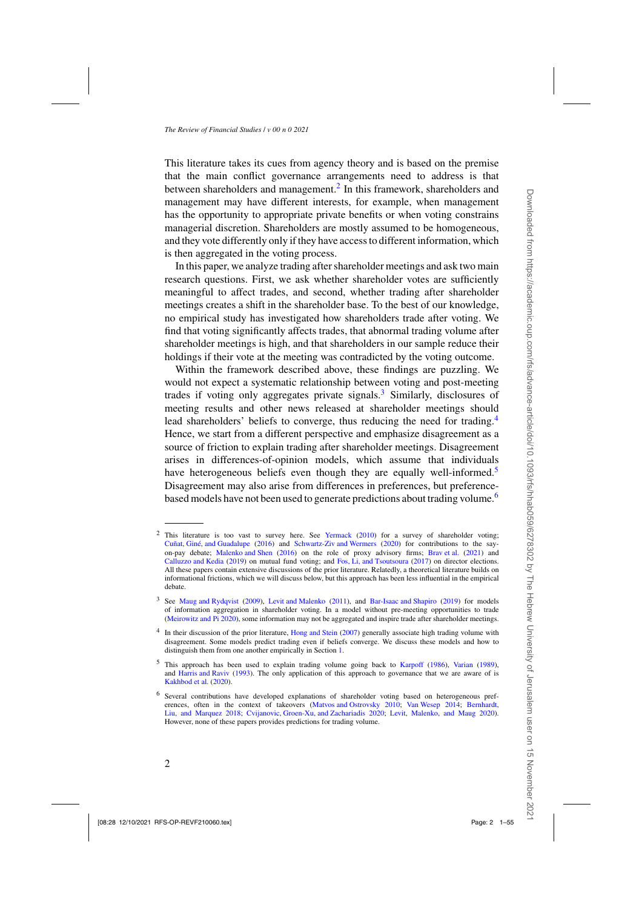This literature takes its cues from agency theory and is based on the premise that the main conflict governance arrangements need to address is that between shareholders and management.<sup>2</sup> In this framework, shareholders and management may have different interests, for example, when management has the opportunity to appropriate private benefits or when voting constrains managerial discretion. Shareholders are mostly assumed to be homogeneous, and they vote differently only if they have access to different information, which is then aggregated in the voting process.

In this paper, we analyze trading after shareholder meetings and ask two main research questions. First, we ask whether shareholder votes are sufficiently meaningful to affect trades, and second, whether trading after shareholder meetings creates a shift in the shareholder base. To the best of our knowledge, no empirical study has investigated how shareholders trade after voting. We find that voting significantly affects trades, that abnormal trading volume after shareholder meetings is high, and that shareholders in our sample reduce their holdings if their vote at the meeting was contradicted by the voting outcome.

Within the framework described above, these findings are puzzling. We would not expect a systematic relationship between voting and post-meeting trades if voting only aggregates private signals.<sup>3</sup> Similarly, disclosures of meeting results and other news released at shareholder meetings should lead shareholders' beliefs to converge, thus reducing the need for trading.<sup>4</sup> Hence, we start from a different perspective and emphasize disagreement as a source of friction to explain trading after shareholder meetings. Disagreement arises in differences-of-opinion models, which assume that individuals have heterogeneous beliefs even though they are equally well-informed.<sup>5</sup> Disagreement may also arise from differences in preferences, but preferencebased models have not been used to generate predictions about trading volume.<sup>6</sup>

<sup>&</sup>lt;sup>2</sup> This literature is too vast to survey here. See [Yermack](#page-54-0) [\(2010](#page-54-0)) for a survey of shareholder voting; [Cuñat, Giné, and Guadalupe](#page-51-0) [\(2016\)](#page-51-0) and [Schwartz-Ziv and Wermers](#page-53-0) [\(2020](#page-53-0)) for contributions to the sayon-pay debate; [Malenko and Shen](#page-53-0) [\(2016\)](#page-53-0) on the role of proxy advisory firms; [Brav et al.](#page-50-0) [\(2021\)](#page-50-0) and [Calluzzo and Kedia](#page-51-0) [\(2019\)](#page-51-0) on mutual fund voting; and [Fos, Li, and Tsoutsoura](#page-51-0) [\(2017](#page-51-0)) on director elections. All these papers contain extensive discussions of the prior literature. Relatedly, a theoretical literature builds on informational frictions, which we will discuss below, but this approach has been less influential in the empirical debate.

<sup>3</sup> See [Maug and Rydqvist](#page-53-0) [\(2009\)](#page-53-0), [Levit and Malenko](#page-53-0) [\(2011](#page-53-0)), and [Bar-Isaac and Shapiro](#page-50-0) [\(2019](#page-50-0)) for models of information aggregation in shareholder voting. In a model without pre-meeting opportunities to trade [\(Meirowitz and Pi 2020](#page-53-0)), some information may not be aggregated and inspire trade after shareholder meetings.

<sup>&</sup>lt;sup>4</sup> In their discussion of the prior literature, [Hong and Stein](#page-52-0) [\(2007\)](#page-52-0) generally associate high trading volume with disagreement. Some models predict trading even if beliefs converge. We discuss these models and how to distinguish them from one another empirically in Section [1.](#page-6-0)

<sup>5</sup> This approach has been used to explain trading volume going back to [Karpoff](#page-52-0) [\(1986](#page-52-0)), [Varian](#page-53-0) [\(1989](#page-53-0)), and [Harris and Raviv](#page-52-0) [\(1993\)](#page-52-0). The only application of this approach to governance that we are aware of is [Kakhbod et al.](#page-52-0) [\(2020](#page-52-0)).

<sup>6</sup> Several contributions have developed explanations of shareholder voting based on heterogeneous preferences, often in the context of takeovers [\(Matvos and Ostrovsky 2010](#page-53-0); [Van Wesep 2014](#page-53-0); [Bernhardt,](#page-50-0) [Liu, and Marquez 2018;](#page-50-0) [Cvijanovic, Groen-Xu, and Zachariadis 2020;](#page-51-0) [Levit, Malenko, and Maug 2020\)](#page-53-0). However, none of these papers provides predictions for trading volume.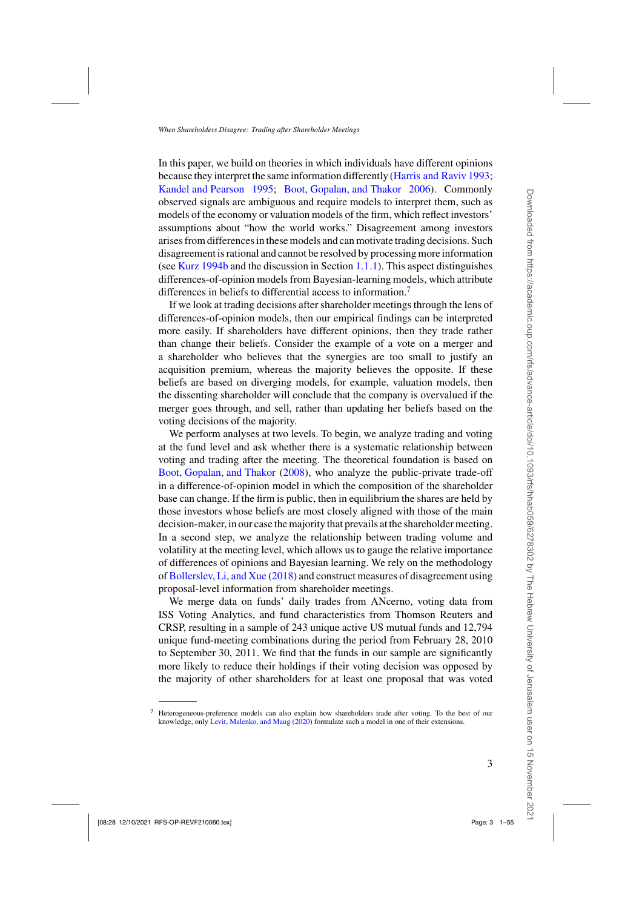In this paper, we build on theories in which individuals have different opinions because they interpret the same information differently [\(Harris and Raviv 1993;](#page-52-0) [Kandel and Pearson 1995](#page-52-0); [Boot, Gopalan, and Thakor 2006\)](#page-50-0). Commonly observed signals are ambiguous and require models to interpret them, such as models of the economy or valuation models of the firm, which reflect investors' assumptions about "how the world works." Disagreement among investors arises from differences in these models and can motivate trading decisions. Such disagreement is rational and cannot be resolved by processing more information (see [Kurz 1994b](#page-53-0) and the discussion in Section [1.1.1\)](#page-6-0). This aspect distinguishes differences-of-opinion models from Bayesian-learning models, which attribute differences in beliefs to differential access to information.<sup>7</sup>

If we look at trading decisions after shareholder meetings through the lens of differences-of-opinion models, then our empirical findings can be interpreted more easily. If shareholders have different opinions, then they trade rather than change their beliefs. Consider the example of a vote on a merger and a shareholder who believes that the synergies are too small to justify an acquisition premium, whereas the majority believes the opposite. If these beliefs are based on diverging models, for example, valuation models, then the dissenting shareholder will conclude that the company is overvalued if the merger goes through, and sell, rather than updating her beliefs based on the voting decisions of the majority.

We perform analyses at two levels. To begin, we analyze trading and voting at the fund level and ask whether there is a systematic relationship between voting and trading after the meeting. The theoretical foundation is based on [Boot, Gopalan, and Thakor](#page-50-0) [\(2008](#page-50-0)), who analyze the public-private trade-off in a difference-of-opinion model in which the composition of the shareholder base can change. If the firm is public, then in equilibrium the shares are held by those investors whose beliefs are most closely aligned with those of the main decision-maker, in our case the majority that prevails at the shareholder meeting. In a second step, we analyze the relationship between trading volume and volatility at the meeting level, which allows us to gauge the relative importance of differences of opinions and Bayesian learning. We rely on the methodology of [Bollerslev, Li, and Xue](#page-50-0) [\(2018\)](#page-50-0) and construct measures of disagreement using proposal-level information from shareholder meetings.

We merge data on funds' daily trades from ANcerno, voting data from ISS Voting Analytics, and fund characteristics from Thomson Reuters and CRSP, resulting in a sample of 243 unique active US mutual funds and 12,794 unique fund-meeting combinations during the period from February 28, 2010 to September 30, 2011. We find that the funds in our sample are significantly more likely to reduce their holdings if their voting decision was opposed by the majority of other shareholders for at least one proposal that was voted

<sup>7</sup> Heterogeneous-preference models can also explain how shareholders trade after voting. To the best of our knowledge, only [Levit, Malenko, and Maug](#page-53-0) [\(2020\)](#page-53-0) formulate such a model in one of their extensions.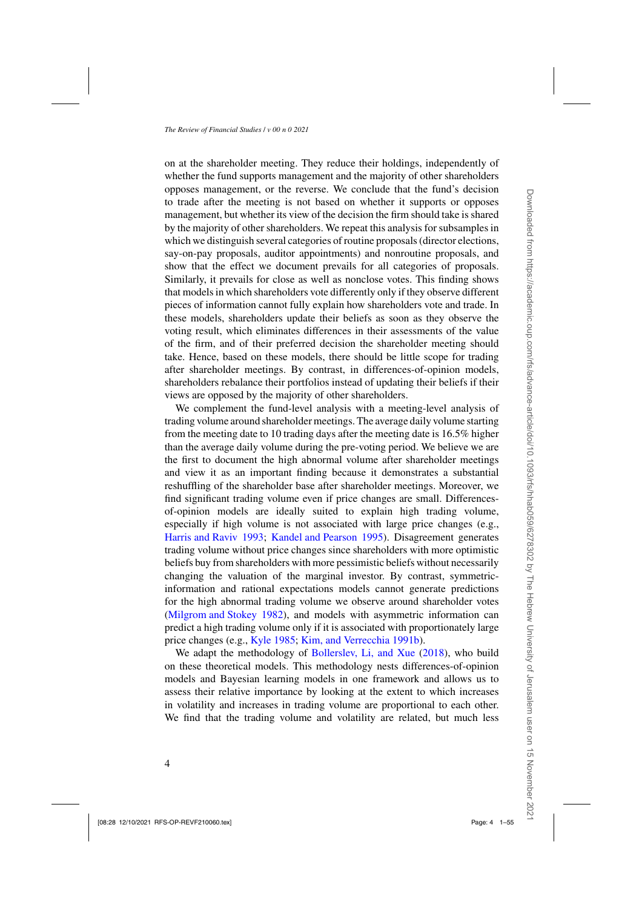on at the shareholder meeting. They reduce their holdings, independently of whether the fund supports management and the majority of other shareholders opposes management, or the reverse. We conclude that the fund's decision to trade after the meeting is not based on whether it supports or opposes management, but whether its view of the decision the firm should take is shared by the majority of other shareholders. We repeat this analysis for subsamples in which we distinguish several categories of routine proposals (director elections, say-on-pay proposals, auditor appointments) and nonroutine proposals, and show that the effect we document prevails for all categories of proposals. Similarly, it prevails for close as well as nonclose votes. This finding shows that models in which shareholders vote differently only if they observe different pieces of information cannot fully explain how shareholders vote and trade. In these models, shareholders update their beliefs as soon as they observe the voting result, which eliminates differences in their assessments of the value of the firm, and of their preferred decision the shareholder meeting should take. Hence, based on these models, there should be little scope for trading after shareholder meetings. By contrast, in differences-of-opinion models, shareholders rebalance their portfolios instead of updating their beliefs if their views are opposed by the majority of other shareholders.

We complement the fund-level analysis with a meeting-level analysis of trading volume around shareholder meetings. The average daily volume starting from the meeting date to 10 trading days after the meeting date is 16.5% higher than the average daily volume during the pre-voting period. We believe we are the first to document the high abnormal volume after shareholder meetings and view it as an important finding because it demonstrates a substantial reshuffling of the shareholder base after shareholder meetings. Moreover, we find significant trading volume even if price changes are small. Differencesof-opinion models are ideally suited to explain high trading volume, especially if high volume is not associated with large price changes (e.g., [Harris and Raviv 1993](#page-52-0); [Kandel and Pearson 1995\)](#page-52-0). Disagreement generates trading volume without price changes since shareholders with more optimistic beliefs buy from shareholders with more pessimistic beliefs without necessarily changing the valuation of the marginal investor. By contrast, symmetricinformation and rational expectations models cannot generate predictions for the high abnormal trading volume we observe around shareholder votes [\(Milgrom and Stokey 1982](#page-53-0)), and models with asymmetric information can predict a high trading volume only if it is associated with proportionately large price changes (e.g., [Kyle 1985;](#page-53-0) [Kim, and Verrecchia 1991b](#page-53-0)).

We adapt the methodology of [Bollerslev, Li, and Xue](#page-50-0) [\(2018](#page-50-0)), who build on these theoretical models. This methodology nests differences-of-opinion models and Bayesian learning models in one framework and allows us to assess their relative importance by looking at the extent to which increases in volatility and increases in trading volume are proportional to each other. We find that the trading volume and volatility are related, but much less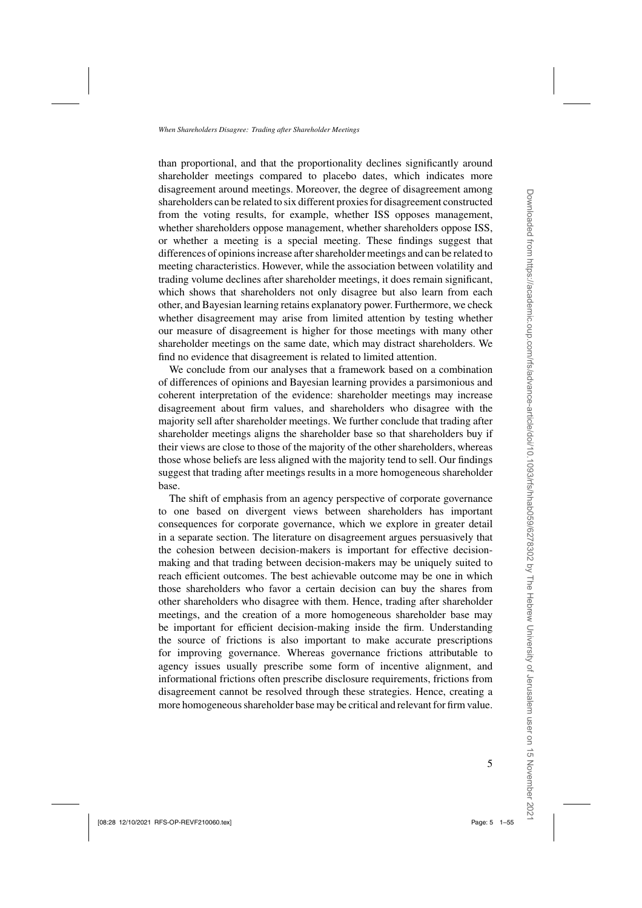than proportional, and that the proportionality declines significantly around shareholder meetings compared to placebo dates, which indicates more disagreement around meetings. Moreover, the degree of disagreement among shareholders can be related to six different proxies for disagreement constructed from the voting results, for example, whether ISS opposes management, whether shareholders oppose management, whether shareholders oppose ISS, or whether a meeting is a special meeting. These findings suggest that differences of opinions increase after shareholder meetings and can be related to meeting characteristics. However, while the association between volatility and trading volume declines after shareholder meetings, it does remain significant, which shows that shareholders not only disagree but also learn from each other, and Bayesian learning retains explanatory power. Furthermore, we check whether disagreement may arise from limited attention by testing whether our measure of disagreement is higher for those meetings with many other shareholder meetings on the same date, which may distract shareholders. We find no evidence that disagreement is related to limited attention.

We conclude from our analyses that a framework based on a combination of differences of opinions and Bayesian learning provides a parsimonious and coherent interpretation of the evidence: shareholder meetings may increase disagreement about firm values, and shareholders who disagree with the majority sell after shareholder meetings. We further conclude that trading after shareholder meetings aligns the shareholder base so that shareholders buy if their views are close to those of the majority of the other shareholders, whereas those whose beliefs are less aligned with the majority tend to sell. Our findings suggest that trading after meetings results in a more homogeneous shareholder base.

The shift of emphasis from an agency perspective of corporate governance to one based on divergent views between shareholders has important consequences for corporate governance, which we explore in greater detail in a separate section. The literature on disagreement argues persuasively that the cohesion between decision-makers is important for effective decisionmaking and that trading between decision-makers may be uniquely suited to reach efficient outcomes. The best achievable outcome may be one in which those shareholders who favor a certain decision can buy the shares from other shareholders who disagree with them. Hence, trading after shareholder meetings, and the creation of a more homogeneous shareholder base may be important for efficient decision-making inside the firm. Understanding the source of frictions is also important to make accurate prescriptions for improving governance. Whereas governance frictions attributable to agency issues usually prescribe some form of incentive alignment, and informational frictions often prescribe disclosure requirements, frictions from disagreement cannot be resolved through these strategies. Hence, creating a more homogeneous shareholder base may be critical and relevant for firm value.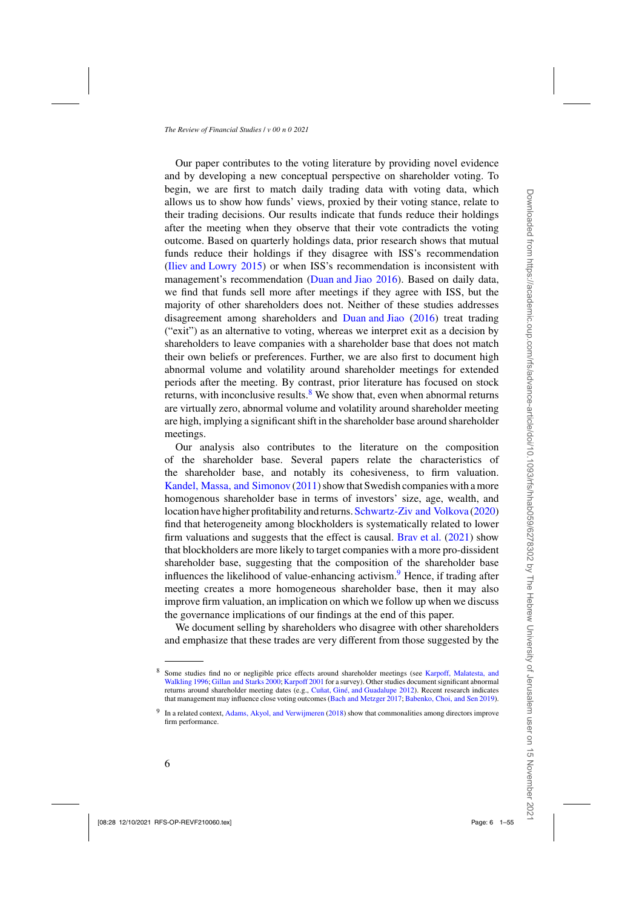Our paper contributes to the voting literature by providing novel evidence and by developing a new conceptual perspective on shareholder voting. To begin, we are first to match daily trading data with voting data, which allows us to show how funds' views, proxied by their voting stance, relate to their trading decisions. Our results indicate that funds reduce their holdings after the meeting when they observe that their vote contradicts the voting outcome. Based on quarterly holdings data, prior research shows that mutual funds reduce their holdings if they disagree with ISS's recommendation [\(Iliev and Lowry 2015\)](#page-52-0) or when ISS's recommendation is inconsistent with management's recommendation [\(Duan and Jiao 2016](#page-51-0)). Based on daily data, we find that funds sell more after meetings if they agree with ISS, but the majority of other shareholders does not. Neither of these studies addresses disagreement among shareholders and [Duan and Jiao](#page-51-0) [\(2016\)](#page-51-0) treat trading ("exit") as an alternative to voting, whereas we interpret exit as a decision by shareholders to leave companies with a shareholder base that does not match their own beliefs or preferences. Further, we are also first to document high abnormal volume and volatility around shareholder meetings for extended periods after the meeting. By contrast, prior literature has focused on stock returns, with inconclusive results. $8$  We show that, even when abnormal returns are virtually zero, abnormal volume and volatility around shareholder meeting are high, implying a significant shift in the shareholder base around shareholder meetings.

Our analysis also contributes to the literature on the composition of the shareholder base. Several papers relate the characteristics of the shareholder base, and notably its cohesiveness, to firm valuation. [Kandel, Massa, and Simonov](#page-52-0) [\(2011\)](#page-52-0) show that Swedish companies with a more homogenous shareholder base in terms of investors' size, age, wealth, and location have higher profitability and returns. [Schwartz-Ziv and Volkova](#page-53-0) [\(2020\)](#page-53-0) find that heterogeneity among blockholders is systematically related to lower firm valuations and suggests that the effect is causal. [Brav et al.](#page-50-0) [\(2021](#page-50-0)) show that blockholders are more likely to target companies with a more pro-dissident shareholder base, suggesting that the composition of the shareholder base influences the likelihood of value-enhancing activism.<sup>9</sup> Hence, if trading after meeting creates a more homogeneous shareholder base, then it may also improve firm valuation, an implication on which we follow up when we discuss the governance implications of our findings at the end of this paper.

We document selling by shareholders who disagree with other shareholders and emphasize that these trades are very different from those suggested by the

Some studies find no or negligible price effects around shareholder meetings (see [Karpoff, Malatesta,](#page-52-0) and Walkling [1996;](#page-52-0) [Gillan and Starks 2000;](#page-52-0) [Karpoff 2001](#page-52-0) for a survey). Other studies document significant abnormal returns around shareholder meeting dates (e.g., [Cuñat, Giné, and Guadalupe 2012\)](#page-51-0). Recent research indicates that management may influence close voting outcomes [\(Bach and Metzger 2017](#page-50-0); [Babenko, Choi, and Sen 2019](#page-50-0)).

<sup>9</sup> In a related context, [Adams, Akyol, and Verwijmeren](#page-50-0) [\(2018](#page-50-0)) show that commonalities among directors improve firm performance.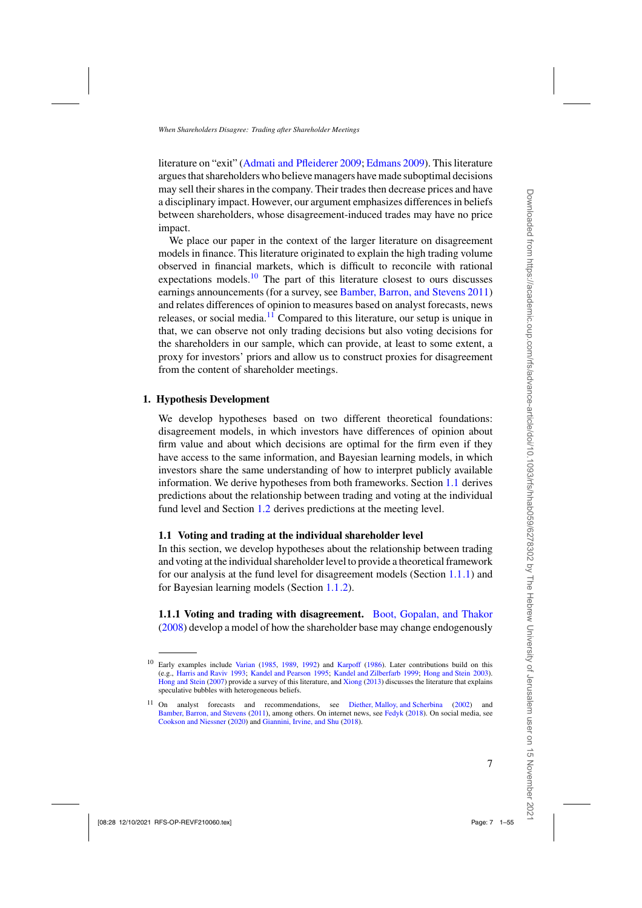<span id="page-6-0"></span>literature on "exit" [\(Admati and Pfleiderer 2009;](#page-50-0) [Edmans 2009](#page-51-0)). This literature argues that shareholders who believe managers have made suboptimal decisions may sell their shares in the company. Their trades then decrease prices and have a disciplinary impact. However, our argument emphasizes differences in beliefs between shareholders, whose disagreement-induced trades may have no price impact.

We place our paper in the context of the larger literature on disagreement models in finance. This literature originated to explain the high trading volume observed in financial markets, which is difficult to reconcile with rational expectations models. $10$  The part of this literature closest to ours discusses earnings announcements (for a survey, see [Bamber, Barron, and Stevens 2011](#page-50-0)) and relates differences of opinion to measures based on analyst forecasts, news releases, or social media. $11$  Compared to this literature, our setup is unique in that, we can observe not only trading decisions but also voting decisions for the shareholders in our sample, which can provide, at least to some extent, a proxy for investors' priors and allow us to construct proxies for disagreement from the content of shareholder meetings.

### **1. Hypothesis Development**

We develop hypotheses based on two different theoretical foundations: disagreement models, in which investors have differences of opinion about firm value and about which decisions are optimal for the firm even if they have access to the same information, and Bayesian learning models, in which investors share the same understanding of how to interpret publicly available information. We derive hypotheses from both frameworks. Section 1.1 derives predictions about the relationship between trading and voting at the individual fund level and Section [1.2](#page-10-0) derives predictions at the meeting level.

### **1.1 Voting and trading at the individual shareholder level**

In this section, we develop hypotheses about the relationship between trading and voting at the individual shareholder level to provide a theoretical framework for our analysis at the fund level for disagreement models (Section 1.1.1) and for Bayesian learning models (Section [1.1.2\)](#page-8-0).

**1.1.1 Voting and trading with disagreement.** [Boot, Gopalan, and Thakor](#page-50-0) [\(2008\)](#page-50-0) develop a model of how the shareholder base may change endogenously

<sup>&</sup>lt;sup>10</sup> Early examples include [Varian](#page-53-0) [\(1985,](#page-53-0) [1989,](#page-53-0) [1992\)](#page-54-0) and [Karpoff](#page-52-0) [\(1986\)](#page-52-0). Later contributions build on this (e.g., [Harris and Raviv 1993](#page-52-0); [Kandel and Pearson 1995](#page-52-0); [Kandel and Zilberfarb 1999;](#page-52-0) [Hong and Stein 2003](#page-52-0)). [Hong and Stein](#page-52-0) [\(2007\)](#page-52-0) provide a survey of this literature, and [Xiong](#page-54-0) [\(2013](#page-54-0)) discusses the literature that explains speculative bubbles with heterogeneous beliefs.

<sup>11</sup> On analyst forecasts and recommendations, see [Diether, Malloy, and Scherbina](#page-51-0) [\(2002](#page-51-0)) and [Bamber, Barron, and Stevens](#page-50-0) [\(2011](#page-50-0)), among others. On internet news, see [Fedyk](#page-51-0) [\(2018](#page-51-0)). On social media, see [Cookson and Niessner](#page-51-0) [\(2020](#page-51-0)) and [Giannini, Irvine, and Shu](#page-52-0) [\(2018\)](#page-52-0).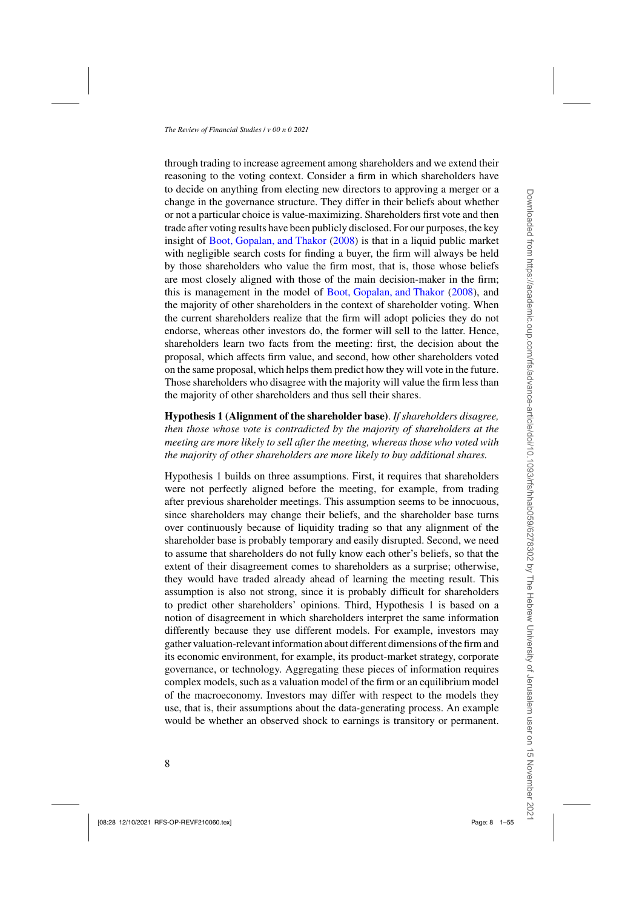through trading to increase agreement among shareholders and we extend their reasoning to the voting context. Consider a firm in which shareholders have to decide on anything from electing new directors to approving a merger or a change in the governance structure. They differ in their beliefs about whether or not a particular choice is value-maximizing. Shareholders first vote and then trade after voting results have been publicly disclosed. For our purposes, the key insight of [Boot, Gopalan, and Thakor](#page-50-0) [\(2008\)](#page-50-0) is that in a liquid public market with negligible search costs for finding a buyer, the firm will always be held by those shareholders who value the firm most, that is, those whose beliefs are most closely aligned with those of the main decision-maker in the firm; this is management in the model of [Boot, Gopalan, and Thakor](#page-50-0) [\(2008](#page-50-0)), and the majority of other shareholders in the context of shareholder voting. When the current shareholders realize that the firm will adopt policies they do not endorse, whereas other investors do, the former will sell to the latter. Hence, shareholders learn two facts from the meeting: first, the decision about the proposal, which affects firm value, and second, how other shareholders voted on the same proposal, which helps them predict how they will vote in the future. Those shareholders who disagree with the majority will value the firm less than the majority of other shareholders and thus sell their shares.

**Hypothesis 1 (Alignment of the shareholder base)**. *If shareholders disagree, then those whose vote is contradicted by the majority of shareholders at the meeting are more likely to sell after the meeting, whereas those who voted with the majority of other shareholders are more likely to buy additional shares.*

Hypothesis 1 builds on three assumptions. First, it requires that shareholders were not perfectly aligned before the meeting, for example, from trading after previous shareholder meetings. This assumption seems to be innocuous, since shareholders may change their beliefs, and the shareholder base turns over continuously because of liquidity trading so that any alignment of the shareholder base is probably temporary and easily disrupted. Second, we need to assume that shareholders do not fully know each other's beliefs, so that the extent of their disagreement comes to shareholders as a surprise; otherwise, they would have traded already ahead of learning the meeting result. This assumption is also not strong, since it is probably difficult for shareholders to predict other shareholders' opinions. Third, Hypothesis 1 is based on a notion of disagreement in which shareholders interpret the same information differently because they use different models. For example, investors may gather valuation-relevant information about different dimensions of the firm and its economic environment, for example, its product-market strategy, corporate governance, or technology. Aggregating these pieces of information requires complex models, such as a valuation model of the firm or an equilibrium model of the macroeconomy. Investors may differ with respect to the models they use, that is, their assumptions about the data-generating process. An example would be whether an observed shock to earnings is transitory or permanent.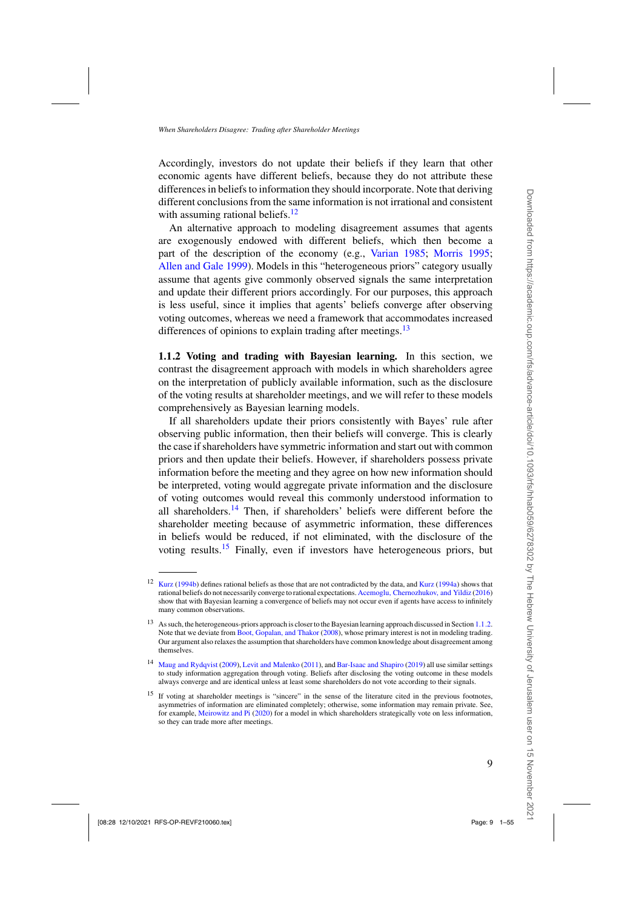<span id="page-8-0"></span>Accordingly, investors do not update their beliefs if they learn that other economic agents have different beliefs, because they do not attribute these differences in beliefs to information they should incorporate. Note that deriving different conclusions from the same information is not irrational and consistent with assuming rational beliefs. $12$ 

An alternative approach to modeling disagreement assumes that agents are exogenously endowed with different beliefs, which then become a part of the description of the economy (e.g., [Varian 1985](#page-53-0); [Morris 1995;](#page-53-0) [Allen and Gale 1999](#page-50-0)). Models in this "heterogeneous priors" category usually assume that agents give commonly observed signals the same interpretation and update their different priors accordingly. For our purposes, this approach is less useful, since it implies that agents' beliefs converge after observing voting outcomes, whereas we need a framework that accommodates increased differences of opinions to explain trading after meetings.<sup>13</sup>

**1.1.2 Voting and trading with Bayesian learning.** In this section, we contrast the disagreement approach with models in which shareholders agree on the interpretation of publicly available information, such as the disclosure of the voting results at shareholder meetings, and we will refer to these models comprehensively as Bayesian learning models.

If all shareholders update their priors consistently with Bayes' rule after observing public information, then their beliefs will converge. This is clearly the case if shareholders have symmetric information and start out with common priors and then update their beliefs. However, if shareholders possess private information before the meeting and they agree on how new information should be interpreted, voting would aggregate private information and the disclosure of voting outcomes would reveal this commonly understood information to all shareholders.<sup>14</sup> Then, if shareholders' beliefs were different before the shareholder meeting because of asymmetric information, these differences in beliefs would be reduced, if not eliminated, with the disclosure of the voting results.<sup>15</sup> Finally, even if investors have heterogeneous priors, but

<sup>&</sup>lt;sup>12</sup> [Kurz](#page-53-0) [\(1994b\)](#page-53-0) defines rational beliefs as those that are not contradicted by the data, and Kurz [\(1994a](#page-53-0)) shows that rational beliefs do not necessarily converge to rational expectations. [Acemoglu, Chernozhukov, and Yildiz](#page-50-0) [\(2016](#page-50-0)) show that with Bayesian learning a convergence of beliefs may not occur even if agents have access to infinitely many common observations.

<sup>13</sup> As such, the heterogeneous-priors approach is closer to the Bayesian learning approach discussed in Section 1.1.2. Note that we deviate from [Boot, Gopalan, and Thakor](#page-50-0) [\(2008](#page-50-0)), whose primary interest is not in modeling trading. Our argument also relaxes the assumption that shareholders have common knowledge about disagreement among themselves.

<sup>14</sup> [Maug and Rydqvist](#page-53-0) [\(2009](#page-53-0)), [Levit and Malenko](#page-53-0) [\(2011](#page-53-0)), and [Bar-Isaac and Shapiro](#page-50-0) [\(2019\)](#page-50-0) all use similar settings to study information aggregation through voting. Beliefs after disclosing the voting outcome in these models always converge and are identical unless at least some shareholders do not vote according to their signals.

<sup>&</sup>lt;sup>15</sup> If voting at shareholder meetings is "sincere" in the sense of the literature cited in the previous footnotes, asymmetries of information are eliminated completely; otherwise, some information may remain private. See, for example, [Meirowitz and Pi](#page-53-0) [\(2020\)](#page-53-0) for a model in which shareholders strategically vote on less information, so they can trade more after meetings.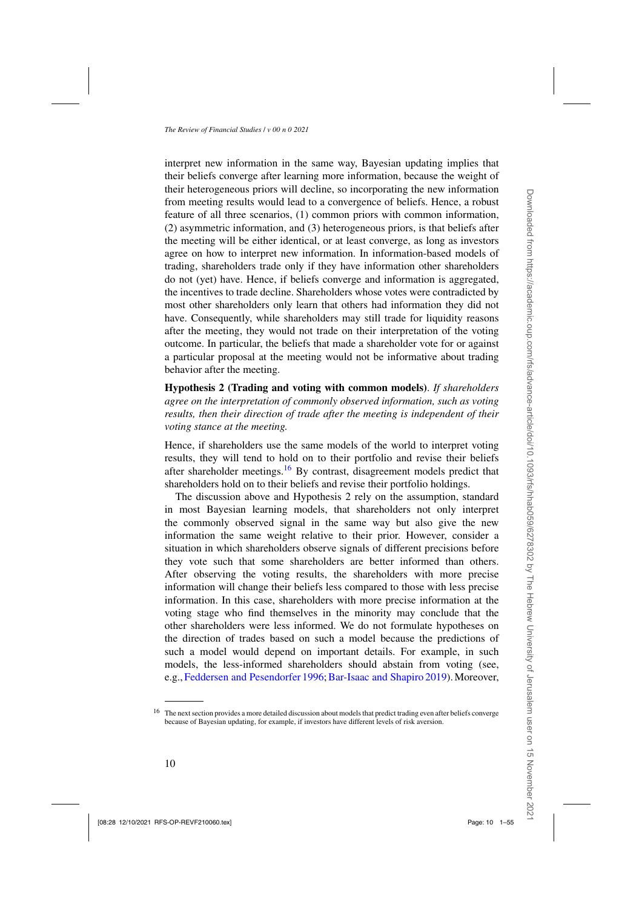interpret new information in the same way, Bayesian updating implies that their beliefs converge after learning more information, because the weight of their heterogeneous priors will decline, so incorporating the new information from meeting results would lead to a convergence of beliefs. Hence, a robust feature of all three scenarios, (1) common priors with common information, (2) asymmetric information, and (3) heterogeneous priors, is that beliefs after the meeting will be either identical, or at least converge, as long as investors agree on how to interpret new information. In information-based models of trading, shareholders trade only if they have information other shareholders do not (yet) have. Hence, if beliefs converge and information is aggregated, the incentives to trade decline. Shareholders whose votes were contradicted by most other shareholders only learn that others had information they did not have. Consequently, while shareholders may still trade for liquidity reasons after the meeting, they would not trade on their interpretation of the voting outcome. In particular, the beliefs that made a shareholder vote for or against a particular proposal at the meeting would not be informative about trading behavior after the meeting.

**Hypothesis 2 (Trading and voting with common models)**. *If shareholders agree on the interpretation of commonly observed information, such as voting results, then their direction of trade after the meeting is independent of their voting stance at the meeting.*

Hence, if shareholders use the same models of the world to interpret voting results, they will tend to hold on to their portfolio and revise their beliefs after shareholder meetings.<sup>16</sup> By contrast, disagreement models predict that shareholders hold on to their beliefs and revise their portfolio holdings.

The discussion above and Hypothesis 2 rely on the assumption, standard in most Bayesian learning models, that shareholders not only interpret the commonly observed signal in the same way but also give the new information the same weight relative to their prior. However, consider a situation in which shareholders observe signals of different precisions before they vote such that some shareholders are better informed than others. After observing the voting results, the shareholders with more precise information will change their beliefs less compared to those with less precise information. In this case, shareholders with more precise information at the voting stage who find themselves in the minority may conclude that the other shareholders were less informed. We do not formulate hypotheses on the direction of trades based on such a model because the predictions of such a model would depend on important details. For example, in such models, the less-informed shareholders should abstain from voting (see, e.g., [Feddersen and Pesendorfer 1996;](#page-51-0) [Bar-Isaac and Shapiro 2019\)](#page-50-0). Moreover,

<sup>&</sup>lt;sup>16</sup> The next section provides a more detailed discussion about models that predict trading even after beliefs converge because of Bayesian updating, for example, if investors have different levels of risk aversion.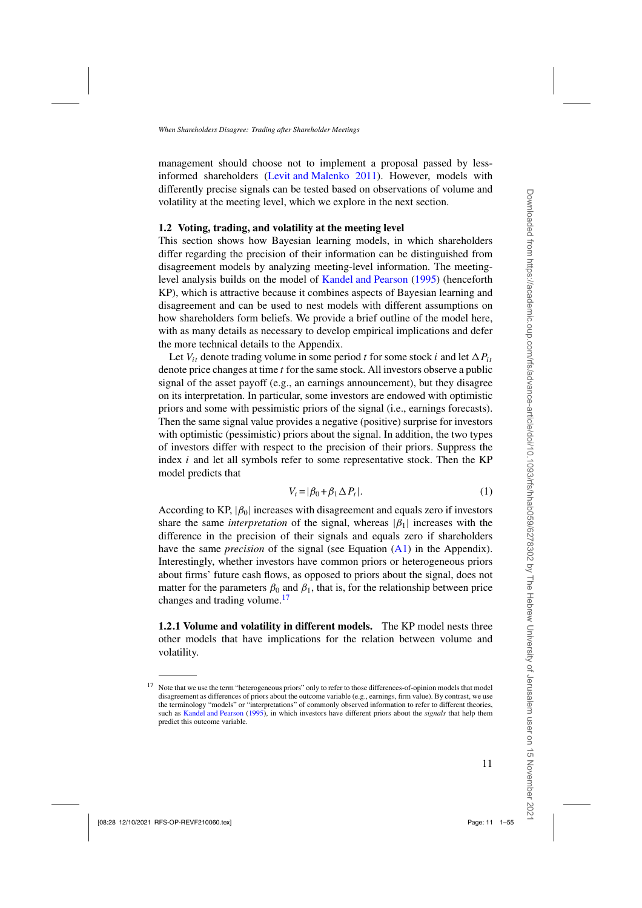<span id="page-10-0"></span>management should choose not to implement a proposal passed by lessinformed shareholders [\(Levit and Malenko 2011](#page-53-0)). However, models with differently precise signals can be tested based on observations of volume and volatility at the meeting level, which we explore in the next section.

#### **1.2 Voting, trading, and volatility at the meeting level**

This section shows how Bayesian learning models, in which shareholders differ regarding the precision of their information can be distinguished from disagreement models by analyzing meeting-level information. The meetinglevel analysis builds on the model of [Kandel and Pearson](#page-52-0) [\(1995](#page-52-0)) (henceforth KP), which is attractive because it combines aspects of Bayesian learning and disagreement and can be used to nest models with different assumptions on how shareholders form beliefs. We provide a brief outline of the model here, with as many details as necessary to develop empirical implications and defer the more technical details to the Appendix.

Let  $V_{it}$  denote trading volume in some period *t* for some stock *i* and let  $\Delta P_{it}$ denote price changes at time *t* for the same stock. All investors observe a public signal of the asset payoff (e.g., an earnings announcement), but they disagree on its interpretation. In particular, some investors are endowed with optimistic priors and some with pessimistic priors of the signal (i.e., earnings forecasts). Then the same signal value provides a negative (positive) surprise for investors with optimistic (pessimistic) priors about the signal. In addition, the two types of investors differ with respect to the precision of their priors. Suppress the index *i* and let all symbols refer to some representative stock. Then the KP model predicts that

$$
V_t = |\beta_0 + \beta_1 \Delta P_t|.
$$
 (1)

According to KP,  $|\beta_0|$  increases with disagreement and equals zero if investors share the same *interpretation* of the signal, whereas  $|\beta_1|$  increases with the difference in the precision of their signals and equals zero if shareholders have the same *precision* of the signal (see Equation [\(A1\)](#page-45-0) in the Appendix). Interestingly, whether investors have common priors or heterogeneous priors about firms' future cash flows, as opposed to priors about the signal, does not matter for the parameters  $\beta_0$  and  $\beta_1$ , that is, for the relationship between price changes and trading volume.<sup>17</sup>

**1.2.1 Volume and volatility in different models.** The KP model nests three other models that have implications for the relation between volume and volatility.

<sup>&</sup>lt;sup>17</sup> Note that we use the term "heterogeneous priors" only to refer to those differences-of-opinion models that model disagreement as differences of priors about the outcome variable (e.g., earnings, firm value). By contrast, we use the terminology "models" or "interpretations" of commonly observed information to refer to different theories, such as [Kandel and Pearson](#page-52-0) [\(1995](#page-52-0)), in which investors have different priors about the *signals* that help them predict this outcome variable.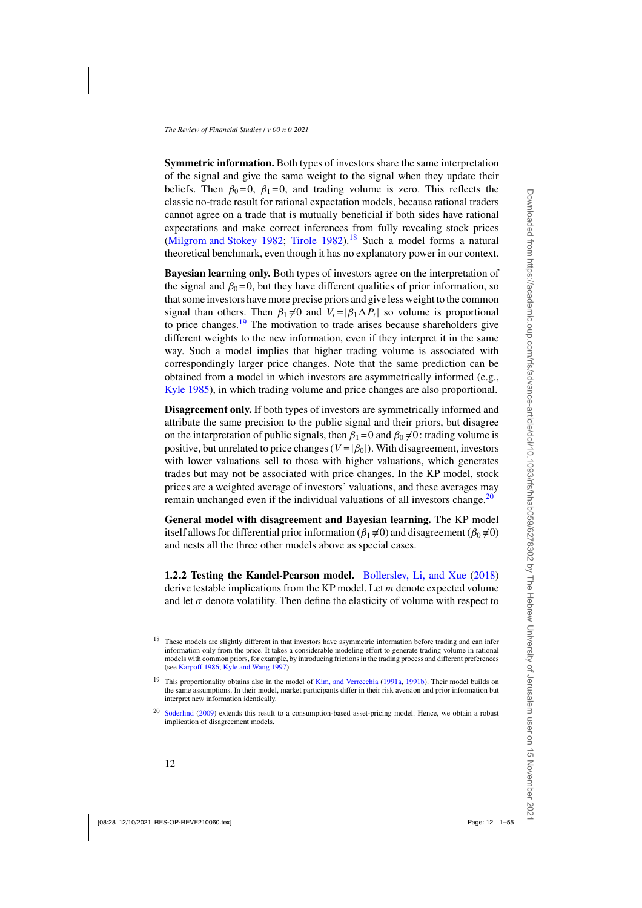<span id="page-11-0"></span>**Symmetric information.** Both types of investors share the same interpretation of the signal and give the same weight to the signal when they update their beliefs. Then  $\beta_0 = 0$ ,  $\beta_1 = 0$ , and trading volume is zero. This reflects the classic no-trade result for rational expectation models, because rational traders cannot agree on a trade that is mutually beneficial if both sides have rational expectations and make correct inferences from fully revealing stock prices [\(Milgrom and Stokey 1982](#page-53-0); [Tirole 1982\)](#page-53-0).<sup>18</sup> Such a model forms a natural theoretical benchmark, even though it has no explanatory power in our context.

**Bayesian learning only.** Both types of investors agree on the interpretation of the signal and  $\beta_0 = 0$ , but they have different qualities of prior information, so that some investors have more precise priors and give less weight to the common signal than others. Then  $\beta_1 \neq 0$  and  $V_t = |\beta_1 \Delta P_t|$  so volume is proportional to price changes. $19$  The motivation to trade arises because shareholders give different weights to the new information, even if they interpret it in the same way. Such a model implies that higher trading volume is associated with correspondingly larger price changes. Note that the same prediction can be obtained from a model in which investors are asymmetrically informed (e.g., [Kyle 1985\)](#page-53-0), in which trading volume and price changes are also proportional.

**Disagreement only.** If both types of investors are symmetrically informed and attribute the same precision to the public signal and their priors, but disagree on the interpretation of public signals, then  $\beta_1 = 0$  and  $\beta_0 \neq 0$ : trading volume is positive, but unrelated to price changes ( $V = |\beta_0|$ ). With disagreement, investors with lower valuations sell to those with higher valuations, which generates trades but may not be associated with price changes. In the KP model, stock prices are a weighted average of investors' valuations, and these averages may remain unchanged even if the individual valuations of all investors change.<sup>20</sup>

**General model with disagreement and Bayesian learning.** The KP model itself allows for differential prior information ( $\beta_1 \neq 0$ ) and disagreement ( $\beta_0 \neq 0$ ) and nests all the three other models above as special cases.

**1.2.2 Testing the Kandel-Pearson model.** [Bollerslev, Li, and Xue](#page-50-0) [\(2018\)](#page-50-0) derive testable implications from the KP model. Let *m* denote expected volume and let  $\sigma$  denote volatility. Then define the elasticity of volume with respect to

<sup>&</sup>lt;sup>18</sup> These models are slightly different in that investors have asymmetric information before trading and can infer information only from the price. It takes a considerable modeling effort to generate trading volume in rational models with common priors, for example, by introducing frictions in the trading process and different preferences (see [Karpoff 1986;](#page-52-0) [Kyle and Wang 1997](#page-53-0)).

<sup>&</sup>lt;sup>19</sup> This proportionality obtains also in the model of [Kim, and Verrecchia](#page-52-0) [\(1991a,](#page-52-0) [1991b](#page-53-0)). Their model builds on the same assumptions. In their model, market participants differ in their risk aversion and prior information but interpret new information identically.

<sup>&</sup>lt;sup>20</sup> [Söderlind](#page-53-0) [\(2009](#page-53-0)) extends this result to a consumption-based asset-pricing model. Hence, we obtain a robust implication of disagreement models.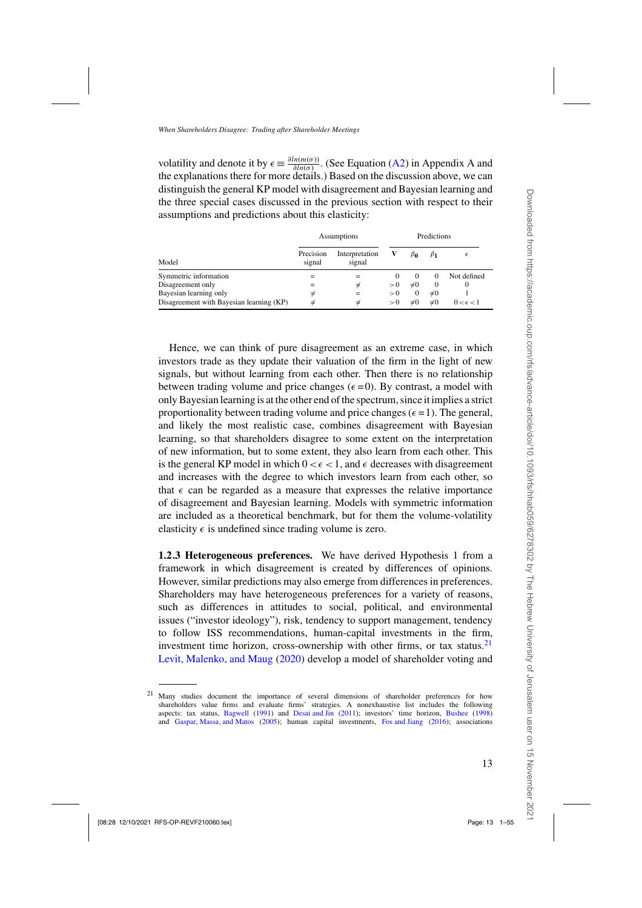volatility and denote it by  $\epsilon \equiv \frac{\partial ln(m(\sigma))}{\partial ln(\sigma)}$ . (See Equation [\(A2\)](#page-45-0) in Appendix A and the explanations there for more details.) Based on the discussion above, we can distinguish the general KP model with disagreement and Bayesian learning and the three special cases discussed in the previous section with respect to their assumptions and predictions about this elasticity:

|                                          | Assumptions         | Predictions              |        |           |           |                    |
|------------------------------------------|---------------------|--------------------------|--------|-----------|-----------|--------------------|
| Model                                    | Precision<br>signal | Interpretation<br>signal |        | $\beta_0$ | $\beta_1$ |                    |
| Symmetric information                    |                     |                          | $_{0}$ | $\theta$  |           | Not defined        |
| Disagreement only                        |                     |                          | > 0    | $\neq 0$  | $\theta$  |                    |
| Bayesian learning only                   |                     | =                        | > 0    | $\theta$  | $\neq 0$  |                    |
| Disagreement with Bayesian learning (KP) |                     |                          | > 0    | $\neq 0$  | $\neq 0$  | $0 < \epsilon < 1$ |

Hence, we can think of pure disagreement as an extreme case, in which investors trade as they update their valuation of the firm in the light of new signals, but without learning from each other. Then there is no relationship between trading volume and price changes  $(\epsilon = 0)$ . By contrast, a model with only Bayesian learning is at the other end of the spectrum, since it implies a strict proportionality between trading volume and price changes ( $\epsilon = 1$ ). The general, and likely the most realistic case, combines disagreement with Bayesian learning, so that shareholders disagree to some extent on the interpretation of new information, but to some extent, they also learn from each other. This is the general KP model in which  $0 < \epsilon < 1$ , and  $\epsilon$  decreases with disagreement and increases with the degree to which investors learn from each other, so that  $\epsilon$  can be regarded as a measure that expresses the relative importance of disagreement and Bayesian learning. Models with symmetric information are included as a theoretical benchmark, but for them the volume-volatility elasticity  $\epsilon$  is undefined since trading volume is zero.

**1.2.3 Heterogeneous preferences.** We have derived Hypothesis 1 from a framework in which disagreement is created by differences of opinions. However, similar predictions may also emerge from differences in preferences. Shareholders may have heterogeneous preferences for a variety of reasons, such as differences in attitudes to social, political, and environmental issues ("investor ideology"), risk, tendency to support management, tendency to follow ISS recommendations, human-capital investments in the firm, investment time horizon, cross-ownership with other firms, or tax status. $21$ [Levit, Malenko, and Maug](#page-53-0) [\(2020\)](#page-53-0) develop a model of shareholder voting and

<sup>&</sup>lt;sup>21</sup> Many studies document the importance of several dimensions of shareholder preferences for how shareholders value firms and evaluate firms' strategies. A nonexhaustive list includes the following aspects: tax status, [Bagwell](#page-50-0) [\(1991\)](#page-50-0) and [Desai and Jin](#page-51-0) [\(2011\)](#page-51-0); investors' time horizon, [Bushee](#page-50-0) [\(1998](#page-50-0)) and [Gaspar, Massa, and Matos](#page-52-0) [\(2005\)](#page-52-0); human capital investments, [Fos and Jiang](#page-51-0) [\(2016](#page-51-0)); associations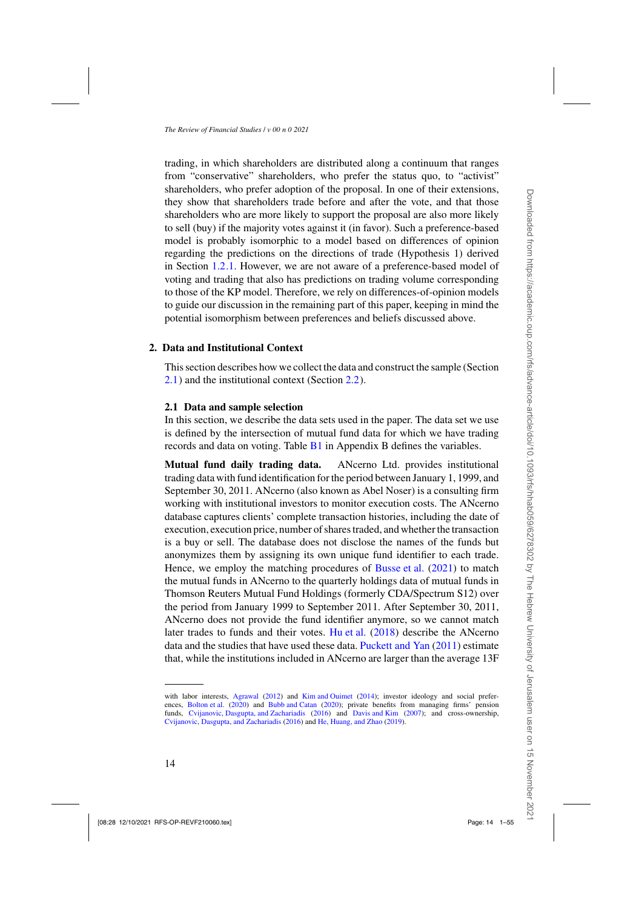trading, in which shareholders are distributed along a continuum that ranges from "conservative" shareholders, who prefer the status quo, to "activist" shareholders, who prefer adoption of the proposal. In one of their extensions, they show that shareholders trade before and after the vote, and that those shareholders who are more likely to support the proposal are also more likely to sell (buy) if the majority votes against it (in favor). Such a preference-based model is probably isomorphic to a model based on differences of opinion regarding the predictions on the directions of trade (Hypothesis 1) derived in Section [1.2.1.](#page-10-0) However, we are not aware of a preference-based model of voting and trading that also has predictions on trading volume corresponding to those of the KP model. Therefore, we rely on differences-of-opinion models to guide our discussion in the remaining part of this paper, keeping in mind the potential isomorphism between preferences and beliefs discussed above.

#### **2. Data and Institutional Context**

This section describes how we collect the data and construct the sample (Section 2.1) and the institutional context (Section [2.2\)](#page-16-0).

#### **2.1 Data and sample selection**

In this section, we describe the data sets used in the paper. The data set we use is defined by the intersection of mutual fund data for which we have trading records and data on voting. Table [B1](#page-47-0) in Appendix B defines the variables.

**Mutual fund daily trading data.** ANcerno Ltd. provides institutional trading data with fund identification for the period between January 1, 1999, and September 30, 2011. ANcerno (also known as Abel Noser) is a consulting firm working with institutional investors to monitor execution costs. The ANcerno database captures clients' complete transaction histories, including the date of execution, execution price, number of shares traded, and whether the transaction is a buy or sell. The database does not disclose the names of the funds but anonymizes them by assigning its own unique fund identifier to each trade. Hence, we employ the matching procedures of [Busse et al.](#page-50-0) [\(2021\)](#page-50-0) to match the mutual funds in ANcerno to the quarterly holdings data of mutual funds in Thomson Reuters Mutual Fund Holdings (formerly CDA/Spectrum S12) over the period from January 1999 to September 2011. After September 30, 2011, ANcerno does not provide the fund identifier anymore, so we cannot match later trades to funds and their votes. [Hu et al.](#page-52-0) [\(2018](#page-52-0)) describe the ANcerno data and the studies that have used these data. [Puckett and Yan](#page-53-0) [\(2011\)](#page-53-0) estimate that, while the institutions included in ANcerno are larger than the average 13F

with labor interests, [Agrawal](#page-50-0) [\(2012\)](#page-50-0) and [Kim and Ouimet](#page-52-0) [\(2014\)](#page-52-0); investor ideology and social preferences, [Bolton et al.](#page-50-0) [\(2020](#page-50-0)) and [Bubb and Catan](#page-50-0) [\(2020\)](#page-50-0); private benefits from managing firms' pension funds, [Cvijanovic, Dasgupta, and Zachariadis](#page-51-0) [\(2016](#page-51-0)) and [Davis and Kim](#page-51-0) [\(2007](#page-51-0)); and cross-ownership, [Cvijanovic, Dasgupta, and Zachariadis](#page-51-0) [\(2016](#page-51-0)) and [He, Huang, and Zhao](#page-52-0) [\(2019](#page-52-0)).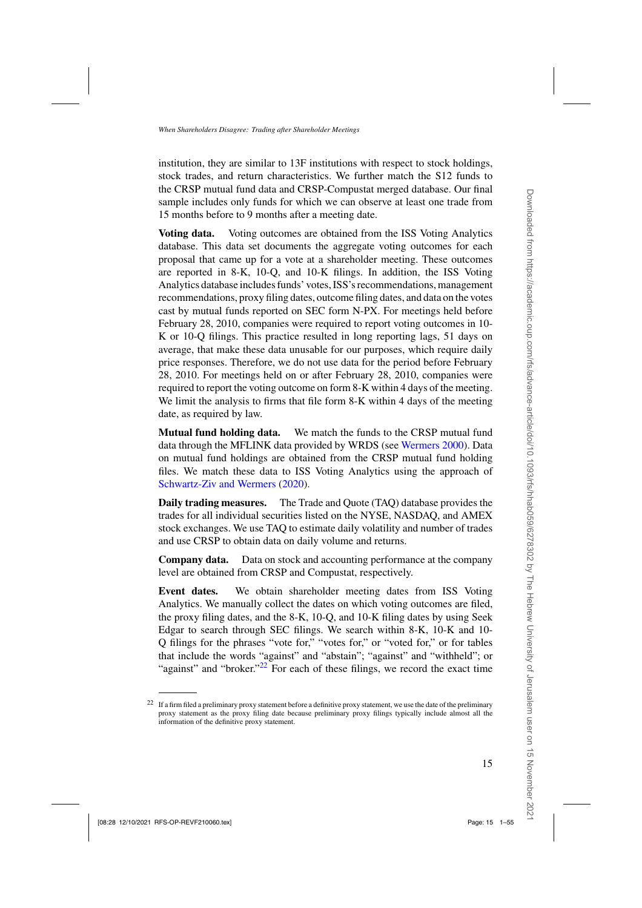institution, they are similar to 13F institutions with respect to stock holdings, stock trades, and return characteristics. We further match the S12 funds to the CRSP mutual fund data and CRSP-Compustat merged database. Our final sample includes only funds for which we can observe at least one trade from 15 months before to 9 months after a meeting date.

**Voting data.** Voting outcomes are obtained from the ISS Voting Analytics database. This data set documents the aggregate voting outcomes for each proposal that came up for a vote at a shareholder meeting. These outcomes are reported in 8-K, 10-Q, and 10-K filings. In addition, the ISS Voting Analytics database includes funds' votes, ISS's recommendations, management recommendations, proxy filing dates, outcome filing dates, and data on the votes cast by mutual funds reported on SEC form N-PX. For meetings held before February 28, 2010, companies were required to report voting outcomes in 10- K or 10-Q filings. This practice resulted in long reporting lags, 51 days on average, that make these data unusable for our purposes, which require daily price responses. Therefore, we do not use data for the period before February 28, 2010. For meetings held on or after February 28, 2010, companies were required to report the voting outcome on form 8-K within 4 days of the meeting. We limit the analysis to firms that file form 8-K within 4 days of the meeting date, as required by law.

**Mutual fund holding data.** We match the funds to the CRSP mutual fund data through the MFLINK data provided by WRDS (see [Wermers 2000\)](#page-54-0). Data on mutual fund holdings are obtained from the CRSP mutual fund holding files. We match these data to ISS Voting Analytics using the approach of [Schwartz-Ziv and Wermers](#page-53-0) [\(2020](#page-53-0)).

**Daily trading measures.** The Trade and Quote (TAQ) database provides the trades for all individual securities listed on the NYSE, NASDAQ, and AMEX stock exchanges. We use TAQ to estimate daily volatility and number of trades and use CRSP to obtain data on daily volume and returns.

**Company data.** Data on stock and accounting performance at the company level are obtained from CRSP and Compustat, respectively.

**Event dates.** We obtain shareholder meeting dates from ISS Voting Analytics. We manually collect the dates on which voting outcomes are filed, the proxy filing dates, and the 8-K, 10-Q, and 10-K filing dates by using Seek Edgar to search through SEC filings. We search within 8-K, 10-K and 10- Q filings for the phrases "vote for," "votes for," or "voted for," or for tables that include the words "against" and "abstain"; "against" and "withheld"; or "against" and "broker."<sup>22</sup> For each of these filings, we record the exact time

 $22$  If a firm filed a preliminary proxy statement before a definitive proxy statement, we use the date of the preliminary proxy statement as the proxy filing date because preliminary proxy filings typically include almost all the information of the definitive proxy statement.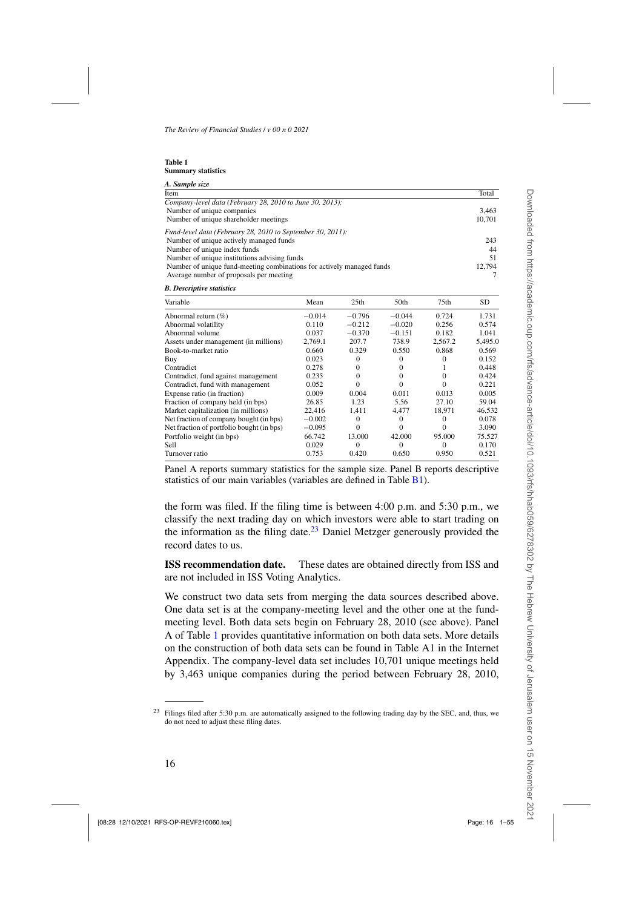<span id="page-15-0"></span>

| <b>Table 1</b>            |  |
|---------------------------|--|
| <b>Summary statistics</b> |  |

| A. Sample size                                                        |        |
|-----------------------------------------------------------------------|--------|
| Item                                                                  | Total  |
| Company-level data (February 28, 2010 to June 30, 2013):              |        |
| Number of unique companies                                            | 3.463  |
| Number of unique shareholder meetings                                 | 10,701 |
| Fund-level data (February 28, 2010 to September 30, 2011):            |        |
| Number of unique actively managed funds                               | 243    |
| Number of unique index funds                                          | 44     |
| Number of unique institutions advising funds                          | 51     |
| Number of unique fund-meeting combinations for actively managed funds | 12.794 |
| Average number of proposals per meeting                               |        |

| <b>B.</b> Descriptive statistics |  |
|----------------------------------|--|
|----------------------------------|--|

| Variable                                  | Mean     | 25 <sub>th</sub> | 50th     | 75th     | <b>SD</b> |
|-------------------------------------------|----------|------------------|----------|----------|-----------|
| Abnormal return $(\%)$                    | $-0.014$ | $-0.796$         | $-0.044$ | 0.724    | 1.731     |
| Abnormal volatility                       | 0.110    | $-0.212$         | $-0.020$ | 0.256    | 0.574     |
| Abnormal volume                           | 0.037    | $-0.370$         | $-0.151$ | 0.182    | 1.041     |
| Assets under management (in millions)     | 2.769.1  | 207.7            | 738.9    | 2.567.2  | 5,495.0   |
| Book-to-market ratio                      | 0.660    | 0.329            | 0.550    | 0.868    | 0.569     |
| Buy                                       | 0.023    | $\Omega$         |          |          | 0.152     |
| Contradict                                | 0.278    | $\Omega$         | $^{(1)}$ |          | 0.448     |
| Contradict, fund against management       | 0.235    | $\Omega$         | $^{(1)}$ | 0        | 0.424     |
| Contradict, fund with management          | 0.052    | 0                |          | 0        | 0.221     |
| Expense ratio (in fraction)               | 0.009    | 0.004            | 0.011    | 0.013    | 0.005     |
| Fraction of company held (in bps)         | 26.85    | 1.23             | 5.56     | 27.10    | 59.04     |
| Market capitalization (in millions)       | 22,416   | 1.411            | 4.477    | 18.971   | 46,532    |
| Net fraction of company bought (in bps)   | $-0.002$ | 0                | $^{(1)}$ |          | 0.078     |
| Net fraction of portfolio bought (in bps) | $-0.095$ | $\Omega$         | 0        | 0        | 3.090     |
| Portfolio weight (in bps)                 | 66.742   | 13.000           | 42.000   | 95,000   | 75.527    |
| Sell.                                     | 0.029    | $\Omega$         | $\Omega$ | $\Omega$ | 0.170     |
| Turnover ratio                            | 0.753    | 0.420            | 0.650    | 0.950    | 0.521     |

Panel A reports summary statistics for the sample size. Panel B reports descriptive statistics of our main variables (variables are defined in Table [B1\)](#page-47-0).

the form was filed. If the filing time is between 4:00 p.m. and 5:30 p.m., we classify the next trading day on which investors were able to start trading on the information as the filing date.<sup>23</sup> Daniel Metzger generously provided the record dates to us.

**ISS recommendation date.** These dates are obtained directly from ISS and are not included in ISS Voting Analytics.

We construct two data sets from merging the data sources described above. One data set is at the company-meeting level and the other one at the fundmeeting level. Both data sets begin on February 28, 2010 (see above). Panel A of Table 1 provides quantitative information on both data sets. More details on the construction of both data sets can be found in Table A1 in the Internet Appendix. The company-level data set includes 10,701 unique meetings held by 3,463 unique companies during the period between February 28, 2010,

<sup>&</sup>lt;sup>23</sup> Filings filed after 5:30 p.m. are automatically assigned to the following trading day by the SEC, and, thus, we do not need to adjust these filing dates.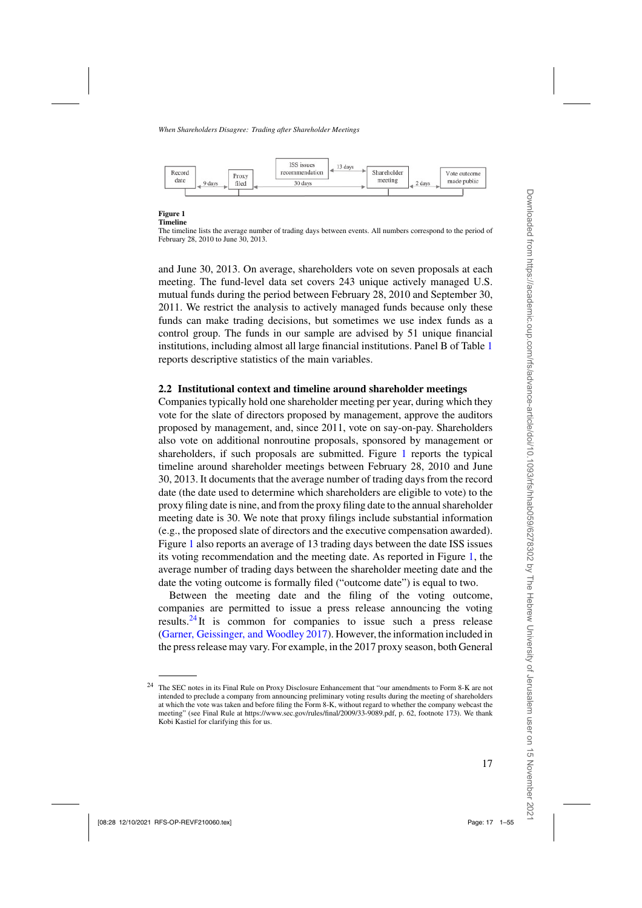<span id="page-16-0"></span>

#### **Figure 1 Timeline**

The timeline lists the average number of trading days between events. All numbers correspond to the period of February 28, 2010 to June 30, 2013.

and June 30, 2013. On average, shareholders vote on seven proposals at each meeting. The fund-level data set covers 243 unique actively managed U.S. mutual funds during the period between February 28, 2010 and September 30, 2011. We restrict the analysis to actively managed funds because only these funds can make trading decisions, but sometimes we use index funds as a control group. The funds in our sample are advised by 51 unique financial institutions, including almost all large financial institutions. Panel B of Table [1](#page-15-0) reports descriptive statistics of the main variables.

#### **2.2 Institutional context and timeline around shareholder meetings**

Companies typically hold one shareholder meeting per year, during which they vote for the slate of directors proposed by management, approve the auditors proposed by management, and, since 2011, vote on say-on-pay. Shareholders also vote on additional nonroutine proposals, sponsored by management or shareholders, if such proposals are submitted. Figure 1 reports the typical timeline around shareholder meetings between February 28, 2010 and June 30, 2013. It documents that the average number of trading days from the record date (the date used to determine which shareholders are eligible to vote) to the proxy filing date is nine, and from the proxy filing date to the annual shareholder meeting date is 30. We note that proxy filings include substantial information (e.g., the proposed slate of directors and the executive compensation awarded). Figure 1 also reports an average of 13 trading days between the date ISS issues its voting recommendation and the meeting date. As reported in Figure 1, the average number of trading days between the shareholder meeting date and the date the voting outcome is formally filed ("outcome date") is equal to two.

Between the meeting date and the filing of the voting outcome, companies are permitted to issue a press release announcing the voting results.<sup>24</sup>It is common for companies to issue such a press release [\(Garner, Geissinger, and Woodley 2017](#page-52-0)). However, the information included in the press release may vary. For example, in the 2017 proxy season, both General

<sup>&</sup>lt;sup>24</sup> The SEC notes in its Final Rule on Proxy Disclosure Enhancement that "our amendments to Form 8-K are not intended to preclude a company from announcing preliminary voting results during the meeting of shareholders at which the vote was taken and before filing the Form 8-K, without regard to whether the company webcast the meeting" (see Final Rule at https://www.sec.gov/rules/final/2009/33-9089.pdf, p. 62, footnote 173). We thank Kobi Kastiel for clarifying this for us.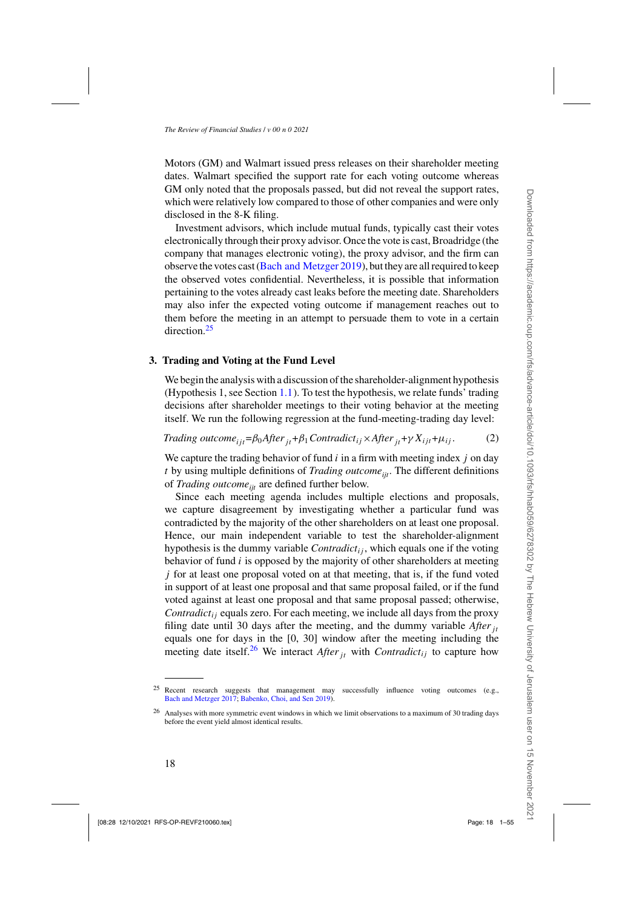<span id="page-17-0"></span>Motors (GM) and Walmart issued press releases on their shareholder meeting dates. Walmart specified the support rate for each voting outcome whereas GM only noted that the proposals passed, but did not reveal the support rates, which were relatively low compared to those of other companies and were only disclosed in the 8-K filing.

Investment advisors, which include mutual funds, typically cast their votes electronically through their proxy advisor. Once the vote is cast, Broadridge (the company that manages electronic voting), the proxy advisor, and the firm can observe the votes cast [\(Bach and Metzger 2019](#page-50-0)), but they are all required to keep the observed votes confidential. Nevertheless, it is possible that information pertaining to the votes already cast leaks before the meeting date. Shareholders may also infer the expected voting outcome if management reaches out to them before the meeting in an attempt to persuade them to vote in a certain direction<sup>25</sup>

#### **3. Trading and Voting at the Fund Level**

We begin the analysis with a discussion of the shareholder-alignment hypothesis (Hypothesis 1, see Section [1.1\)](#page-6-0). To test the hypothesis, we relate funds' trading decisions after shareholder meetings to their voting behavior at the meeting itself. We run the following regression at the fund-meeting-trading day level:

*Trading outcome*<sub>iit</sub>= $\beta_0$ *After*<sub>*it*</sub>+ $\beta_1$ *Contradict<sub>ij</sub>×After*<sub>*it*</sub>+ $\gamma$ *X<sub>ijt</sub>*+ $\mu$ <sub>*ij*</sub>. (2)

We capture the trading behavior of fund *i* in a firm with meeting index *j* on day  $t$  by using multiple definitions of *Trading outcome*<sub>iit</sub>. The different definitions of *Trading outcome<sub>it</sub>* are defined further below.

Since each meeting agenda includes multiple elections and proposals, we capture disagreement by investigating whether a particular fund was contradicted by the majority of the other shareholders on at least one proposal. Hence, our main independent variable to test the shareholder-alignment hypothesis is the dummy variable *Contradictij* , which equals one if the voting behavior of fund *i* is opposed by the majority of other shareholders at meeting *j* for at least one proposal voted on at that meeting, that is, if the fund voted in support of at least one proposal and that same proposal failed, or if the fund voted against at least one proposal and that same proposal passed; otherwise, *Contradictij* equals zero. For each meeting, we include all days from the proxy filing date until 30 days after the meeting, and the dummy variable *Afterjt* equals one for days in the [0, 30] window after the meeting including the meeting date itself.<sup>26</sup> We interact *After*<sub>*it*</sub> with *Contradict<sub>ij</sub>* to capture how

<sup>&</sup>lt;sup>25</sup> Recent research suggests that management may successfully influence voting outcomes (e.g., [Bach and Metzger 2017](#page-50-0); [Babenko, Choi, and Sen 2019](#page-50-0)).

<sup>&</sup>lt;sup>26</sup> Analyses with more symmetric event windows in which we limit observations to a maximum of 30 trading days before the event yield almost identical results.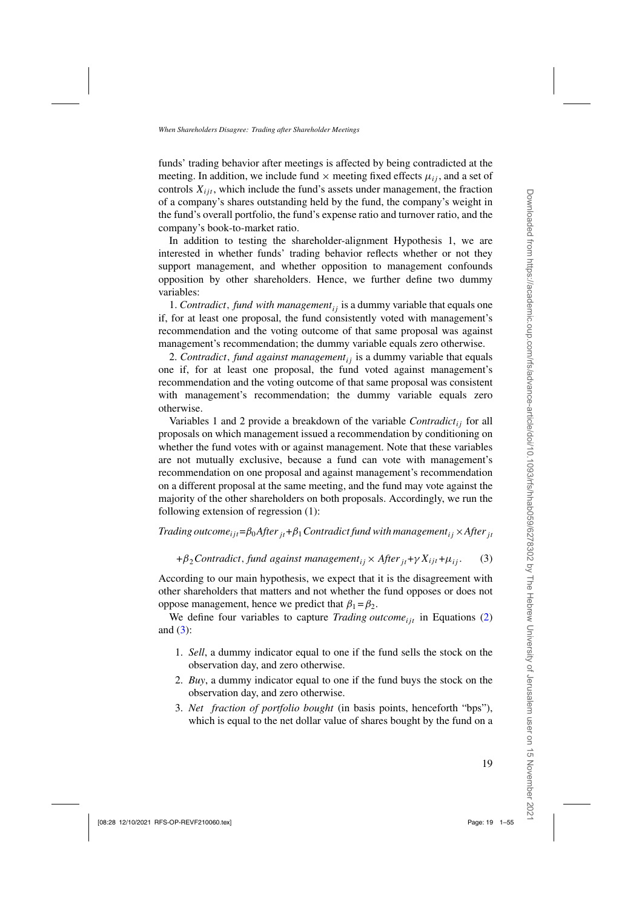<span id="page-18-0"></span>funds' trading behavior after meetings is affected by being contradicted at the meeting. In addition, we include fund  $\times$  meeting fixed effects  $\mu_{ij}$ , and a set of controls  $X_{i,j}$ , which include the fund's assets under management, the fraction of a company's shares outstanding held by the fund, the company's weight in the fund's overall portfolio, the fund's expense ratio and turnover ratio, and the company's book-to-market ratio.

In addition to testing the shareholder-alignment Hypothesis 1, we are interested in whether funds' trading behavior reflects whether or not they support management, and whether opposition to management confounds opposition by other shareholders. Hence, we further define two dummy variables:

1*. Contradict, fund with managementij* is a dummy variable that equals one if, for at least one proposal, the fund consistently voted with management's recommendation and the voting outcome of that same proposal was against management's recommendation; the dummy variable equals zero otherwise.

2. *Contradict, fund against managementij* is a dummy variable that equals one if, for at least one proposal, the fund voted against management's recommendation and the voting outcome of that same proposal was consistent with management's recommendation; the dummy variable equals zero otherwise.

Variables 1 and 2 provide a breakdown of the variable *Contradictij* for all proposals on which management issued a recommendation by conditioning on whether the fund votes with or against management. Note that these variables are not mutually exclusive, because a fund can vote with management's recommendation on one proposal and against management's recommendation on a different proposal at the same meeting, and the fund may vote against the majority of the other shareholders on both proposals. Accordingly, we run the following extension of regression (1):

*Trading outcome*<sub>*it*</sub> = $\beta_0$ *After*<sub>*it*</sub> + $\beta_1$ *Contradict fund with management*<sub>*ij</sub>* × *After*<sub>*it*</sub></sub>

 $+\beta_2$ *Contradict, fund against management*<sub>*ij</sub>* × *After*<sub>*it*</sub>+ $\gamma$ *X<sub>ijt</sub>*+ $\mu$ <sub>*ij*</sub>. (3)</sub>

According to our main hypothesis, we expect that it is the disagreement with other shareholders that matters and not whether the fund opposes or does not oppose management, hence we predict that  $β_1 = β_2$ .

We define four variables to capture *Trading outcome*<sub>ijt</sub> in Equations [\(2\)](#page-17-0) and (3):

- 1. *Sell*, a dummy indicator equal to one if the fund sells the stock on the observation day, and zero otherwise.
- 2. *Buy*, a dummy indicator equal to one if the fund buys the stock on the observation day, and zero otherwise.
- 3. *Net fraction of portfolio bought* (in basis points, henceforth "bps"), which is equal to the net dollar value of shares bought by the fund on a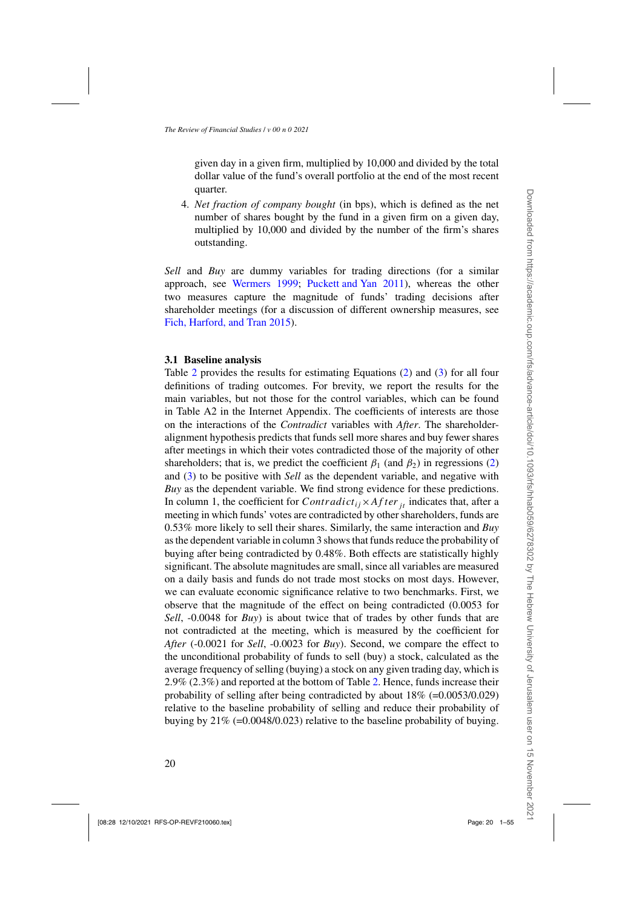given day in a given firm, multiplied by 10,000 and divided by the total dollar value of the fund's overall portfolio at the end of the most recent quarter.

4. *Net fraction of company bought* (in bps), which is defined as the net number of shares bought by the fund in a given firm on a given day, multiplied by 10,000 and divided by the number of the firm's shares outstanding.

*Sell* and *Buy* are dummy variables for trading directions (for a similar approach, see [Wermers 1999](#page-54-0); [Puckett and Yan 2011\)](#page-53-0), whereas the other two measures capture the magnitude of funds' trading decisions after shareholder meetings (for a discussion of different ownership measures, see [Fich, Harford, and Tran 2015](#page-51-0)).

#### **3.1 Baseline analysis**

Table [2](#page-20-0) provides the results for estimating Equations [\(2\)](#page-17-0) and [\(3\)](#page-18-0) for all four definitions of trading outcomes. For brevity, we report the results for the main variables, but not those for the control variables, which can be found in Table A2 in the Internet Appendix. The coefficients of interests are those on the interactions of the *Contradict* variables with *After*. The shareholderalignment hypothesis predicts that funds sell more shares and buy fewer shares after meetings in which their votes contradicted those of the majority of other shareholders; that is, we predict the coefficient  $\beta_1$  (and  $\beta_2$ ) in regressions [\(2\)](#page-17-0) and [\(3\)](#page-18-0) to be positive with *Sell* as the dependent variable, and negative with *Buy* as the dependent variable. We find strong evidence for these predictions. In column 1, the coefficient for *Contradict<sub>ij</sub>*×*After*  $_{it}$  indicates that, after a meeting in which funds' votes are contradicted by other shareholders, funds are 0.53% more likely to sell their shares. Similarly, the same interaction and *Buy* as the dependent variable in column 3 shows that funds reduce the probability of buying after being contradicted by 0.48%. Both effects are statistically highly significant. The absolute magnitudes are small, since all variables are measured on a daily basis and funds do not trade most stocks on most days. However, we can evaluate economic significance relative to two benchmarks. First, we observe that the magnitude of the effect on being contradicted (0.0053 for *Sell*, -0.0048 for *Buy*) is about twice that of trades by other funds that are not contradicted at the meeting, which is measured by the coefficient for *After* (-0.0021 for *Sell*, -0.0023 for *Buy*). Second, we compare the effect to the unconditional probability of funds to sell (buy) a stock, calculated as the average frequency of selling (buying) a stock on any given trading day, which is 2.9% (2.3%) and reported at the bottom of Table [2.](#page-20-0) Hence, funds increase their probability of selling after being contradicted by about  $18\%$  (=0.0053/0.029) relative to the baseline probability of selling and reduce their probability of buying by 21% (=0.0048/0.023) relative to the baseline probability of buying.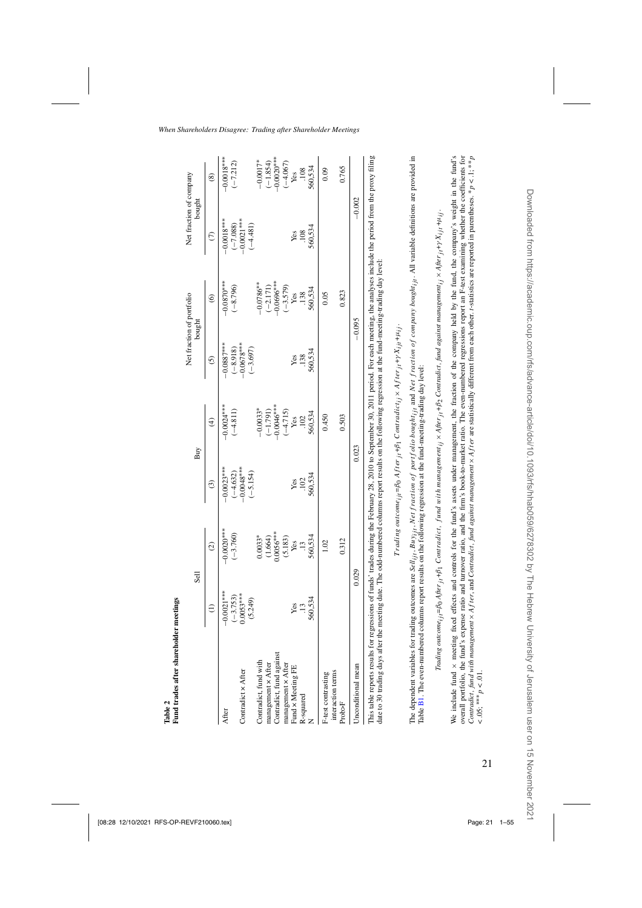<span id="page-20-0"></span>

|                                                    |                                         | Sell                    | Buy                                      |                         | Net fraction of portfolio<br>bought      |                | Net fraction of company<br>bought        |                          |
|----------------------------------------------------|-----------------------------------------|-------------------------|------------------------------------------|-------------------------|------------------------------------------|----------------|------------------------------------------|--------------------------|
|                                                    | $\widehat{=}$                           | $\widehat{\mathcal{O}}$ | $\widehat{\mathcal{E}}$                  | $\widehat{\mathcal{F}}$ | $\odot$                                  | $\circledcirc$ | $\widehat{c}$                            | $\circledast$            |
| After                                              | $-0.0021***$                            | $-0.0020$ **            | $-0.0023***$                             | $-0.0024***$            | $-0.0887***$                             | $-0.0870***$   | $-0.0018***$                             | $-0.0018***$             |
| Contradict x After                                 | $\frac{(-3.753)}{0.0053***}$<br>(5.249) | $(-3.760)$              | $-0.0048***$<br>$(-4.632)$<br>$(-5.154)$ | $(-4.811)$              | $-0.0678***$<br>$(-8.918)$<br>$(-3.697)$ | $(-8.796)$     | $-0.0021***$<br>$(-7.088)$<br>$(-4.481)$ | $(-7.212)$               |
| Contradict, fund with                              |                                         | $0.0033*$               |                                          | $-0.0033*$              |                                          | $-0.0786**$    |                                          | $-0.0017*$               |
|                                                    |                                         | (1.664)                 |                                          | $(-1.791)$              |                                          | $(-2.171)$     |                                          |                          |
| management × After<br>Contradict, fund against     |                                         | $0.0056***$             |                                          | $-0.0046***$            |                                          | $-0.0696***$   |                                          | $(-1.854)$<br>-0.0020*** |
|                                                    |                                         | (5.183)                 |                                          | $(-4.715)$              |                                          | $(-3.579)$     |                                          | $(-4.067)$               |
| management $\times$ After Fund $\times$ Meeting FE |                                         | Yes                     | Yes                                      | Yes                     | Yes                                      | Yes            | Yes                                      | Yes                      |
| R-squared                                          | $\ddot{.}13$                            | $\ddot{.}$              | .102                                     | 102                     | .138                                     | .138           | .108                                     | .108                     |
|                                                    | 560,534                                 | 560,534                 | 560,534                                  | 560,534                 | 560,534                                  | 560,534        | 560,534                                  | 560,534                  |
| interaction terms<br>F-test contrasting            |                                         | 1.02                    |                                          | 0.450                   |                                          | 0.05           |                                          | 0.09                     |
| Prob>F                                             |                                         | 0.312                   |                                          | 0.503                   |                                          | 0.823          |                                          | 0.765                    |
| Jnconditional mean                                 |                                         | 0.029                   | 0.023                                    |                         | $-0.095$                                 |                | $-0.002$                                 |                          |

 $Trading$  outcome<sub>ili</sub>= $\beta_0$  After  $_{it}+\beta_1$  Contradict<sub>i</sub> × After  $_{it}+\gamma X_{it}+\mu_{it}$ . *T rading outcomeijt* =*β*0 *Af terjt* +*β*1 *Contradictij* × *Af terjt* +*γ Xijt* +*μij .* The dependent variables for trading outcomes are Sell<sub>ij</sub>, *Net Ausj<sub>j</sub>, Net fraction of portfolio bought<sub>ijl</sub> and Net fraction of company bought<sub>ijl</sub>. All variable definitions are provided in<br>Table B1. The even-numbered* The dependent variables for trading outcomes are Selli<sub>ji</sub>, Buy<sub>iji</sub>, Net fraction of portfolio bought<sub>iji</sub> and Net fraction of company bought<sub>iji</sub>. All variable definitions are provided in Table [B1.](#page-47-0) The even-numbered columns report results on the following regression at the fund-meeting-trading day level:

Trading outcome;  $_{ii}$ =Bo After  $_{ii}$ +B<sub>1</sub> Contradict, fund with management;  $_1 \times$ After  $_{ii}$ +B<sub>2</sub> Contradict, fund against management;  $_2 \times$ After  $_{ii}$ + $_2$ X<sub>i1</sub>+ $u_{ii}$ ; Trading outcome<sub>i it</sub>=βo After <sub>it</sub>+β<sub>1</sub> Contradict, fund with management<sub>ii</sub> × After <sub>it</sub>+β<sub>2</sub> Contradict, fund against management<sub>i</sub>; × After <sub>it</sub>+r X<sub>it</sub>+μ<sub>ij</sub>

Contradict, fund with management x After, and Contradict, fund against management x After are statistically different from each other. I-statistics are reported in parentheses. \*  $p < 1$ ; \*\*  $p$ We include fund x meeting fixed effects and controls for the fund's assets under management, the fraction of the company held by the fund, the company's weight in the fund's overall portfolio, the fund's expense ratio and turnover ratio, and the firm's book-to-market ratio. The even-numbered regressions report an F-test examining whether the coefficients for We include fund  $\times$  meeting fixed effects and controls for the fund's assets under management, the fraction of the company held by the fund, the company's weight in the fund's overall portfolio, the fund's expense ratio and turnover ratio, and the firm's book-to-market ratio. The even-numbered regressions report an F-test examining whether the coefficients for Contradict, fund with management x After, and Contradict, fund against management x After are statistically different from each other. t-statistics are reported in parentheses. \*  $p < 1$ ; \*\*  $p'$ < .05; \*\*\*  $p$  < .01. < .05; ∗∗∗*p* < .01.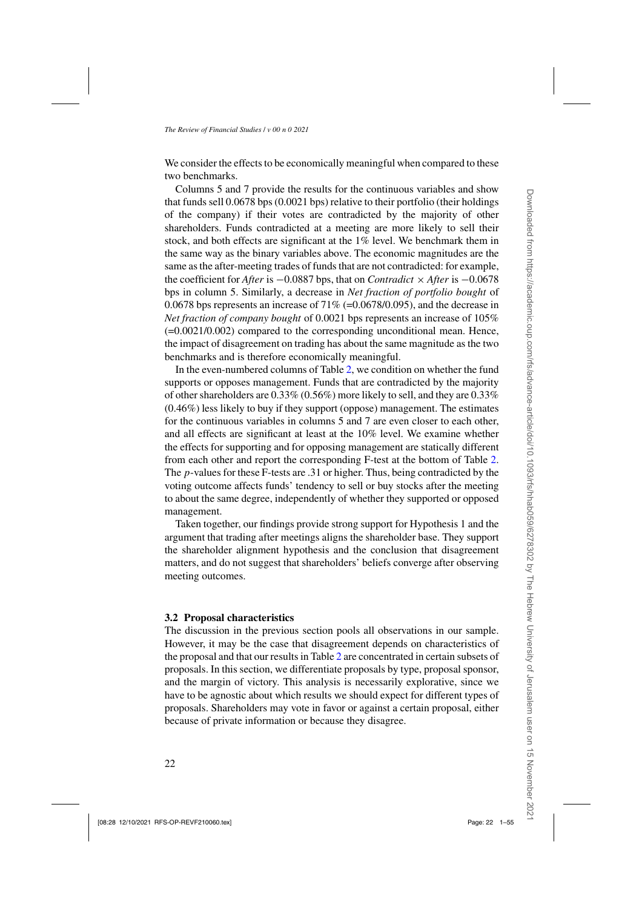<span id="page-21-0"></span>We consider the effects to be economically meaningful when compared to these two benchmarks.

Columns 5 and 7 provide the results for the continuous variables and show that funds sell 0.0678 bps (0.0021 bps) relative to their portfolio (their holdings of the company) if their votes are contradicted by the majority of other shareholders. Funds contradicted at a meeting are more likely to sell their stock, and both effects are significant at the 1% level. We benchmark them in the same way as the binary variables above. The economic magnitudes are the same as the after-meeting trades of funds that are not contradicted: for example, the coefficient for *After* is −0.0887 bps, that on *Contradict* × *After* is −0.0678 bps in column 5. Similarly, a decrease in *Net fraction of portfolio bought* of 0.0678 bps represents an increase of  $71\%$  (=0.0678/0.095), and the decrease in *Net fraction of company bought* of 0.0021 bps represents an increase of 105% (=0.0021/0.002) compared to the corresponding unconditional mean. Hence, the impact of disagreement on trading has about the same magnitude as the two benchmarks and is therefore economically meaningful.

In the even-numbered columns of Table [2,](#page-20-0) we condition on whether the fund supports or opposes management. Funds that are contradicted by the majority of other shareholders are 0.33% (0.56%) more likely to sell, and they are 0.33% (0.46%) less likely to buy if they support (oppose) management. The estimates for the continuous variables in columns 5 and 7 are even closer to each other, and all effects are significant at least at the 10% level. We examine whether the effects for supporting and for opposing management are statically different from each other and report the corresponding F-test at the bottom of Table [2.](#page-20-0) The *p*-values for these F-tests are .31 or higher. Thus, being contradicted by the voting outcome affects funds' tendency to sell or buy stocks after the meeting to about the same degree, independently of whether they supported or opposed management.

Taken together, our findings provide strong support for Hypothesis 1 and the argument that trading after meetings aligns the shareholder base. They support the shareholder alignment hypothesis and the conclusion that disagreement matters, and do not suggest that shareholders' beliefs converge after observing meeting outcomes.

#### **3.2 Proposal characteristics**

The discussion in the previous section pools all observations in our sample. However, it may be the case that disagreement depends on characteristics of the proposal and that our results in Table [2](#page-20-0) are concentrated in certain subsets of proposals. In this section, we differentiate proposals by type, proposal sponsor, and the margin of victory. This analysis is necessarily explorative, since we have to be agnostic about which results we should expect for different types of proposals. Shareholders may vote in favor or against a certain proposal, either because of private information or because they disagree.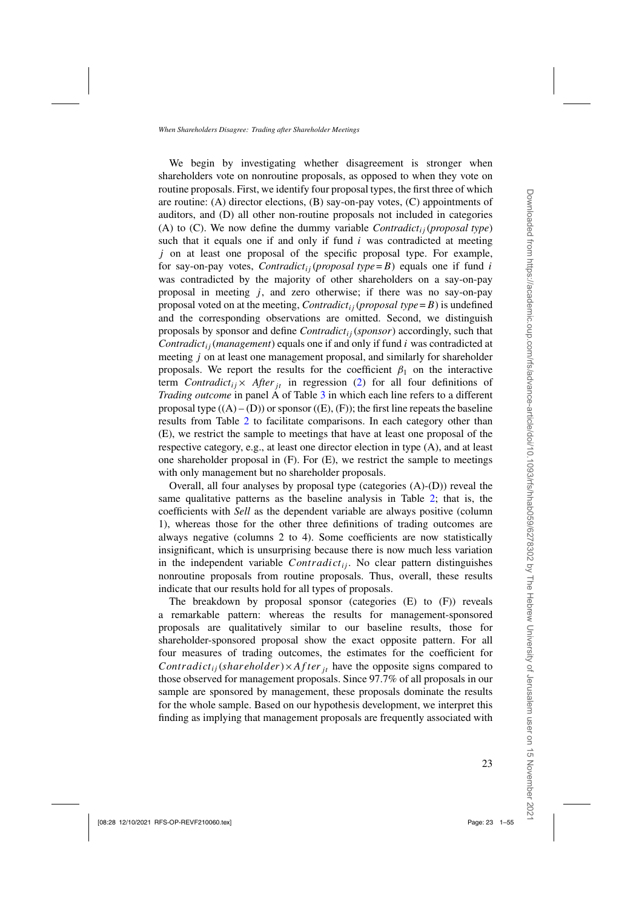We begin by investigating whether disagreement is stronger when shareholders vote on nonroutine proposals, as opposed to when they vote on routine proposals. First, we identify four proposal types, the first three of which are routine: (A) director elections, (B) say-on-pay votes, (C) appointments of auditors, and (D) all other non-routine proposals not included in categories (A) to  $(C)$ . We now define the dummy variable *Contradict<sub>ij</sub>* (*proposal type*) such that it equals one if and only if fund *i* was contradicted at meeting *j* on at least one proposal of the specific proposal type. For example, for say-on-pay votes, *Contradict<sub>ij</sub>* (*proposal type*= $B$ ) equals one if fund *i* was contradicted by the majority of other shareholders on a say-on-pay proposal in meeting  $j$ , and zero otherwise; if there was no say-on-pay proposal voted on at the meeting, *Contradict<sub>ij</sub>* (*proposal type* = *B*) is undefined and the corresponding observations are omitted. Second, we distinguish proposals by sponsor and define *Contradictij* (*sponsor*) accordingly, such that *Contradictij* (*management*) equals one if and only if fund *i* was contradicted at meeting *j* on at least one management proposal, and similarly for shareholder proposals. We report the results for the coefficient  $\beta_1$  on the interactive term *Contradict<sub>ij</sub>*× *After*<sub>*it*</sub> in regression [\(2\)](#page-17-0) for all four definitions of *Trading outcome* in panel A of Table [3](#page-23-0) in which each line refers to a different proposal type  $((A) - (D))$  or sponsor  $((E), (F))$ ; the first line repeats the baseline results from Table [2](#page-20-0) to facilitate comparisons. In each category other than (E), we restrict the sample to meetings that have at least one proposal of the respective category, e.g., at least one director election in type (A), and at least one shareholder proposal in (F). For (E), we restrict the sample to meetings with only management but no shareholder proposals.

Overall, all four analyses by proposal type (categories (A)-(D)) reveal the same qualitative patterns as the baseline analysis in Table [2;](#page-20-0) that is, the coefficients with *Sell* as the dependent variable are always positive (column 1), whereas those for the other three definitions of trading outcomes are always negative (columns 2 to 4). Some coefficients are now statistically insignificant, which is unsurprising because there is now much less variation in the independent variable  $Contract_{ij}$ . No clear pattern distinguishes nonroutine proposals from routine proposals. Thus, overall, these results indicate that our results hold for all types of proposals.

The breakdown by proposal sponsor (categories (E) to (F)) reveals a remarkable pattern: whereas the results for management-sponsored proposals are qualitatively similar to our baseline results, those for shareholder-sponsored proposal show the exact opposite pattern. For all four measures of trading outcomes, the estimates for the coefficient for *Contradict<sub>ij</sub>*(*shareholder*) $\times$ *After j<sub>t</sub>* have the opposite signs compared to those observed for management proposals. Since 97.7% of all proposals in our sample are sponsored by management, these proposals dominate the results for the whole sample. Based on our hypothesis development, we interpret this finding as implying that management proposals are frequently associated with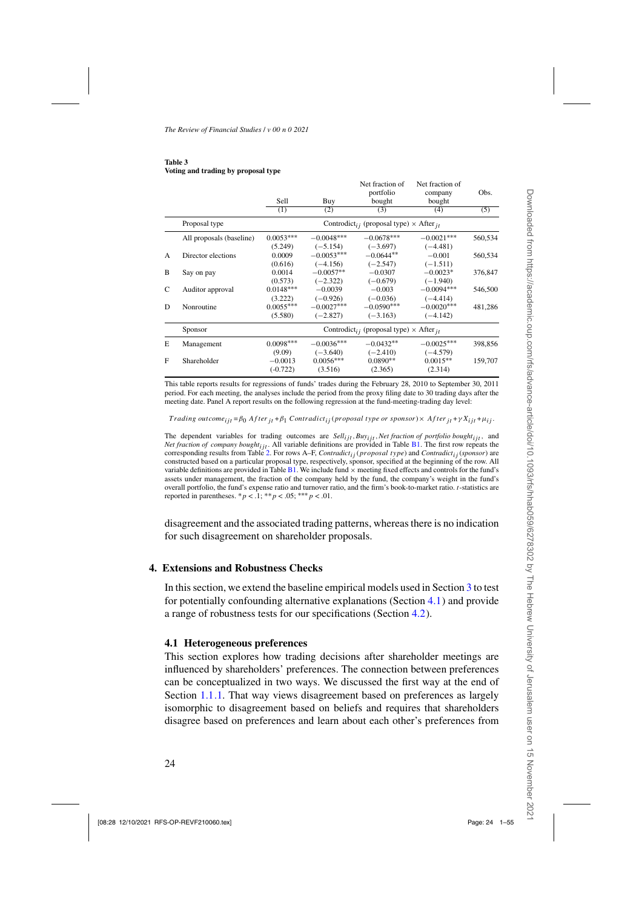#### <span id="page-23-0"></span>**Table 3 Voting and trading by proposal type**

|   |                          |             |              | Net fraction of                                                      | Net fraction of |         |
|---|--------------------------|-------------|--------------|----------------------------------------------------------------------|-----------------|---------|
|   |                          |             |              | portfolio                                                            | company         | Obs.    |
|   |                          | Sell        | Buy          | bought                                                               | bought          |         |
|   |                          | (1)         | (2)          | (3)                                                                  | (4)             | (5)     |
|   | Proposal type            |             |              | Controdict <sub>i</sub> (proposal type) $\times$ After <sub>it</sub> |                 |         |
|   | All proposals (baseline) | $0.0053***$ | $-0.0048***$ | $-0.0678***$                                                         | $-0.0021***$    | 560,534 |
|   |                          | (5.249)     | $(-5.154)$   | $(-3.697)$                                                           | $(-4.481)$      |         |
| A | Director elections       | 0.0009      | $-0.0053***$ | $-0.0644**$                                                          | $-0.001$        | 560,534 |
|   |                          | (0.616)     | $(-4.156)$   | $(-2.547)$                                                           | $(-1.511)$      |         |
| B | Say on pay               | 0.0014      | $-0.0057**$  | $-0.0307$                                                            | $-0.0023*$      | 376,847 |
|   |                          | (0.573)     | $(-2.322)$   | $(-0.679)$                                                           | $(-1.940)$      |         |
| C | Auditor approval         | $0.0148***$ | $-0.0039$    | $-0.003$                                                             | $-0.0094***$    | 546,500 |
|   |                          | (3.222)     | $(-0.926)$   | $(-0.036)$                                                           | $(-4.414)$      |         |
| D | Nonroutine               | $0.0055***$ | $-0.0027***$ | $-0.0590***$                                                         | $-0.0020***$    | 481,286 |
|   |                          | (5.580)     | $(-2.827)$   | $(-3.163)$                                                           | $(-4.142)$      |         |
|   | Sponsor                  |             |              | Controdict <sub>i</sub> (proposal type) $\times$ After <sub>it</sub> |                 |         |
| E | Management               | $0.0098***$ | $-0.0036***$ | $-0.0432**$                                                          | $-0.0025***$    | 398,856 |
|   |                          | (9.09)      | $(-3.640)$   | $(-2.410)$                                                           | $(-4.579)$      |         |
| F | Shareholder              | $-0.0013$   | $0.0056***$  | $0.0890**$                                                           | $0.0015**$      | 159,707 |
|   |                          | $(-0.722)$  | (3.516)      | (2.365)                                                              | (2.314)         |         |

This table reports results for regressions of funds' trades during the February 28, 2010 to September 30, 2011 period. For each meeting, the analyses include the period from the proxy filing date to 30 trading days after the meeting date. Panel A report results on the following regression at the fund-meeting-trading day level:

*Trading outcome*<sub>ijt</sub> =  $\beta_0$  *After*  $_{it} + \beta_1$  *Contradict<sub>ij</sub>* (*proposal type or sponsor*) × *After*  $_{it} + \gamma X_{ijt} + \mu_{ij}$ .

The dependent variables for trading outcomes are *Sellijt,Buyijt,Net fraction of portfolio boughtijt,* and *Net fraction of company bought<sub>ijt</sub>*. All variable definitions are provided in Table [B1.](#page-47-0) The first row repeats the corresponding results from Table [2.](#page-20-0) For rows A–F, *Contradictij* (*proposal type*) and *Contradictij* (*sponsor*) are constructed based on a particular proposal type, respectively, sponsor, specified at the beginning of the row. All variable definitions are provided in Table [B1.](#page-47-0) We include fund  $\times$  meeting fixed effects and controls for the fund's assets under management, the fraction of the company held by the fund, the company's weight in the fund's overall portfolio, the fund's expense ratio and turnover ratio, and the firm's book-to-market ratio. *t*-statistics are reported in parentheses.  $* p < 0.1; * p < 0.05; *** p < 0.01$ .

disagreement and the associated trading patterns, whereas there is no indication for such disagreement on shareholder proposals.

### **4. Extensions and Robustness Checks**

In this section, we extend the baseline empirical models used in Section [3](#page-17-0) to test for potentially confounding alternative explanations (Section 4.1) and provide a range of robustness tests for our specifications (Section [4.2\)](#page-27-0).

### **4.1 Heterogeneous preferences**

This section explores how trading decisions after shareholder meetings are influenced by shareholders' preferences. The connection between preferences can be conceptualized in two ways. We discussed the first way at the end of Section [1.1.1.](#page-6-0) That way views disagreement based on preferences as largely isomorphic to disagreement based on beliefs and requires that shareholders disagree based on preferences and learn about each other's preferences from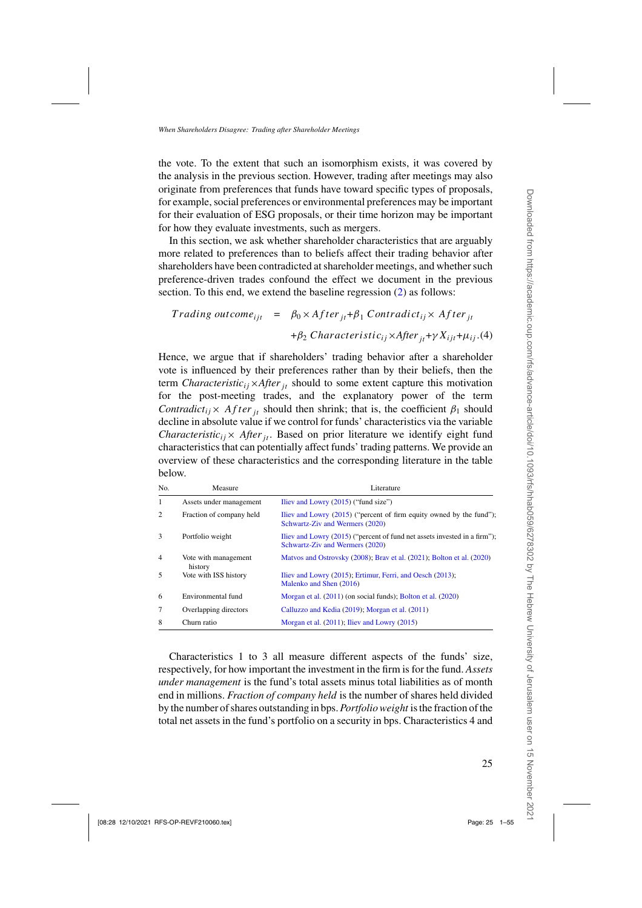<span id="page-24-0"></span>the vote. To the extent that such an isomorphism exists, it was covered by the analysis in the previous section. However, trading after meetings may also originate from preferences that funds have toward specific types of proposals, for example, social preferences or environmental preferences may be important for their evaluation of ESG proposals, or their time horizon may be important for how they evaluate investments, such as mergers.

In this section, we ask whether shareholder characteristics that are arguably more related to preferences than to beliefs affect their trading behavior after shareholders have been contradicted at shareholder meetings, and whether such preference-driven trades confound the effect we document in the previous section. To this end, we extend the baseline regression [\(2\)](#page-17-0) as follows:

Trading outcome<sub>ijt</sub> = 
$$
\beta_0 \times After_{jt} + \beta_1 \text{ Contract}_{ij} \times After_{jt}
$$

\n $+ \beta_2 \text{Characteristic}_{ij} \times After_{jt} + \gamma X_{ijt} + \mu_{ij}.$ 

Hence, we argue that if shareholders' trading behavior after a shareholder vote is influenced by their preferences rather than by their beliefs, then the term *Characteristic*<sub>ij</sub>×*After*<sub>*it*</sub> should to some extent capture this motivation for the post-meeting trades, and the explanatory power of the term *Contradict<sub>ij</sub>*× *Af ter*  $\mathbf{r}_{it}$  should then shrink; that is, the coefficient  $\beta_1$  should decline in absolute value if we control for funds' characteristics via the variable *Characteristic<sub>ij</sub>*× *After*<sub>*it*</sub>. Based on prior literature we identify eight fund characteristics that can potentially affect funds' trading patterns. We provide an overview of these characteristics and the corresponding literature in the table below.

| No.            | Measure                         | Literature                                                                                                   |
|----------------|---------------------------------|--------------------------------------------------------------------------------------------------------------|
| 1              | Assets under management         | Iliev and Lowry (2015) ("fund size")                                                                         |
| 2              | Fraction of company held        | Iliev and Lowry (2015) ("percent of firm equity owned by the fund");<br>Schwartz-Ziv and Wermers (2020)      |
| 3              | Portfolio weight                | Iliev and Lowry (2015) ("percent of fund net assets invested in a firm");<br>Schwartz-Ziv and Wermers (2020) |
| $\overline{4}$ | Vote with management<br>history | Matyos and Ostrovsky (2008); Bray et al. (2021); Bolton et al. (2020)                                        |
| 5              | Vote with ISS history           | Iliev and Lowry (2015); Ertimur, Ferri, and Oesch (2013);<br>Malenko and Shen (2016)                         |
| 6              | Environmental fund              | Morgan et al. (2011) (on social funds); Bolton et al. (2020)                                                 |
| 7              | Overlapping directors           | Calluzzo and Kedia (2019); Morgan et al. (2011)                                                              |
| 8              | Churn ratio                     | Morgan et al. (2011); Iliev and Lowry (2015)                                                                 |

Characteristics 1 to 3 all measure different aspects of the funds' size, respectively, for how important the investment in the firm is for the fund. *Assets under management* is the fund's total assets minus total liabilities as of month end in millions. *Fraction of company held* is the number of shares held divided by the number of shares outstanding in bps.*Portfolio weight* is the fraction of the total net assets in the fund's portfolio on a security in bps. Characteristics 4 and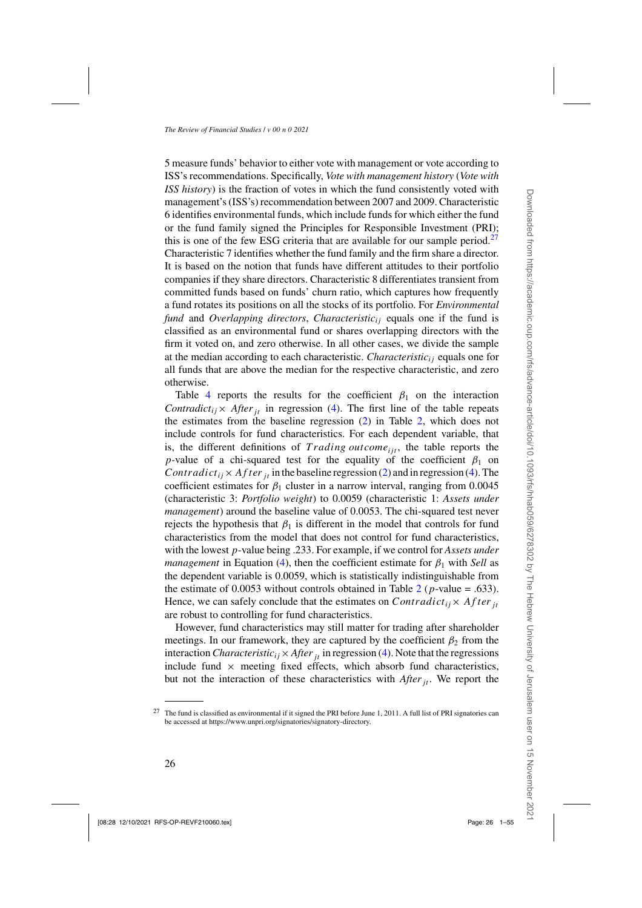5 measure funds' behavior to either vote with management or vote according to ISS's recommendations. Specifically, *Vote with management history* (*Vote with ISS history*) is the fraction of votes in which the fund consistently voted with management's (ISS's) recommendation between 2007 and 2009. Characteristic 6 identifies environmental funds, which include funds for which either the fund or the fund family signed the Principles for Responsible Investment (PRI); this is one of the few ESG criteria that are available for our sample period.<sup>27</sup> Characteristic 7 identifies whether the fund family and the firm share a director. It is based on the notion that funds have different attitudes to their portfolio companies if they share directors. Characteristic 8 differentiates transient from committed funds based on funds' churn ratio, which captures how frequently a fund rotates its positions on all the stocks of its portfolio. For *Environmental fund* and *Overlapping directors*, *Characteristic<sub>ij</sub>* equals one if the fund is classified as an environmental fund or shares overlapping directors with the firm it voted on, and zero otherwise. In all other cases, we divide the sample at the median according to each characteristic. *Characteristicij* equals one for all funds that are above the median for the respective characteristic, and zero otherwise.

Table [4](#page-26-0) reports the results for the coefficient  $\beta_1$  on the interaction *Contradict<sub>ij</sub>*× *After*<sub>*it*</sub> in regression [\(4\)](#page-24-0). The first line of the table repeats the estimates from the baseline regression [\(2\)](#page-17-0) in Table [2,](#page-20-0) which does not include controls for fund characteristics. For each dependent variable, that is, the different definitions of *Trading outcome<sub>iit</sub>*, the table reports the *p*-value of a chi-squared test for the equality of the coefficient  $\beta_1$  on *Contradict<sub>ij</sub>*×*After j<sub>t</sub>* in the baseline regression [\(2\)](#page-17-0) and in regression [\(4\)](#page-24-0). The coefficient estimates for  $\beta_1$  cluster in a narrow interval, ranging from 0.0045 (characteristic 3: *Portfolio weight*) to 0.0059 (characteristic 1: *Assets under management*) around the baseline value of 0.0053. The chi-squared test never rejects the hypothesis that  $\beta_1$  is different in the model that controls for fund characteristics from the model that does not control for fund characteristics, with the lowest *p*-value being .233. For example, if we control for *Assets under management* in Equation [\(4\)](#page-24-0), then the coefficient estimate for  $\beta_1$  with *Sell* as the dependent variable is 0.0059, which is statistically indistinguishable from the estimate of 0.0053 without controls obtained in Table [2](#page-20-0) ( $p$ -value = .633). Hence, we can safely conclude that the estimates on *Contradict<sub>ij</sub>*× *After*  $_{it}$ are robust to controlling for fund characteristics.

However, fund characteristics may still matter for trading after shareholder meetings. In our framework, they are captured by the coefficient  $\beta_2$  from the interaction *Characteristic*<sub>*ij*</sub>  $\times$  *After*  $\frac{1}{it}$  in regression [\(4\)](#page-24-0). Note that the regressions include fund  $\times$  meeting fixed effects, which absorb fund characteristics, but not the interaction of these characteristics with *After*<sub>*it*</sub>. We report the

 $27$  The fund is classified as environmental if it signed the PRI before June 1, 2011. A full list of PRI signatories can be accessed at https://www.unpri.org/signatories/signatory-directory.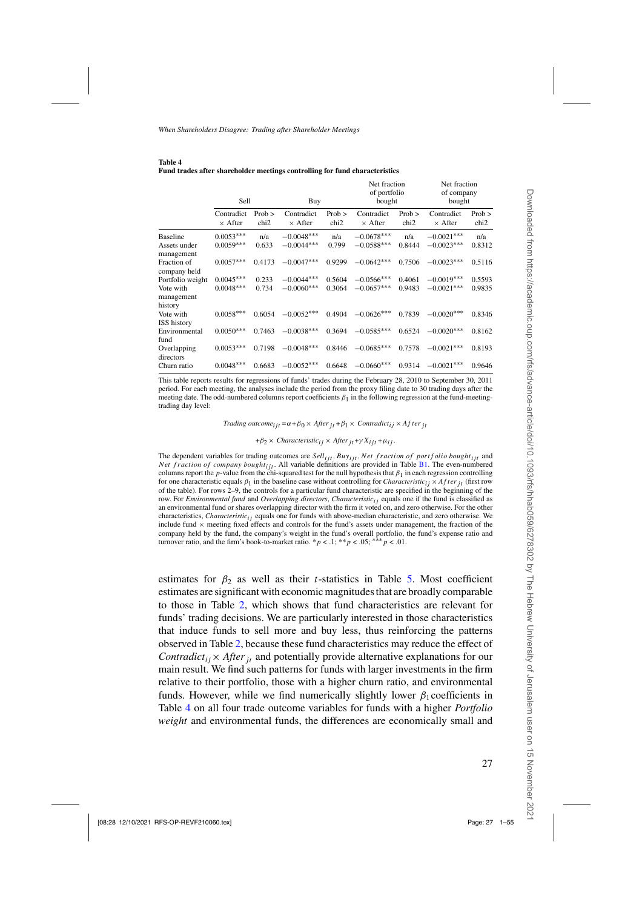|                             |                              |                              | a auto ante sua enorati metango controlling for |                              |                                        |                              |                                      |                          |
|-----------------------------|------------------------------|------------------------------|-------------------------------------------------|------------------------------|----------------------------------------|------------------------------|--------------------------------------|--------------------------|
|                             | Sell                         |                              | Buy                                             |                              | Net fraction<br>of portfolio<br>bought |                              | Net fraction<br>of company<br>bought |                          |
|                             | Contradict<br>$\times$ After | $Prob$ ><br>chi <sub>2</sub> | Contradict<br>$\times$ After                    | $Prob$ ><br>chi <sub>2</sub> | Contradict<br>$\times$ After           | $Prob$ ><br>chi <sub>2</sub> | Contradict<br>$\times$ After         | Prob<br>chi <sub>2</sub> |
| <b>Baseline</b>             | $0.0053***$                  | n/a                          | $-0.0048***$                                    | n/a                          | $-0.0678***$                           | n/a                          | $-0.0021***$                         | n/a                      |
| Assets under<br>management  | $0.0059***$                  | 0.633                        | $-0.0044***$                                    | 0.799                        | $-0.0588***$                           | 0.8444                       | $-0.0023***$                         | 0.8312                   |
| Fraction of<br>company held | $0.0057***$                  | 0.4173                       | $-0.0047***$                                    | 0.9299                       | $-0.0642***$                           | 0.7506                       | $-0.0023***$                         | 0.5116                   |
| Portfolio weight            | $0.0045***$                  | 0.233                        | $-0.0044***$                                    | 0.5604                       | $-0.0566***$                           | 0.4061                       | $-0.0019***$                         | 0.5593                   |
| Vote with<br>management     | $0.0048***$                  | 0.734                        | $-0.0060***$                                    | 0.3064                       | $-0.0657***$                           | 0.9483                       | $-0.0021***$                         | 0.9835                   |
| history                     |                              |                              |                                                 |                              |                                        |                              |                                      |                          |
| Vote with<br>ISS history    | $0.0058***$                  | 0.6054                       | $-0.0052***$                                    | 0.4904                       | $-0.0626***$                           | 0.7839                       | $-0.0020***$                         | 0.8346                   |
| Environmental<br>fund       | $0.0050***$                  | 0.7463                       | $-0.0038***$                                    | 0.3694                       | $-0.0585***$                           | 0.6524                       | $-0.0020***$                         | 0.8162                   |
| Overlapping<br>directors    | $0.0053***$                  | 0.7198                       | $-0.0048***$                                    | 0.8446                       | $-0.0685***$                           | 0.7578                       | $-0.0021***$                         | 0.8193                   |
| Churn ratio                 | $0.0048***$                  | 0.6683                       | $-0.0052***$                                    | 0.6648                       | $-0.0660***$                           | 0.9314                       | $-0.0021***$                         | 0.9646                   |

<span id="page-26-0"></span>**Table 4 Fund trades after shareholder meetings controlling for fund characteristics**

This table reports results for regressions of funds' trades during the February 28, 2010 to September 30, 2011 period. For each meeting, the analyses include the period from the proxy filing date to 30 trading days after the meeting date. The odd-numbered columns report coefficients *β*1 in the following regression at the fund-meetingtrading day level:

0.0048<sup>∗∗∗</sup> 0.6683 −0.0052<sup>∗∗∗</sup> 0.6648 −0.0660<sup>∗∗∗</sup> 0.9314 −0.0021<sup>∗∗∗</sup> 0.9646

*Trading outcome*<sub>*i*jt</sub> = $\alpha + \beta_0 \times$  *After*<sub>*it*</sub> + $\beta_1 \times$  *Contradict<sub>ij</sub>*  $\times$  *After*<sub>*it*</sub>

$$
+\beta_2 \times Characteristic_{ij} \times After_{jt} + \gamma X_{ijt} + \mu_{ij}.
$$

The dependent variables for trading outcomes are *Sell<sub>ijt</sub>*, *Buy<sub>ijt</sub>*, *Net fraction of portfolio bought<sub>ijt</sub>* and *Net fraction of company bought<sub>ijt</sub>*. All variable definitions are provided in Table [B1.](#page-47-0) The even-numbered columns report the *p*-value from the chi-squared test for the null hypothesis that *β*1 in each regression controlling for one characteristic equals  $\beta_1$  in the baseline case without controlling for *Characteristic<sub>i</sub>*  $\times$  *After*  $t$ <sub>*i*</sub> (first row of the table). For rows 2–9, the controls for a particular fund characteristic are specified in the beginning of the row. For *Environmental fund* and *Overlapping directors*, *Characteristic<sub>ij</sub>* equals one if the fund is classified as an environmental fund or shares overlapping director with the firm it voted on, and zero otherwise. For the other characteristics, *Characteristicij* equals one for funds with above-median characteristic, and zero otherwise. We include fund  $\times$  meeting fixed effects and controls for the fund's assets under management, the fraction of the company held by the fund, the company's weight in the fund's overall portfolio, the fund's expense ratio and turnover ratio, and the firm's book-to-market ratio.  $p < 0.1$ ; \*\**p* < .05; \*\*\* *p* < .01.

estimates for  $\beta_2$  as well as their *t*-statistics in Table [5.](#page-27-0) Most coefficient estimates are significant with economic magnitudes that are broadly comparable to those in Table [2,](#page-20-0) which shows that fund characteristics are relevant for funds' trading decisions. We are particularly interested in those characteristics that induce funds to sell more and buy less, thus reinforcing the patterns observed in Table [2,](#page-20-0) because these fund characteristics may reduce the effect of *Contradict<sub>ij</sub>*× *After*<sub>*it*</sub> and potentially provide alternative explanations for our main result. We find such patterns for funds with larger investments in the firm relative to their portfolio, those with a higher churn ratio, and environmental funds. However, while we find numerically slightly lower  $\beta_1$  coefficients in Table 4 on all four trade outcome variables for funds with a higher *Portfolio weight* and environmental funds, the differences are economically small and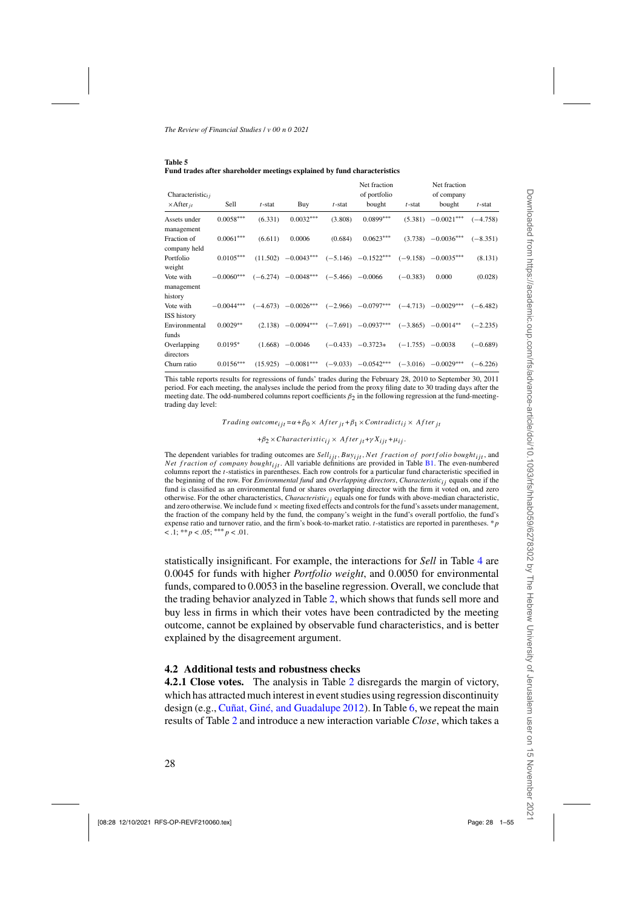| Characteristic $_{ij}$<br>$\times$ After <sub>it</sub> | Sell         | $t$ -stat | Buy                     | $t$ -stat            | Net fraction<br>of portfolio<br>bought | $t$ -stat            | Net fraction<br>of company<br>bought | $t$ -stat  |
|--------------------------------------------------------|--------------|-----------|-------------------------|----------------------|----------------------------------------|----------------------|--------------------------------------|------------|
| Assets under<br>management                             | $0.0058***$  | (6.331)   | $0.0032***$             | (3.808)              | $0.0899***$                            | (5.381)              | $-0.0021***$                         | $(-4.758)$ |
| Fraction of<br>company held                            | $0.0061***$  | (6.611)   | 0.0006                  | (0.684)              | $0.0623***$                            |                      | $(3.738)$ $-0.0036***$               | $(-8.351)$ |
| Portfolio<br>weight                                    | $0.0105***$  |           | $(11.502)$ $-0.0043***$ |                      | $(-5.146)$ $-0.1522***$                |                      | $(-9.158)$ $-0.0035***$              | (8.131)    |
| Vote with<br>management<br>history                     | $-0.0060***$ |           | $(-6.274)$ $-0.0048***$ | $(-5.466)$ $-0.0066$ |                                        | $(-0.383)$           | 0.000                                | (0.028)    |
| Vote with<br><b>ISS</b> history                        | $-0.0044***$ |           | $(-4.673)$ $-0.0026***$ |                      | $(-2.966)$ $-0.0797***$                |                      | $(-4.713)$ $-0.0029***$              | $(-6.482)$ |
| Environmental<br>funds                                 | $0.0029**$   |           | $(2.138)$ $-0.0094***$  |                      | $(-7.691)$ $-0.0937***$                |                      | $(-3.865)$ $-0.0014**$               | $(-2.235)$ |
| Overlapping<br>directors                               | $0.0195*$    |           | $(1.668) -0.0046$       |                      | $(-0.433)$ $-0.3723*$                  | $(-1.755)$ $-0.0038$ |                                      | $(-0.689)$ |

<span id="page-27-0"></span>

| Table 5 |  |                                                                          |
|---------|--|--------------------------------------------------------------------------|
|         |  | Fund trades after shareholder meetings explained by fund characteristics |

This table reports results for regressions of funds' trades during the February 28, 2010 to September 30, 2011 period. For each meeting, the analyses include the period from the proxy filing date to 30 trading days after the meeting date. The odd-numbered columns report coefficients *β*2 in the following regression at the fund-meetingtrading day level:

Churn ratio 0*.*0156∗∗∗ (15*.*925) −0*.*0081∗∗∗ (−9*.*033) −0*.*0542∗∗∗ (−3*.*016) −0*.*0029∗∗∗ (−6*.*226)

*Trading outcome<sub>ijt</sub>* = $\alpha + \beta_0 \times$  *After*<sub>*it*</sub> + $\beta_1 \times$  *Contradict<sub>ij</sub>*  $\times$  *After*<sub>*it*</sub>

 $+\beta_2 \times Characteristic_{ij} \times After_{it} + \gamma X_{i} + \mu_{ij}.$ 

The dependent variables for trading outcomes are *Sell<sub>ijt</sub>*, Buy<sub>ijt</sub>, Net fraction of portfolio bought<sub>ijt</sub>, and *Net fraction of company bought<sub>ijt</sub>*. All variable definitions are provided in Table [B1.](#page-47-0) The even-numbered columns report the *t*-statistics in parentheses. Each row controls for a particular fund characteristic specified in the beginning of the row. For *Environmental fund* and *Overlapping directors*, *Characteristicij* equals one if the fund is classified as an environmental fund or shares overlapping director with the firm it voted on, and zero otherwise. For the other characteristics, *Characteristicij* equals one for funds with above-median characteristic, and zero otherwise. We include fund  $\times$  meeting fixed effects and controls for the fund's assets under management, the fraction of the company held by the fund, the company's weight in the fund's overall portfolio, the fund's expense ratio and turnover ratio, and the firm's book-to-market ratio. *t*-statistics are reported in parentheses. \**p* < .1; \*\**p* < .05; ∗∗∗*p* < .01.

statistically insignificant. For example, the interactions for *Sell* in Table [4](#page-26-0) are 0.0045 for funds with higher *Portfolio weight*, and 0.0050 for environmental funds, compared to 0.0053 in the baseline regression. Overall, we conclude that the trading behavior analyzed in Table [2,](#page-20-0) which shows that funds sell more and buy less in firms in which their votes have been contradicted by the meeting outcome, cannot be explained by observable fund characteristics, and is better explained by the disagreement argument.

#### **4.2 Additional tests and robustness checks**

**4.2.1 Close votes.** The analysis in Table [2](#page-20-0) disregards the margin of victory, which has attracted much interest in event studies using regression discontinuity design (e.g., [Cuñat, Giné, and Guadalupe 2012](#page-51-0)). In Table [6,](#page-28-0) we repeat the main results of Table [2](#page-20-0) and introduce a new interaction variable *Close*, which takes a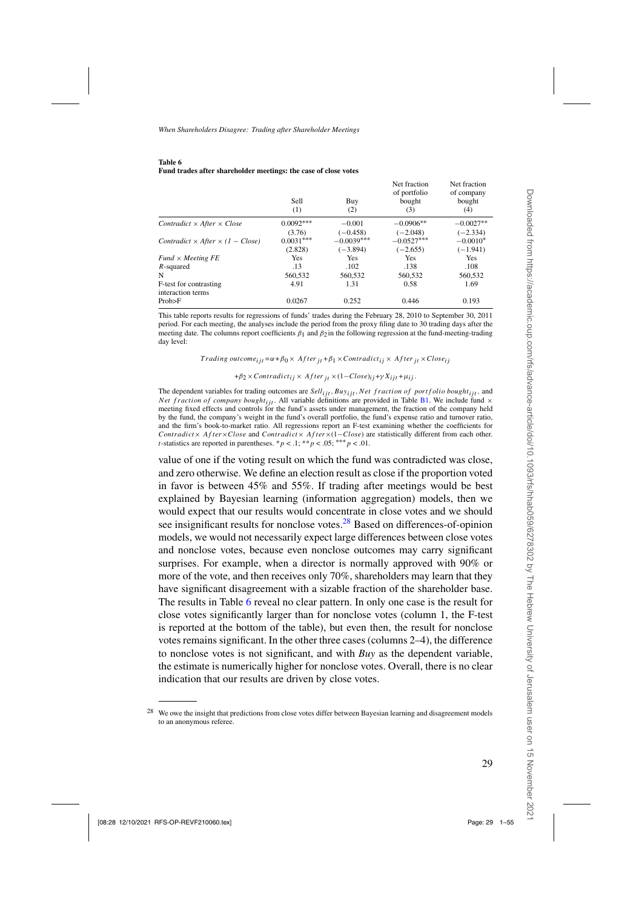<span id="page-28-0"></span>

| Table 6 |  |                                                                 |
|---------|--|-----------------------------------------------------------------|
|         |  | Fund trades after shareholder meetings: the case of close votes |

|                                                | Sell<br>(1) | Buy<br>(2)   | Net fraction<br>of portfolio<br>bought<br>(3) | Net fraction<br>of company<br>bought<br>(4) |
|------------------------------------------------|-------------|--------------|-----------------------------------------------|---------------------------------------------|
| Contradict $\times$ After $\times$ Close       | $0.0092***$ | $-0.001$     | $-0.0906**$                                   | $-0.0027**$                                 |
|                                                | (3.76)      | $(-0.458)$   | $(-2.048)$                                    | $(-2.334)$                                  |
| Contradict $\times$ After $\times$ (1 – Close) | $0.0031***$ | $-0.0039***$ | $-0.0527***$                                  | $-0.0010*$                                  |
|                                                | (2.828)     | $(-3.894)$   | $(-2.655)$                                    | $(-1.941)$                                  |
| $Fund \times Meeting FE$                       | Yes         | <b>Yes</b>   | <b>Yes</b>                                    | Yes                                         |
| $R$ -squared                                   | .13         | .102         | .138                                          | .108                                        |
| N                                              | 560,532     | 560,532      | 560,532                                       | 560,532                                     |
| F-test for contrasting                         | 4.91        | 1.31         | 0.58                                          | 1.69                                        |
| interaction terms                              |             |              |                                               |                                             |
| Prob>F                                         | 0.0267      | 0.252        | 0.446                                         | 0.193                                       |

This table reports results for regressions of funds' trades during the February 28, 2010 to September 30, 2011 period. For each meeting, the analyses include the period from the proxy filing date to 30 trading days after the meeting date. The columns report coefficients  $\beta_1$  and  $\beta_2$  in the following regression at the fund-meeting-trading day level:

*Trading outcome*<sub>iit</sub> = $\alpha + \beta_0 \times$  *After*<sub>it</sub> + $\beta_1 \times$ *Contradict*<sub>ij</sub> × *After*<sub>it</sub> × *Close*<sub>ij</sub>

 $+\beta_2 \times Contracti_{ij} \times After_{it} \times (1-Close)_{ij} + \gamma X_{ij} + \mu_{ij}.$ 

The dependent variables for trading outcomes are *Sellijt,Buyijt,Net f ract ion of portf olio boughtijt,* and *Net fraction of company bought<sub>ijt</sub>*. All variable definitions are provided in Table [B1.](#page-47-0) We include fund  $\times$ meeting fixed effects and controls for the fund's assets under management, the fraction of the company held by the fund, the company's weight in the fund's overall portfolio, the fund's expense ratio and turnover ratio, and the firm's book-to-market ratio. All regressions report an F-test examining whether the coefficients for *Contradict*× *Af ter*×*Close* and *Contradict*× *Af ter*×(1−*Close*) are statistically different from each other. *t*-statistics are reported in parentheses. \* $p < 0.1$ ; \*\* $p < 0.05$ ; \*\*\*  $p < 0.01$ .

value of one if the voting result on which the fund was contradicted was close, and zero otherwise. We define an election result as close if the proportion voted in favor is between 45% and 55%. If trading after meetings would be best explained by Bayesian learning (information aggregation) models, then we would expect that our results would concentrate in close votes and we should see insignificant results for nonclose votes. $^{28}$  Based on differences-of-opinion models, we would not necessarily expect large differences between close votes and nonclose votes, because even nonclose outcomes may carry significant surprises. For example, when a director is normally approved with 90% or more of the vote, and then receives only 70%, shareholders may learn that they have significant disagreement with a sizable fraction of the shareholder base. The results in Table 6 reveal no clear pattern. In only one case is the result for close votes significantly larger than for nonclose votes (column 1, the F-test is reported at the bottom of the table), but even then, the result for nonclose votes remains significant. In the other three cases (columns 2–4), the difference to nonclose votes is not significant, and with *Buy* as the dependent variable, the estimate is numerically higher for nonclose votes. Overall, there is no clear indication that our results are driven by close votes.

<sup>&</sup>lt;sup>28</sup> We owe the insight that predictions from close votes differ between Bayesian learning and disagreement models to an anonymous referee.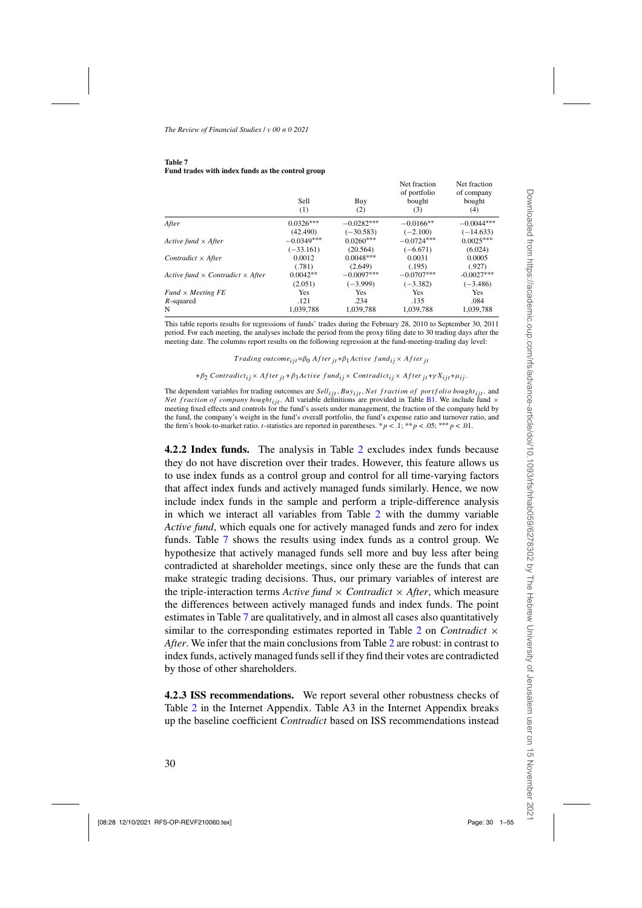|                                                | Sell<br>(1)  | Buy<br>(2)   | Net fraction<br>of portfolio<br>bought<br>(3) | Net fraction<br>of company<br>bought<br>(4) |
|------------------------------------------------|--------------|--------------|-----------------------------------------------|---------------------------------------------|
| After                                          | $0.0326***$  | $-0.0282***$ | $-0.0166**$                                   | $-0.0044***$                                |
|                                                | (42.490)     | $(-30.583)$  | $(-2.100)$                                    | $(-14.633)$                                 |
| Active fund $\times$ After                     | $-0.0349***$ | $0.0260***$  | $-0.0724***$                                  | $0.0025***$                                 |
|                                                | $(-33.161)$  | (20.564)     | $(-6.671)$                                    | (6.024)                                     |
| Contradict $\times$ After                      | 0.0012       | $0.0048***$  | 0.0031                                        | 0.0005                                      |
|                                                | (.781)       | (2.649)      | (.195)                                        | (.927)                                      |
| Active fund $\times$ Contradict $\times$ After | $0.0042**$   | $-0.0097***$ | $-0.0707***$                                  | $-0.0027***$                                |
|                                                | (2.051)      | $(-3.999)$   | $(-3.382)$                                    | $(-3.486)$                                  |
| $Fund \times Meeting FE$                       | Yes          | Yes          | Yes                                           | <b>Yes</b>                                  |
| $R$ -squared                                   | .121         | .234         | .135                                          | .084                                        |
| N                                              | 1.039.788    | 1.039.788    | 1.039.788                                     | 1.039.788                                   |

#### **Table 7 Fund trades with index funds as the control group**

This table reports results for regressions of funds' trades during the February 28, 2010 to September 30, 2011 period. For each meeting, the analyses include the period from the proxy filing date to 30 trading days after the meeting date. The columns report results on the following regression at the fund-meeting-trading day level:

 $T$ *rading outcome<sub>ijt</sub>* = $\beta_0$  *After*  $_{it}$  + $\beta_1$  *Active fund* $_{ii}$  × *After*  $_{it}$ 

+*β*<sub>2</sub> *Contradict<sub>ij</sub>* × *After*<sub>*it*</sub> + *β*<sub>3</sub>*Active fund<sub>ij</sub>* × *Contradict<sub>ij</sub>* × *After*<sub>*it*</sub> +γ  $X_{ijt}$ +μ<sub>ij</sub>.

The dependent variables for trading outcomes are *Sell<sub>ijt</sub>*, Buy<sub>ijt</sub>, Net fraction of portfolio bought<sub>ijt</sub>, and *Net fraction of company bought<sub>ijt</sub>*. All variable definitions are provided in Table [B1.](#page-47-0) We include fund  $\times$ meeting fixed effects and controls for the fund's assets under management, the fraction of the company held by the fund, the company's weight in the fund's overall portfolio, the fund's expense ratio and turnover ratio, and the firm's book-to-market ratio. *t*-statistics are reported in parentheses. \* $p < 0.1$ ; \*\* $p < 0.05$ ; \*\*\* $p < 0.01$ .

**4.2.2 Index funds.** The analysis in Table [2](#page-20-0) excludes index funds because they do not have discretion over their trades. However, this feature allows us to use index funds as a control group and control for all time-varying factors that affect index funds and actively managed funds similarly. Hence, we now include index funds in the sample and perform a triple-difference analysis in which we interact all variables from Table [2](#page-20-0) with the dummy variable *Active fund*, which equals one for actively managed funds and zero for index funds. Table 7 shows the results using index funds as a control group. We hypothesize that actively managed funds sell more and buy less after being contradicted at shareholder meetings, since only these are the funds that can make strategic trading decisions. Thus, our primary variables of interest are the triple-interaction terms *Active fund*  $\times$  *Contradict*  $\times$  *After*, which measure the differences between actively managed funds and index funds. The point estimates in Table 7 are qualitatively, and in almost all cases also quantitatively similar to the corresponding estimates reported in Table [2](#page-20-0) on *Contradict* × *After*. We infer that the main conclusions from Table [2](#page-20-0) are robust: in contrast to index funds, actively managed funds sell if they find their votes are contradicted by those of other shareholders.

**4.2.3 ISS recommendations.** We report several other robustness checks of Table [2](#page-20-0) in the Internet Appendix. Table A3 in the Internet Appendix breaks up the baseline coefficient *Contradict* based on ISS recommendations instead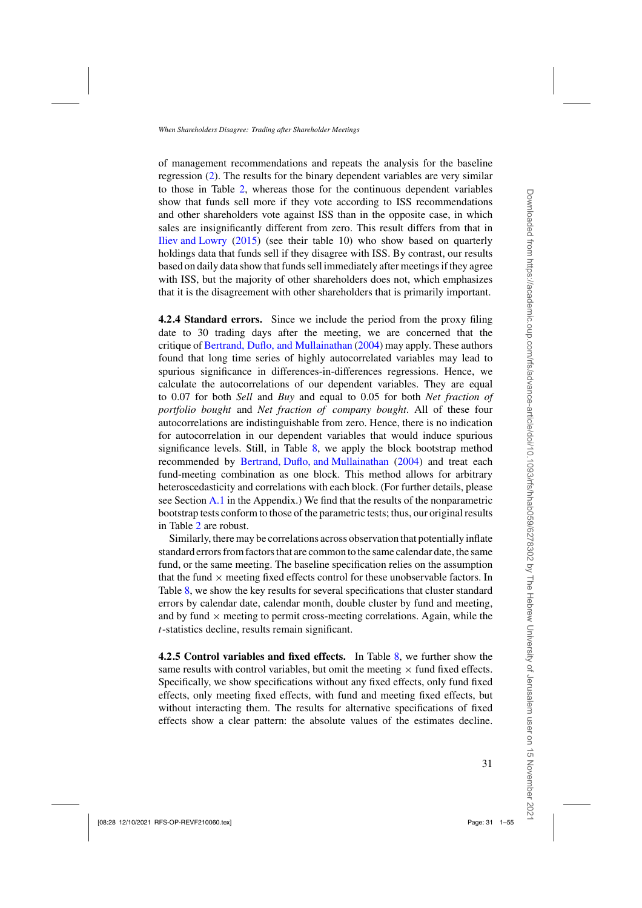of management recommendations and repeats the analysis for the baseline regression [\(2\)](#page-17-0). The results for the binary dependent variables are very similar to those in Table [2,](#page-20-0) whereas those for the continuous dependent variables show that funds sell more if they vote according to ISS recommendations and other shareholders vote against ISS than in the opposite case, in which sales are insignificantly different from zero. This result differs from that in [Iliev and Lowry](#page-52-0) [\(2015](#page-52-0)) (see their table 10) who show based on quarterly holdings data that funds sell if they disagree with ISS. By contrast, our results based on daily data show that funds sell immediately after meetings if they agree with ISS, but the majority of other shareholders does not, which emphasizes that it is the disagreement with other shareholders that is primarily important.

**4.2.4 Standard errors.** Since we include the period from the proxy filing date to 30 trading days after the meeting, we are concerned that the critique of [Bertrand, Duflo, and Mullainathan](#page-50-0) [\(2004\)](#page-50-0) may apply. These authors found that long time series of highly autocorrelated variables may lead to spurious significance in differences-in-differences regressions. Hence, we calculate the autocorrelations of our dependent variables. They are equal to 0.07 for both *Sell* and *Buy* and equal to 0.05 for both *Net fraction of portfolio bought* and *Net fraction of company bought*. All of these four autocorrelations are indistinguishable from zero. Hence, there is no indication for autocorrelation in our dependent variables that would induce spurious significance levels. Still, in Table [8,](#page-31-0) we apply the block bootstrap method recommended by [Bertrand, Duflo, and Mullainathan](#page-50-0) [\(2004](#page-50-0)) and treat each fund-meeting combination as one block. This method allows for arbitrary heteroscedasticity and correlations with each block. (For further details, please see Section  $A<sub>1</sub>$  in the Appendix.) We find that the results of the nonparametric bootstrap tests conform to those of the parametric tests; thus, our original results in Table [2](#page-20-0) are robust.

Similarly, there may be correlations across observation that potentially inflate standard errors from factors that are common to the same calendar date, the same fund, or the same meeting. The baseline specification relies on the assumption that the fund  $\times$  meeting fixed effects control for these unobservable factors. In Table [8,](#page-31-0) we show the key results for several specifications that cluster standard errors by calendar date, calendar month, double cluster by fund and meeting, and by fund  $\times$  meeting to permit cross-meeting correlations. Again, while the *t*-statistics decline, results remain significant.

**4.2.5 Control variables and fixed effects.** In Table [8,](#page-31-0) we further show the same results with control variables, but omit the meeting  $\times$  fund fixed effects. Specifically, we show specifications without any fixed effects, only fund fixed effects, only meeting fixed effects, with fund and meeting fixed effects, but without interacting them. The results for alternative specifications of fixed effects show a clear pattern: the absolute values of the estimates decline.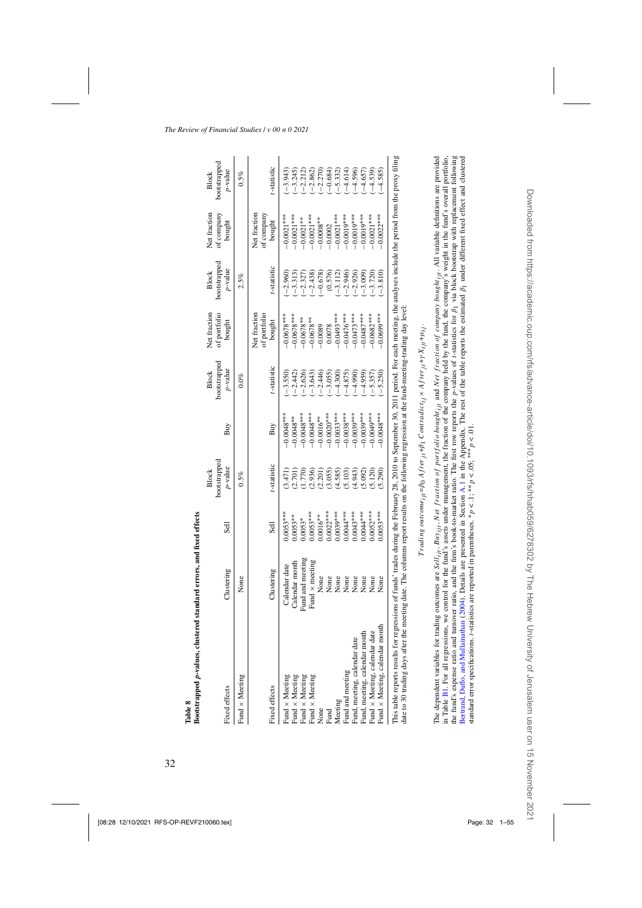<span id="page-31-0"></span>

| DOOLSLTADDEG D-VAILES, CIUSUETED SLAINE ELTUIS, AND ILXEO ELIECUS            |                                                                                                                                                                                                                                                                                   |             |                                            |              |                                          |                                        |                                            |                                      |                                            |
|------------------------------------------------------------------------------|-----------------------------------------------------------------------------------------------------------------------------------------------------------------------------------------------------------------------------------------------------------------------------------|-------------|--------------------------------------------|--------------|------------------------------------------|----------------------------------------|--------------------------------------------|--------------------------------------|--------------------------------------------|
| Fixed effects                                                                | Clustering                                                                                                                                                                                                                                                                        | Sell        | bootstrapped<br>$p$ -value<br><b>Block</b> | Buy          | bootstrapped<br><i>p</i> -value<br>Block | Net fraction<br>of portfolio<br>bought | bootstrapped<br>$p$ -value<br><b>Block</b> | Net fraction<br>of company<br>bought | bootstrapped<br>$p$ -value<br><b>Block</b> |
| Fund × Meeting                                                               | None                                                                                                                                                                                                                                                                              |             | 0.5%                                       |              | $0.0\%$                                  |                                        | 2.5%                                       |                                      | 0.5%                                       |
| Fixed effects                                                                | Clustering                                                                                                                                                                                                                                                                        | Sell        | t-statistic                                | Buy          | t-statistic                              | Net fraction<br>of portfolio<br>bought | t-statistic                                | Net fraction<br>of company<br>bought | t-statistic                                |
|                                                                              | Calendar date                                                                                                                                                                                                                                                                     | $0.0053***$ | (3.471)                                    | $0.0048***$  | $-3.550$                                 | $0.0678***$                            | $-2.960$                                   | $-0.0021***$                         | $-3.943$                                   |
| Fund × Meeting<br>Fund × Meeting<br>Fund × Meeting<br>Fund × Meeting<br>None | Calendar month                                                                                                                                                                                                                                                                    | $0.0053***$ | (2.701)                                    | $0.0048**$   | $-2.442$                                 | $-0.0678***$                           | $-3.313$                                   | $-0.0021***$                         | $-3.245$                                   |
|                                                                              | Fund and meeting                                                                                                                                                                                                                                                                  | $0.0053*$   | 1.770                                      | $0.0048***$  | $-2.626$                                 | $0.0678**$                             | $-2.327$                                   | $-0.0021**$                          | $-2.212$                                   |
|                                                                              | Fund $\times$ meeting                                                                                                                                                                                                                                                             | $0.0053***$ | (2.936)                                    | $-0.0048***$ | $-3.643$                                 | $0.0678**$                             | $-2.438$                                   | $-0.0021***$                         | $-2.862$                                   |
|                                                                              | None                                                                                                                                                                                                                                                                              | $0.0016***$ | (2.201)                                    | $-0.0016**$  | $-2.446$                                 | $-0.0089$                              | $-0.678$                                   | $-0.0008***$                         | $(-2.270)$                                 |
|                                                                              | None                                                                                                                                                                                                                                                                              | $0.0022***$ | (3.055)                                    | $-0.0020***$ | $-3.055$                                 | 0.0078                                 | (0.576)                                    | $-0.0002$                            | $-0.684$                                   |
| Meeting                                                                      | None                                                                                                                                                                                                                                                                              | $0.0039***$ | (4.585)                                    | $-0.0033***$ | $-4.300$                                 | $0.0493***$                            | $-3.112$                                   | $-0.0021***$                         | $(-5.332)$                                 |
| Fund and meeting                                                             | None                                                                                                                                                                                                                                                                              | $0.0044***$ | (5.103)                                    | $-0.0038***$ | $-4.875$                                 | $-0.0476***$                           | $-2.946$                                   | $-0.0019***$                         | $-4.614$                                   |
| Fund, meeting, calendar date                                                 | None                                                                                                                                                                                                                                                                              | $0.0043***$ | (4.943)                                    | $-0.0039***$ | $-4.990$                                 | $-0.0473***$                           | $-2.926$                                   | $-0.0019***$                         | $-4.596$                                   |
| Fund, meeting, calendar month                                                | None                                                                                                                                                                                                                                                                              | $0.0044***$ | (5.092)                                    | $-0.0039***$ | $-4.959$                                 | $0.0487***$                            | $-3.009$                                   | $0.0019***$                          | $-4.657$                                   |
| Fund × Meeting, calendar date                                                | None                                                                                                                                                                                                                                                                              | $0.0052***$ | (5.120)                                    | $0.0049***$  | $-5.357$                                 | $0.0682***$                            | $-3.720$                                   | $-0.0021***$                         | $-4.539$                                   |
| Fund × Meeting, calendar month                                               | None                                                                                                                                                                                                                                                                              | $0.0053***$ | (5.290)                                    | $-0.0048***$ | $(-5.250)$                               | $0.069$ ***                            | $-3.810$                                   | $-0.0022***$                         | $-4.585$                                   |
| This table reports results for<br>date to 30 trading days after              | regressions of funds' trades during the February 28, 2010 to September 30, 2011 period. For each meeting, the analyses include the period from the proxy filing<br>the meeting date. The columns report results on the following regression at the fund-meeting-trading day level |             |                                            |              |                                          |                                        |                                            |                                      |                                            |

| J |
|---|
|   |
|   |
|   |
|   |
|   |
| ı |
|   |
|   |
|   |
|   |
|   |

 $Trading\ outcome_{ii} = \beta_0\ After_{ii} + \beta_1\ Countadict_{ij} \times After_{ii} + \gamma X_{ijt} + \mu_{ij}.$ *T rading outcomeijt* =*β*0 *Af terjt* +*β*1 *Contradictij* × *Af terjt* +*γ Xijt* +*μij .*

the fund's expense ratio and turnover ratio, and the firm's book-to-market ratio. The first row reports the p-values of r-statistics for  $\beta_1$  via block bootstrap with replacement following in Table B1. For all regressions, we control for the fund's assets under management, the fraction of the company held by the fund, the company's weight in the fund's overall portfolio, The dependent variables for trading outcomes are *Sell<sub>ift</sub>*, *Buy<sub>ift</sub>*, *Net fruction of portfolio bought<sub>ift</sub>* and *Net fruction of company bought<sub>ift</sub>*. All variable definitions are provided Bertrand, Duflo, and Mullainathan (2004). Details are presented in Section A.1 in the Appendix. The rest of the table reports the estimated  $\beta_1$  under different fixed effect and clustered The dependent variables for trading outcomes are *Selli<sub>lit</sub>*, *Buy<sub>ijt</sub>*, *Net fraction of portfolio bought<sub>ijt</sub>* and *Net fraction of company* bought<sub>ijt</sub>. All variable definitions are provided in Table [B1.](#page-47-0) For all regressions, we control for the fund's assets under management, the fraction of the company held by the fund, the company's weight in the fund's overall portfolio, the fund's expense ratio and turnover ratio, and the firm's book-to-market ratio. The first row reports the *p*-values of *t*-statistics for *β*1 via block bootstrap with replacement following Bertrand, Duflo, and [Mullainathan](#page-50-0) [\(2004](#page-50-0)). Details are presented in Section [A.1](#page-45-0) in the Appendix. The rest of the table reports the estimated *β*1 under different fixed effect and clustered standard error specifications. t-statistics are reported in parentheses. \*  $p < 0.1$ ; \*\* $p > 0.05$ ; \*\*\*  $p < 0.01$ . standard error specifications. *t*-statistics are reported in parentheses. \**p* < .1; \*\**p* < .05; \*\*\* *p* < .01.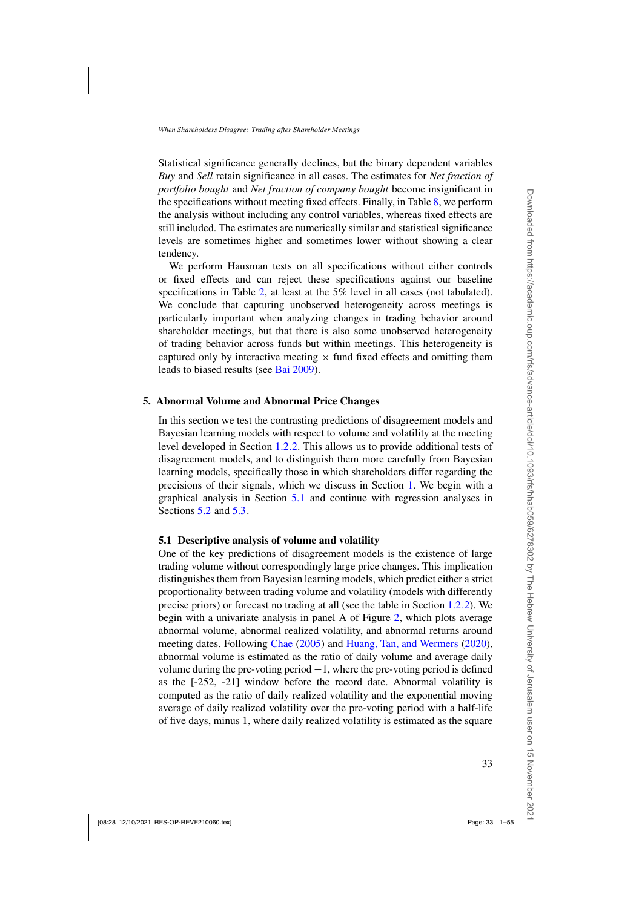<span id="page-32-0"></span>Statistical significance generally declines, but the binary dependent variables *Buy* and *Sell* retain significance in all cases. The estimates for *Net fraction of portfolio bought* and *Net fraction of company bought* become insignificant in the specifications without meeting fixed effects. Finally, in Table [8,](#page-31-0) we perform the analysis without including any control variables, whereas fixed effects are still included. The estimates are numerically similar and statistical significance levels are sometimes higher and sometimes lower without showing a clear tendency.

We perform Hausman tests on all specifications without either controls or fixed effects and can reject these specifications against our baseline specifications in Table [2,](#page-20-0) at least at the 5% level in all cases (not tabulated). We conclude that capturing unobserved heterogeneity across meetings is particularly important when analyzing changes in trading behavior around shareholder meetings, but that there is also some unobserved heterogeneity of trading behavior across funds but within meetings. This heterogeneity is captured only by interactive meeting  $\times$  fund fixed effects and omitting them leads to biased results (see [Bai 2009\)](#page-50-0).

#### **5. Abnormal Volume and Abnormal Price Changes**

In this section we test the contrasting predictions of disagreement models and Bayesian learning models with respect to volume and volatility at the meeting level developed in Section [1.2.2.](#page-11-0) This allows us to provide additional tests of disagreement models, and to distinguish them more carefully from Bayesian learning models, specifically those in which shareholders differ regarding the precisions of their signals, which we discuss in Section [1.](#page-6-0) We begin with a graphical analysis in Section 5.1 and continue with regression analyses in Sections [5.2](#page-35-0) and [5.3.](#page-40-0)

#### **5.1 Descriptive analysis of volume and volatility**

One of the key predictions of disagreement models is the existence of large trading volume without correspondingly large price changes. This implication distinguishes them from Bayesian learning models, which predict either a strict proportionality between trading volume and volatility (models with differently precise priors) or forecast no trading at all (see the table in Section [1.2.2\)](#page-11-0). We begin with a univariate analysis in panel A of Figure [2,](#page-33-0) which plots average abnormal volume, abnormal realized volatility, and abnormal returns around meeting dates. Following [Chae](#page-51-0) [\(2005](#page-51-0)) and [Huang, Tan, and Wermers](#page-52-0) [\(2020\)](#page-52-0), abnormal volume is estimated as the ratio of daily volume and average daily volume during the pre-voting period  $-1$ , where the pre-voting period is defined as the [-252, -21] window before the record date. Abnormal volatility is computed as the ratio of daily realized volatility and the exponential moving average of daily realized volatility over the pre-voting period with a half-life of five days, minus 1, where daily realized volatility is estimated as the square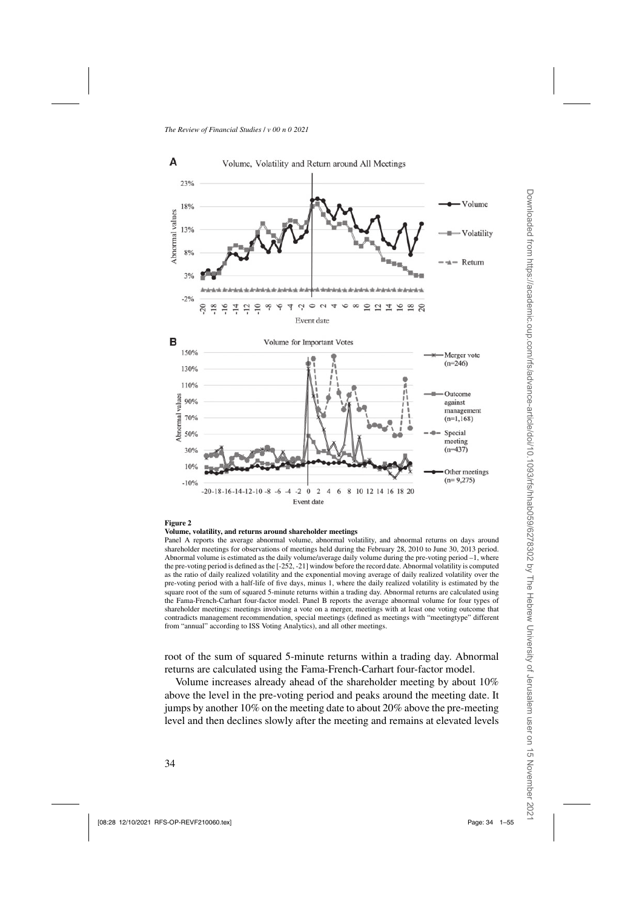<span id="page-33-0"></span>

#### **Figure 2**

#### **Volume, volatility, and returns around shareholder meetings**

Panel A reports the average abnormal volume, abnormal volatility, and abnormal returns on days around shareholder meetings for observations of meetings held during the February 28, 2010 to June 30, 2013 period. Abnormal volume is estimated as the daily volume/average daily volume during the pre-voting period –1, where the pre-voting period is defined as the [-252, -21] window before the record date. Abnormal volatility is computed as the ratio of daily realized volatility and the exponential moving average of daily realized volatility over the pre-voting period with a half-life of five days, minus 1, where the daily realized volatility is estimated by the square root of the sum of squared 5-minute returns within a trading day. Abnormal returns are calculated using the Fama-French-Carhart four-factor model. Panel B reports the average abnormal volume for four types of shareholder meetings: meetings involving a vote on a merger, meetings with at least one voting outcome that contradicts management recommendation, special meetings (defined as meetings with "meetingtype" different from "annual" according to ISS Voting Analytics), and all other meetings.

root of the sum of squared 5-minute returns within a trading day. Abnormal returns are calculated using the Fama-French-Carhart four-factor model.

Volume increases already ahead of the shareholder meeting by about 10% above the level in the pre-voting period and peaks around the meeting date. It jumps by another 10% on the meeting date to about 20% above the pre-meeting level and then declines slowly after the meeting and remains at elevated levels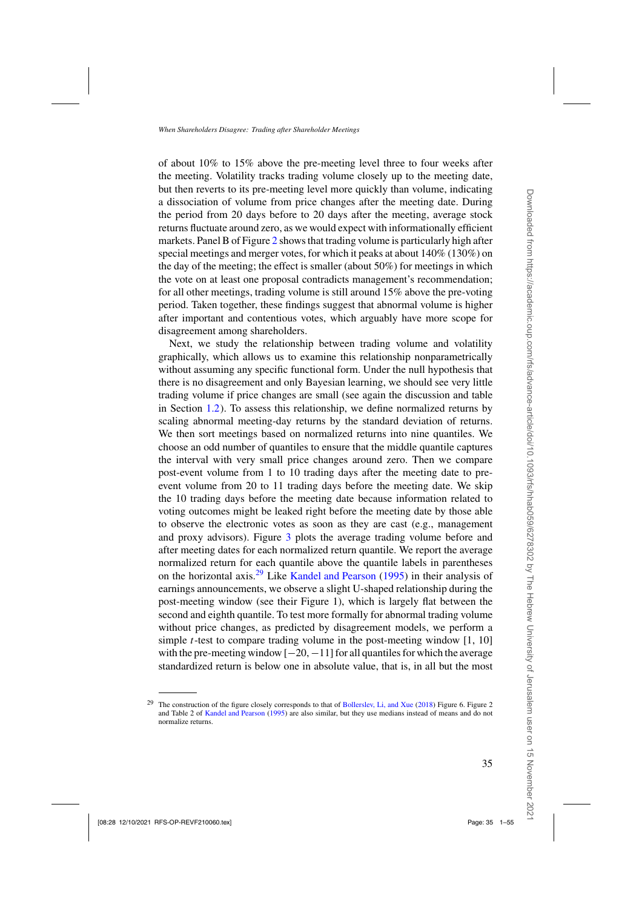of about 10% to 15% above the pre-meeting level three to four weeks after the meeting. Volatility tracks trading volume closely up to the meeting date, but then reverts to its pre-meeting level more quickly than volume, indicating a dissociation of volume from price changes after the meeting date. During the period from 20 days before to 20 days after the meeting, average stock returns fluctuate around zero, as we would expect with informationally efficient markets. Panel B of Figure [2](#page-33-0) shows that trading volume is particularly high after special meetings and merger votes, for which it peaks at about 140% (130%) on the day of the meeting; the effect is smaller (about 50%) for meetings in which the vote on at least one proposal contradicts management's recommendation; for all other meetings, trading volume is still around 15% above the pre-voting period. Taken together, these findings suggest that abnormal volume is higher after important and contentious votes, which arguably have more scope for disagreement among shareholders.

Next, we study the relationship between trading volume and volatility graphically, which allows us to examine this relationship nonparametrically without assuming any specific functional form. Under the null hypothesis that there is no disagreement and only Bayesian learning, we should see very little trading volume if price changes are small (see again the discussion and table in Section [1.2\)](#page-10-0). To assess this relationship, we define normalized returns by scaling abnormal meeting-day returns by the standard deviation of returns. We then sort meetings based on normalized returns into nine quantiles. We choose an odd number of quantiles to ensure that the middle quantile captures the interval with very small price changes around zero. Then we compare post-event volume from 1 to 10 trading days after the meeting date to preevent volume from 20 to 11 trading days before the meeting date. We skip the 10 trading days before the meeting date because information related to voting outcomes might be leaked right before the meeting date by those able to observe the electronic votes as soon as they are cast (e.g., management and proxy advisors). Figure [3](#page-35-0) plots the average trading volume before and after meeting dates for each normalized return quantile. We report the average normalized return for each quantile above the quantile labels in parentheses on the horizontal axis.<sup>29</sup> Like [Kandel and Pearson](#page-52-0) [\(1995\)](#page-52-0) in their analysis of earnings announcements, we observe a slight U-shaped relationship during the post-meeting window (see their Figure 1), which is largely flat between the second and eighth quantile. To test more formally for abnormal trading volume without price changes, as predicted by disagreement models, we perform a simple *t*-test to compare trading volume in the post-meeting window [1, 10] with the pre-meeting window  $[-20, -11]$  for all quantiles for which the average standardized return is below one in absolute value, that is, in all but the most

<sup>&</sup>lt;sup>29</sup> The construction of the figure closely corresponds to that of [Bollerslev, Li, and Xue](#page-50-0) [\(2018](#page-50-0)) Figure 6. Figure 2 and Table 2 of [Kandel and Pearson](#page-52-0) [\(1995\)](#page-52-0) are also similar, but they use medians instead of means and do not normalize returns.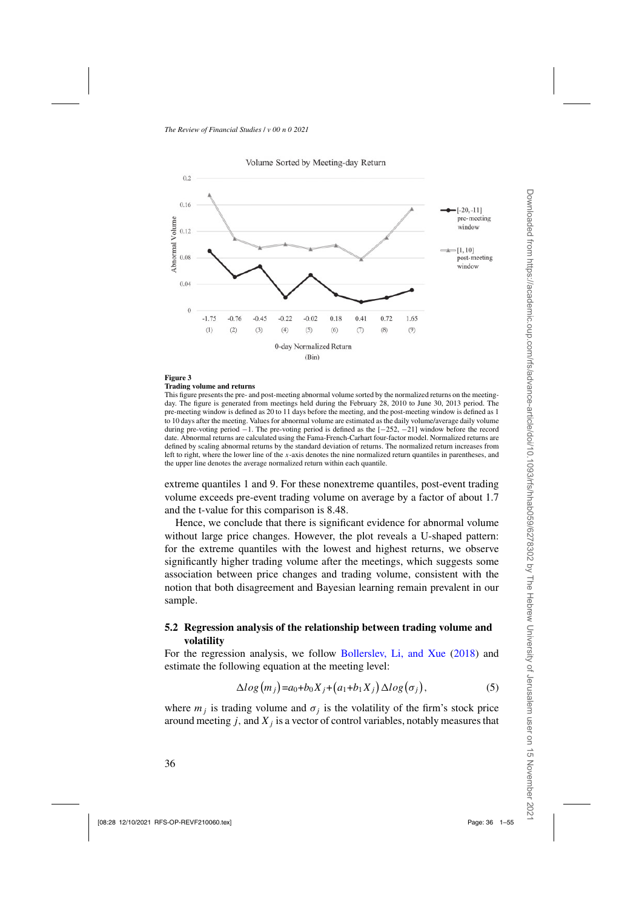<span id="page-35-0"></span>

#### Volume Sorted by Meeting-day Return

### **Figure 3**

#### **Trading volume and returns**

This figure presents the pre- and post-meeting abnormal volume sorted by the normalized returns on the meetingday. The figure is generated from meetings held during the February 28, 2010 to June 30, 2013 period. The pre-meeting window is defined as 20 to 11 days before the meeting, and the post-meeting window is defined as 1 to 10 days after the meeting. Values for abnormal volume are estimated as the daily volume/average daily volume during pre-voting period −1. The pre-voting period is defined as the [−252, −21] window before the record date. Abnormal returns are calculated using the Fama-French-Carhart four-factor model. Normalized returns are defined by scaling abnormal returns by the standard deviation of returns. The normalized return increases from left to right, where the lower line of the *x*-axis denotes the nine normalized return quantiles in parentheses, and the upper line denotes the average normalized return within each quantile.

extreme quantiles 1 and 9. For these nonextreme quantiles, post-event trading volume exceeds pre-event trading volume on average by a factor of about 1.7 and the t-value for this comparison is 8.48.

Hence, we conclude that there is significant evidence for abnormal volume without large price changes. However, the plot reveals a U-shaped pattern: for the extreme quantiles with the lowest and highest returns, we observe significantly higher trading volume after the meetings, which suggests some association between price changes and trading volume, consistent with the notion that both disagreement and Bayesian learning remain prevalent in our sample.

#### **5.2 Regression analysis of the relationship between trading volume and volatility**

For the regression analysis, we follow [Bollerslev, Li, and Xue](#page-50-0) [\(2018](#page-50-0)) and estimate the following equation at the meeting level:

$$
\Delta log(m_j) = a_0 + b_0 X_j + (a_1 + b_1 X_j) \Delta log(\sigma_j), \qquad (5)
$$

where  $m_j$  is trading volume and  $\sigma_j$  is the volatility of the firm's stock price around meeting  $j$ , and  $X_j$  is a vector of control variables, notably measures that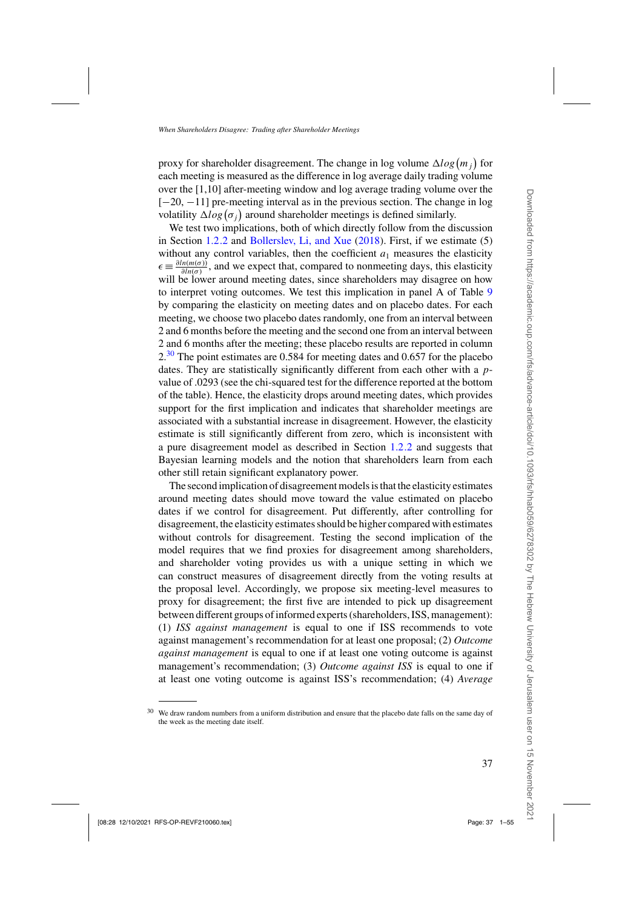proxy for shareholder disagreement. The change in log volume  $\Delta log(m_j)$  for each meeting is measured as the difference in log average daily trading volume over the [1,10] after-meeting window and log average trading volume over the [−20, −11] pre-meeting interval as in the previous section. The change in log volatility  $\Delta log(\sigma_j)$  around shareholder meetings is defined similarly.

We test two implications, both of which directly follow from the discussion in Section [1.2.2](#page-11-0) and [Bollerslev, Li, and Xue](#page-50-0) [\(2018\)](#page-50-0). First, if we estimate (5) without any control variables, then the coefficient  $a_1$  measures the elasticity  $\epsilon = \frac{\partial ln(m(\sigma))}{\partial ln(\sigma)}$ , and we expect that, compared to nonmeeting days, this elasticity will be lower around meeting dates, since shareholders may disagree on how to interpret voting outcomes. We test this implication in panel A of Table [9](#page-37-0) by comparing the elasticity on meeting dates and on placebo dates. For each meeting, we choose two placebo dates randomly, one from an interval between 2 and 6 months before the meeting and the second one from an interval between 2 and 6 months after the meeting; these placebo results are reported in column  $2<sup>30</sup>$  The point estimates are 0.584 for meeting dates and 0.657 for the placebo dates. They are statistically significantly different from each other with a *p*value of .0293 (see the chi-squared test for the difference reported at the bottom of the table). Hence, the elasticity drops around meeting dates, which provides support for the first implication and indicates that shareholder meetings are associated with a substantial increase in disagreement. However, the elasticity estimate is still significantly different from zero, which is inconsistent with a pure disagreement model as described in Section [1.2.2](#page-11-0) and suggests that Bayesian learning models and the notion that shareholders learn from each other still retain significant explanatory power.

The second implication of disagreement models is that the elasticity estimates around meeting dates should move toward the value estimated on placebo dates if we control for disagreement. Put differently, after controlling for disagreement, the elasticity estimates should be higher compared with estimates without controls for disagreement. Testing the second implication of the model requires that we find proxies for disagreement among shareholders, and shareholder voting provides us with a unique setting in which we can construct measures of disagreement directly from the voting results at the proposal level. Accordingly, we propose six meeting-level measures to proxy for disagreement; the first five are intended to pick up disagreement between different groups of informed experts (shareholders, ISS, management): (1) *ISS against management* is equal to one if ISS recommends to vote against management's recommendation for at least one proposal; (2) *Outcome against management* is equal to one if at least one voting outcome is against management's recommendation; (3) *Outcome against ISS* is equal to one if at least one voting outcome is against ISS's recommendation; (4) *Average*

<sup>30</sup> We draw random numbers from a uniform distribution and ensure that the placebo date falls on the same day of the week as the meeting date itself.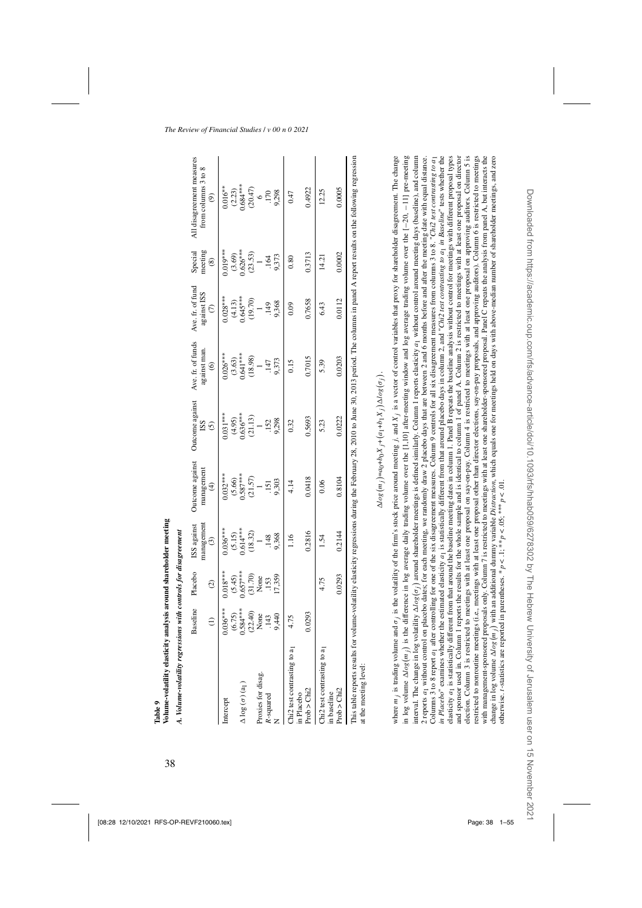<span id="page-37-0"></span>

|                                                        | <b>Baseline</b>           | Placebo<br>$\widehat{c}$  | management<br>ISS against<br>$\odot$ | Outcome against<br>nanagement<br>$\oplus$                    | <b>Outcome</b> against<br><b>ISS</b><br>⊙ | Ave. fr. of funds<br>against man.<br>$\widehat{\circ}$ | Ave. fr. of fund<br>against ISS<br>$\widehat{c}$ | Special<br>meeting<br>$\circledS$   | All disagreement measures<br>from columns 3 to 8<br>$\widehat{e}$                                                                                                |
|--------------------------------------------------------|---------------------------|---------------------------|--------------------------------------|--------------------------------------------------------------|-------------------------------------------|--------------------------------------------------------|--------------------------------------------------|-------------------------------------|------------------------------------------------------------------------------------------------------------------------------------------------------------------|
| ntercept                                               | $0.036***$                | $0.018***$                | $0.036***$                           | $0.032***$                                                   | $0.031***$                                | $0.026***$                                             | $0.028***$                                       | $0.019***$                          | $0.016**$                                                                                                                                                        |
| $\Delta \log (\sigma)$ (a <sub>1</sub> )               | $(6.75)$<br>0.584***      | $(5.45)$<br>0.657***      | $(5.15)$<br>0.614***<br>(18.32)      | $\begin{array}{c} (5.66) \\ 0.587*** \\ (21.57) \end{array}$ | $(4.95)$<br>$0.636***$<br>$(21.13)$       | $^{(3.63)}_{0.641***}$<br>$^{(3.63)}_{0.641***}$       | $(4.13)$<br>0.645***<br>19.70)                   | $(3.69)$<br>$0.626***$<br>$(23.53)$ | $\begin{array}{c} (2.23) \\ 0.684*** \\ (20.47) \end{array}$                                                                                                     |
| Proxies for disag.<br>R-squared                        | $(22.40)$<br>None<br>.143 | $(31.70)$<br>None<br>.153 | .148                                 | $-151$                                                       | .152                                      | 147                                                    | 49                                               | $\vec{R}$                           | $\frac{6}{2}$                                                                                                                                                    |
|                                                        | 9,440                     | 17,359                    | 9,368                                | 9,303                                                        | 9,298                                     | 9,373                                                  | 9,368                                            | 9,373                               | 9,298                                                                                                                                                            |
| Chi2 test contrasting to a<br>in Placebo               | 4.75                      |                           | 1.16                                 | 4.14                                                         | 0.32                                      | 0.15                                                   | 0.09                                             | 0.80                                | 0.47                                                                                                                                                             |
| Prob > Chi2                                            | 0.0293                    |                           | 0.2816                               | 0.0418                                                       | 0.5693                                    | 0.7015                                                 | 0.7658                                           | 0.3713                              | 0.4922                                                                                                                                                           |
| Chi2 test contrasting to a<br>in baseline              |                           | 4.75                      | 1.54                                 | 0.06                                                         | 5.23                                      | 5.39                                                   | 6.43                                             | 14.21                               | 12.25                                                                                                                                                            |
| Prob > Chi2                                            |                           | 0.0293                    | 0.2144                               | 0.8104                                                       | 0.0222                                    | 0.0203                                                 | 0.0112                                           | 0.0002                              | 0.0005                                                                                                                                                           |
| his table reports results for<br>at the meeting level: |                           |                           |                                      |                                                              |                                           |                                                        |                                                  |                                     | volume-volatility elasticity regressions during the February 28, 2010 to June 30, 2013 period. The columns in panel A report results on the following regression |

$$
\Delta log(m_j) = a_0 + b_0 X_j + (a_1 + b_1 X_j) \Delta log(\sigma_j).
$$

in log volume  $\Delta log(m_i)$  is the difference in log average daily trading volume over the [1,10] after-meeting window and log average trading volume over the  $[-20, -11]$  pre-meeting interval. The change in log volatility  $\Delta log(\sigma_j)$  around shareholder meetings is defined similarly. Column 1 reports elasticity  $a_1$  without control around meeting days (baseline), and column 2 reports  $a_1$  without contro elasticity a<sub>1</sub> is statistically different from that around the baseline meeting dates in column 1. Panel B repeats the baseline analysis without control for meetings with different proposal types election. Column 3 is restricted to meetings with at least one proposal on say-on-pay. Column 4 is restricted to meetings with at least one proposal on approving auditors. Column 5 is restricted to nonroutine meetings (i.e., meetings with at least one proposal other than director elections, say-on-pay proposals, and approving auditors). Column 6 is restricted to meetings with management-sponsored proposals only. Column 7 is restricted to meetings with at least one shareholder-sponsored proposal. Panel C repeats the analysis from panel A, but interacts the<br>change in log volume  $\Delta log(m_j)$  wit where  $m_i$  is trading volume and  $\sigma_i$  is the wolatility of the firm's stock price around meeting i, and X; is a vector of control variables that proxy for shareholder disagreement. The change Columns 3 to 8 report  $a_1$  after controlling for one of the six disagreement measures. Column 9 controls for all six disagreement measures from columns 3 to 8. "Chi2 test contrasting to  $a_1$ in Placebo" examines whether the estimated elasticity  $a_1$  is statistically different from that around placebo days in column 2, and "Chi2 test contrasting to  $a_1$  in Baseline" tests whether the and sponsor used in. Column 1 reports the results for the whole sample and is identical to column 1 of panel A. Column 2 is restricted to meetings with at least one proposal on director where *m j* is trading volume and *σ j* is the wolatility of the firm's stock price around meeting *j*, and *X* j is a vector of control variables that proxy for shareholder disagreement. The change *m<sub>j</sub>*) is the difference in log average daily trading volume over the [1,10] after-meeting window and log average trading volume over the [−20, −11] pre-meeting *σj* around shareholder meetings is defined similarly. Column 1 reports elasticity *a*1 without control around meeting days (baseline), and column 2 reports *a*1 without control on placebo dates; for each meeting, we randomly draw 2 placebo days that are between 2 and 6 months before and after the meeting date with equal distance. Columns 3 to 8 report  $a_1$  after controlling for one of the six disagreement measures. Column 9 controls for all six disagreement measures from columns 3 to 8. "Chi2 test contrasting to a in Placebo" examines whether the estimated elasticity  $q_1$  is statistically different from that around placebo days in column 2, and "Chi2 test contrasting to  $q_1$  in Baseline" tests whether the elasticity *a*<sub>1</sub> is statistically different from that around the baseline meeting dates in column 1. Panel B repeats the baseline analysis without control for meetings with different proposal types and sponsor used in. Column 1 reports the results for the whole sample and is identical to column 1 of panel A. Column 2 is restricted to meetings with at least one proposal on director election. Column 3 is restricted to meetings with at least one proposal on say-on-pay. Column 4 is restricted to meetings with at least one proposal on approving auditors. Column 5 is restricted to nonroutine meetings (i.e., meetings with at least one proposal other than director elections, say-on-pay proposals, and approving auditors). Column 6 is restricted to meetings with management-sponsored proposals only. Column 7 is restricted to meetings with at least one shareholder-sponsored proposal. Panel C repeats the analysis from panel A, but interacts the *mj* with an additional dummy variable *Distraction*, which equals one for meetings held on days with above-median number of shareholder meetings, and zero otherwise. *t*-statistics are reported in parentheses. \*  $p < 0.1$ ; \*\* $p < 0.05$ ; \*\*\*  $p < 0.01$ . interval. The change in log volatility  $\Delta$ change in log volume  $\Delta$ in log volume  $\Delta$ 

Downloaded from https://academic.oup.com/rfs/advance-article/doi/10.1093/rfs/hhab059/6278302 by The Hebrew University of Jerusalem user on 15 November 2021

Downloaded from https://academic.oup.com/rfs/advance-article/doi/10.1093/rfs/hhab059/6278302 by The Hebrew University of Jerusalem user on 15 Novembe

**Table 9**

**Volume-volatility elasticity analysis around shareholder meeting** *A. Volume-volatility regressions with controls for disagreement*

Volume-volatility elasticity analysis around shareholder meeting A. Volume-volatility regressions with controls for disagreement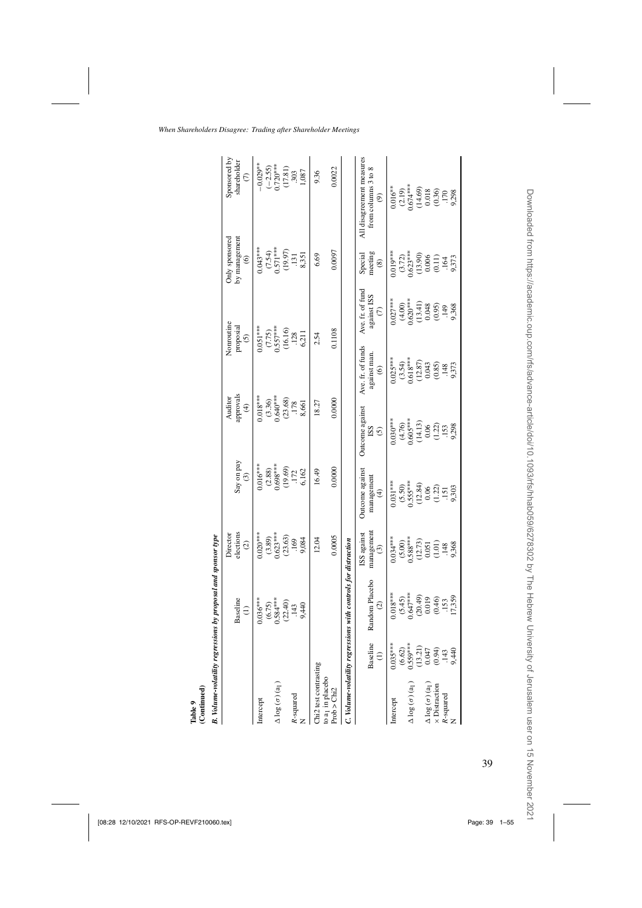| Table 9<br>(Continued)                                                    |                                                                                             |                                                                |                                                                                                   |                                                                                      |                                                              |                                                                          |                                                               |                                                                                                           |                                                                                                  |
|---------------------------------------------------------------------------|---------------------------------------------------------------------------------------------|----------------------------------------------------------------|---------------------------------------------------------------------------------------------------|--------------------------------------------------------------------------------------|--------------------------------------------------------------|--------------------------------------------------------------------------|---------------------------------------------------------------|-----------------------------------------------------------------------------------------------------------|--------------------------------------------------------------------------------------------------|
|                                                                           |                                                                                             | B. Volume-volatility regressions by proposal and sponsor type  |                                                                                                   |                                                                                      |                                                              |                                                                          |                                                               |                                                                                                           |                                                                                                  |
|                                                                           |                                                                                             | Baseline<br>$\widehat{=}$                                      | elections<br>Director<br>$\odot$                                                                  | Say on pay<br>$\widehat{c}$                                                          | approvals<br>Auditor<br>$\widehat{\mathcal{F}}$              |                                                                          | Nonroutine<br>proposial<br>$\odot$                            | Only sponsored<br>by management<br>$\widehat{\mathbf{e}}$                                                 | Sponsored by<br>shareholder<br>$\epsilon$                                                        |
| Intercept                                                                 |                                                                                             | $0.036***$                                                     | $0.020***$                                                                                        |                                                                                      | $0.018***$                                                   |                                                                          | $0.051***$                                                    |                                                                                                           | $-0.029**$                                                                                       |
| $\Delta$ log $(\sigma)$ (a <sub>1</sub> )                                 |                                                                                             | $(6.75)$<br>$0.584***$<br>$(22.40)$<br>$.143$                  |                                                                                                   |                                                                                      | $(3.36)$<br>$0.640***$                                       |                                                                          |                                                               |                                                                                                           |                                                                                                  |
| R-squared                                                                 |                                                                                             | 9,440                                                          | $(3.89)$<br>$0.623***$<br>$(23.63)$<br>$.169$<br>$.9.084$                                         | $0.016***\n(2.88)\n0.698***\n(19.69)\n(172\n.172\n6.162$                             | $\begin{array}{c} (23.68) \\ +178 \\ 8,661 \end{array}$      |                                                                          | $(7.75)$<br>0.557 <sup>***</sup><br>0.6.16)<br>(12.8<br>0.211 | $0.043***$<br>$(7.54)$<br>$0.571***$<br>$(19.97)$<br>$(19.97)$<br>$(131)$<br>$(3,351)$                    | $\begin{array}{c} (-2.55) \\ 0.720*** \\ (17.81) \\ .303 \\ .1,087 \end{array}$                  |
| Chi2 test contrasting<br>to $a_1$ in place<br>bo Prob $>$ Chi2            |                                                                                             |                                                                | 0.0005<br>12.04                                                                                   | 0.0000<br>16.49                                                                      | 0.0000<br>18.27                                              |                                                                          | 0.1108<br>2.54                                                | 0.0097<br>6.69                                                                                            | 0.0022<br>9.36                                                                                   |
|                                                                           |                                                                                             | C. Volume-volatility regressions with controls for distraction |                                                                                                   |                                                                                      |                                                              |                                                                          |                                                               |                                                                                                           |                                                                                                  |
|                                                                           | Baseline<br>$\widehat{z}$                                                                   | Random Placebo<br>$\widehat{\infty}$                           | managemen<br>ISS against<br>$\odot$                                                               | Outcome against<br>management<br>$\widehat{\mathcal{F}}$                             | Outcome against<br>SSI<br>$\odot$                            | Ave. fr. of funds<br>against man.<br>$\widehat{\mathbf{e}}$              | Ave. fr. of fund<br>against ISS<br>(7)                        | Special<br>meeting<br>$\circledast$                                                                       | All disagreement measures<br>from columns 3 to 8<br>$\circledcirc$                               |
| Intercept                                                                 | $0.035***$                                                                                  | $(5.45)$<br>0.647***<br>$0.018***$                             | $0.034***$                                                                                        | $0.031***$                                                                           | $0.030***$                                                   | $^{(3.54)}_{0.618***}$<br>$0.025***$                                     | $0.027***$                                                    | $0.019***$                                                                                                |                                                                                                  |
| $\Delta \log(\sigma)(a_1)$                                                |                                                                                             |                                                                |                                                                                                   |                                                                                      |                                                              |                                                                          |                                                               |                                                                                                           |                                                                                                  |
| $\triangle$ log ( $\sigma$ ) ( $a_1$ )<br>× Distraction<br>R-squared<br>N | $(6.62)$<br>$0.559***$<br>$0.559***$<br>$0.547$<br>$0.321$<br>$0.947$<br>$0.944$<br>$0.449$ | $(20.49)$<br>0.019<br>0.46)<br>0.46<br>1.359<br>17,359         | $(5.00)$<br>$0.588***$<br>$0.588***$<br>$(12.73)$<br>$(10.1)$<br>$(1.01)$<br>$(1.01)$<br>$(1.48)$ | $(5.50)$<br>$0.555***$<br>$(12.84)$<br>$(12.84)$<br>$(1.21)$<br>$(1.21)$<br>$(1.11)$ | $(4.76)$<br>0.605***<br>0.61.13)<br>0.6220<br>0.233<br>0.298 | $\begin{array}{c} (12.87) \\ 0.043 \\ 0.85 \\ 1.48 \\ 9.373 \end{array}$ | $(4.00)\n0.620***\n0.341)\n0.343\n0.936\n0.9368$              | $\begin{array}{c} (3.72) \\ 0.623*** \\ (13.90) \\ 0.006 \\ (0.11) \\ 0.011 \\ 1.64 \\ 0.373 \end{array}$ | $0.016**$<br>$(2.19)$<br>$0.674**$<br>$(14.69)$<br>$(14.69)$<br>$(0.36)$<br>$(0.36)$<br>$(0.36)$ |
|                                                                           |                                                                                             |                                                                |                                                                                                   |                                                                                      |                                                              |                                                                          |                                                               |                                                                                                           |                                                                                                  |

 ${\bf Table} \ 9$   ${\bf (Continued)}$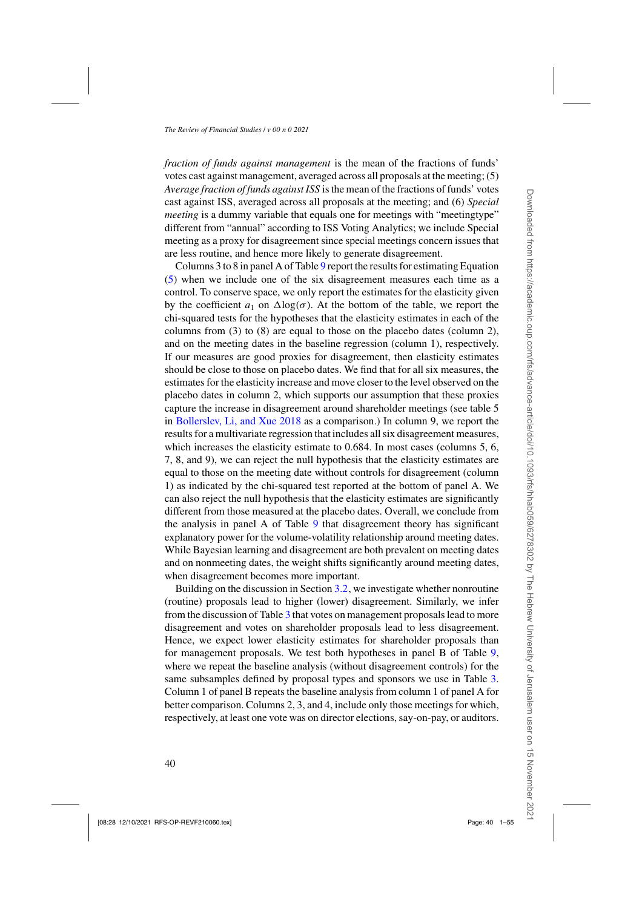*fraction of funds against management* is the mean of the fractions of funds' votes cast against management, averaged across all proposals at the meeting; (5) *Average fraction of funds against ISS* is the mean of the fractions of funds' votes cast against ISS, averaged across all proposals at the meeting; and (6) *Special meeting* is a dummy variable that equals one for meetings with "meetingtype" different from "annual" according to ISS Voting Analytics; we include Special meeting as a proxy for disagreement since special meetings concern issues that are less routine, and hence more likely to generate disagreement.

Columns 3 to 8 in panel A of Table [9](#page-37-0) report the results for estimating Equation [\(5\)](#page-35-0) when we include one of the six disagreement measures each time as a control. To conserve space, we only report the estimates for the elasticity given by the coefficient  $a_1$  on  $\Delta \log(\sigma)$ . At the bottom of the table, we report the chi-squared tests for the hypotheses that the elasticity estimates in each of the columns from (3) to (8) are equal to those on the placebo dates (column 2), and on the meeting dates in the baseline regression (column 1), respectively. If our measures are good proxies for disagreement, then elasticity estimates should be close to those on placebo dates. We find that for all six measures, the estimates for the elasticity increase and move closer to the level observed on the placebo dates in column 2, which supports our assumption that these proxies capture the increase in disagreement around shareholder meetings (see table 5 in [Bollerslev, Li, and Xue 2018](#page-50-0) as a comparison.) In column 9, we report the results for a multivariate regression that includes all six disagreement measures, which increases the elasticity estimate to 0.684. In most cases (columns 5, 6, 7, 8, and 9), we can reject the null hypothesis that the elasticity estimates are equal to those on the meeting date without controls for disagreement (column 1) as indicated by the chi-squared test reported at the bottom of panel A. We can also reject the null hypothesis that the elasticity estimates are significantly different from those measured at the placebo dates. Overall, we conclude from the analysis in panel A of Table [9](#page-37-0) that disagreement theory has significant explanatory power for the volume-volatility relationship around meeting dates. While Bayesian learning and disagreement are both prevalent on meeting dates and on nonmeeting dates, the weight shifts significantly around meeting dates, when disagreement becomes more important.

Building on the discussion in Section [3.2,](#page-21-0) we investigate whether nonroutine (routine) proposals lead to higher (lower) disagreement. Similarly, we infer from the discussion of Table [3](#page-23-0) that votes on management proposals lead to more disagreement and votes on shareholder proposals lead to less disagreement. Hence, we expect lower elasticity estimates for shareholder proposals than for management proposals. We test both hypotheses in panel B of Table [9,](#page-37-0) where we repeat the baseline analysis (without disagreement controls) for the same subsamples defined by proposal types and sponsors we use in Table [3.](#page-23-0) Column 1 of panel B repeats the baseline analysis from column 1 of panel A for better comparison. Columns 2, 3, and 4, include only those meetings for which, respectively, at least one vote was on director elections, say-on-pay, or auditors.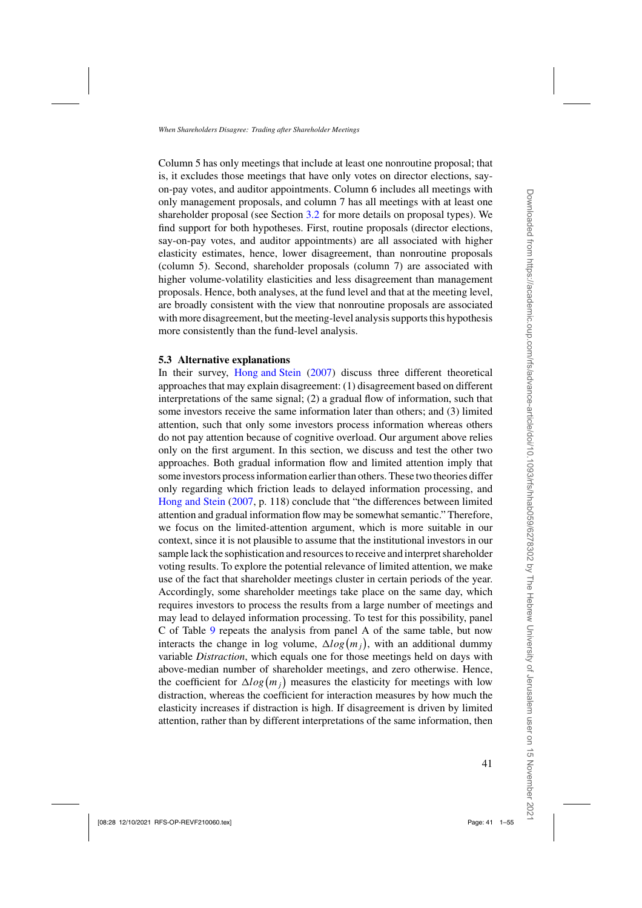<span id="page-40-0"></span>Column 5 has only meetings that include at least one nonroutine proposal; that is, it excludes those meetings that have only votes on director elections, sayon-pay votes, and auditor appointments. Column 6 includes all meetings with only management proposals, and column 7 has all meetings with at least one shareholder proposal (see Section [3.2](#page-21-0) for more details on proposal types). We find support for both hypotheses. First, routine proposals (director elections, say-on-pay votes, and auditor appointments) are all associated with higher elasticity estimates, hence, lower disagreement, than nonroutine proposals (column 5). Second, shareholder proposals (column 7) are associated with higher volume-volatility elasticities and less disagreement than management proposals. Hence, both analyses, at the fund level and that at the meeting level, are broadly consistent with the view that nonroutine proposals are associated with more disagreement, but the meeting-level analysis supports this hypothesis more consistently than the fund-level analysis.

#### **5.3 Alternative explanations**

In their survey, [Hong and Stein](#page-52-0) [\(2007](#page-52-0)) discuss three different theoretical approaches that may explain disagreement: (1) disagreement based on different interpretations of the same signal; (2) a gradual flow of information, such that some investors receive the same information later than others; and (3) limited attention, such that only some investors process information whereas others do not pay attention because of cognitive overload. Our argument above relies only on the first argument. In this section, we discuss and test the other two approaches. Both gradual information flow and limited attention imply that some investors process information earlier than others. These two theories differ only regarding which friction leads to delayed information processing, and [Hong and Stein](#page-52-0) [\(2007,](#page-52-0) p. 118) conclude that "the differences between limited attention and gradual information flow may be somewhat semantic." Therefore, we focus on the limited-attention argument, which is more suitable in our context, since it is not plausible to assume that the institutional investors in our sample lack the sophistication and resources to receive and interpret shareholder voting results. To explore the potential relevance of limited attention, we make use of the fact that shareholder meetings cluster in certain periods of the year. Accordingly, some shareholder meetings take place on the same day, which requires investors to process the results from a large number of meetings and may lead to delayed information processing. To test for this possibility, panel C of Table [9](#page-37-0) repeats the analysis from panel A of the same table, but now interacts the change in log volume,  $\Delta log(m_j)$ , with an additional dummy variable *Distraction*, which equals one for those meetings held on days with above-median number of shareholder meetings, and zero otherwise. Hence, the coefficient for  $\Delta log(m_j)$  measures the elasticity for meetings with low distraction, whereas the coefficient for interaction measures by how much the elasticity increases if distraction is high. If disagreement is driven by limited attention, rather than by different interpretations of the same information, then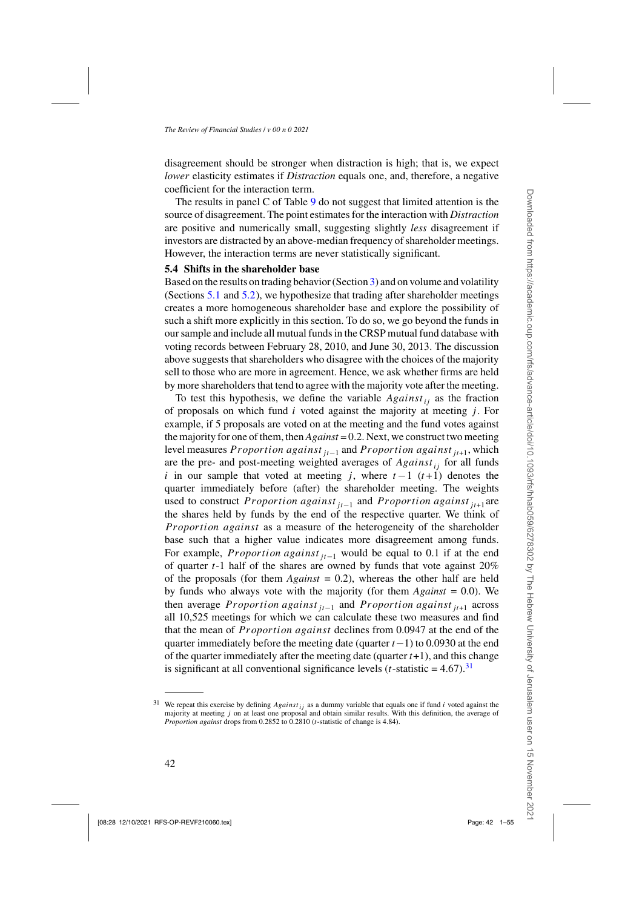disagreement should be stronger when distraction is high; that is, we expect *lower* elasticity estimates if *Distraction* equals one, and, therefore, a negative coefficient for the interaction term.

The results in panel C of Table  $9$  do not suggest that limited attention is the source of disagreement. The point estimates for the interaction with *Distraction* are positive and numerically small, suggesting slightly *less* disagreement if investors are distracted by an above-median frequency of shareholder meetings. However, the interaction terms are never statistically significant.

#### **5.4 Shifts in the shareholder base**

Based on the results on trading behavior (Section [3\)](#page-17-0) and on volume and volatility (Sections [5.1](#page-32-0) and [5.2\)](#page-35-0), we hypothesize that trading after shareholder meetings creates a more homogeneous shareholder base and explore the possibility of such a shift more explicitly in this section. To do so, we go beyond the funds in our sample and include all mutual funds in the CRSP mutual fund database with voting records between February 28, 2010, and June 30, 2013. The discussion above suggests that shareholders who disagree with the choices of the majority sell to those who are more in agreement. Hence, we ask whether firms are held by more shareholders that tend to agree with the majority vote after the meeting.

To test this hypothesis, we define the variable *Against ij* as the fraction of proposals on which fund *i* voted against the majority at meeting *j* . For example, if 5 proposals are voted on at the meeting and the fund votes against the majority for one of them, then *Against* = 0.2. Next, we construct two meeting level measures *P roport ion against jt*−<sup>1</sup> and *P roport ion against jt*+1, which are the pre- and post-meeting weighted averages of *Against<sub>ij</sub>* for all funds *i* in our sample that voted at meeting *j*, where  $t-1$  ( $t+1$ ) denotes the quarter immediately before (after) the shareholder meeting. The weights used to construct *Proportion against*  $_{it-1}$  and *Proportion against*  $_{it+1}$  are the shares held by funds by the end of the respective quarter. We think of *Proportion against* as a measure of the heterogeneity of the shareholder base such that a higher value indicates more disagreement among funds. For example, *Proportion against* <sub>*it*−1</sub> would be equal to 0.1 if at the end of quarter *t*-1 half of the shares are owned by funds that vote against 20% of the proposals (for them *Against* = 0.2), whereas the other half are held by funds who always vote with the majority (for them *Against* = 0.0). We then average *Proportion against*  $_{it-1}$  and *Proportion against*  $_{it+1}$  across all 10,525 meetings for which we can calculate these two measures and find that the mean of *P roport ion against* declines from 0.0947 at the end of the quarter immediately before the meeting date (quarter *t*−1) to 0.0930 at the end of the quarter immediately after the meeting date (quarter  $t+1$ ), and this change is significant at all conventional significance levels  $(t\text{-statistic} = 4.67)$ .<sup>31</sup>

<sup>&</sup>lt;sup>31</sup> We repeat this exercise by defining  $Against_{ij}$  as a dummy variable that equals one if fund *i* voted against the majority at meeting *j* on at least one proposal and obtain similar results. With this definition, the average of *Proportion against* drops from 0.2852 to 0.2810 (*t*-statistic of change is 4.84).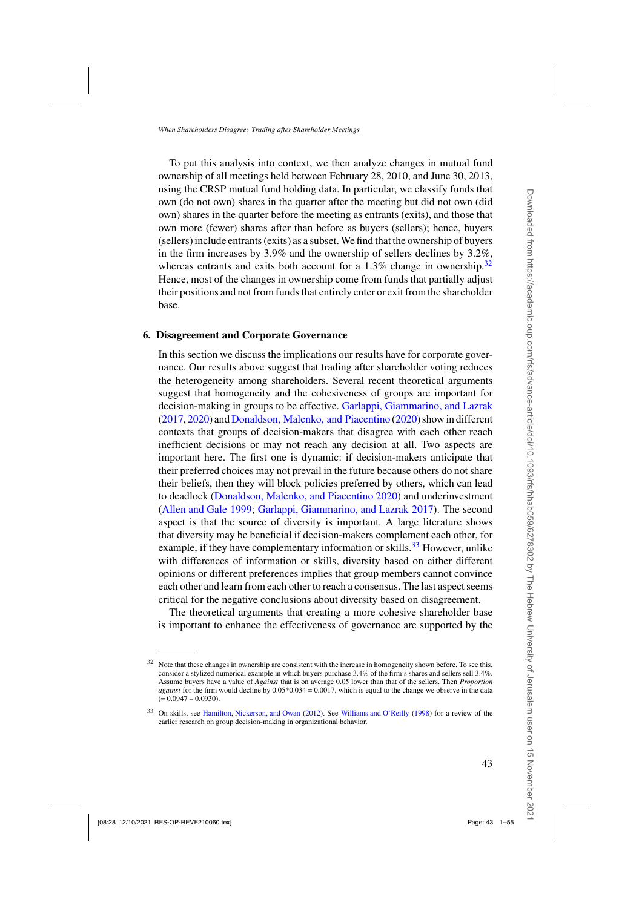To put this analysis into context, we then analyze changes in mutual fund ownership of all meetings held between February 28, 2010, and June 30, 2013, using the CRSP mutual fund holding data. In particular, we classify funds that own (do not own) shares in the quarter after the meeting but did not own (did own) shares in the quarter before the meeting as entrants (exits), and those that own more (fewer) shares after than before as buyers (sellers); hence, buyers (sellers) include entrants (exits) as a subset.We find that the ownership of buyers in the firm increases by 3.9% and the ownership of sellers declines by 3.2%, whereas entrants and exits both account for a 1.3% change in ownership.<sup>32</sup> Hence, most of the changes in ownership come from funds that partially adjust their positions and not from funds that entirely enter or exit from the shareholder base.

#### **6. Disagreement and Corporate Governance**

In this section we discuss the implications our results have for corporate governance. Our results above suggest that trading after shareholder voting reduces the heterogeneity among shareholders. Several recent theoretical arguments suggest that homogeneity and the cohesiveness of groups are important for decision-making in groups to be effective. [Garlappi, Giammarino, and Lazrak](#page-51-0)  $(2017, 2020)$  $(2017, 2020)$  $(2017, 2020)$  and [Donaldson, Malenko, and Piacentino](#page-51-0)  $(2020)$  $(2020)$  show in different contexts that groups of decision-makers that disagree with each other reach inefficient decisions or may not reach any decision at all. Two aspects are important here. The first one is dynamic: if decision-makers anticipate that their preferred choices may not prevail in the future because others do not share their beliefs, then they will block policies preferred by others, which can lead to deadlock [\(Donaldson, Malenko, and Piacentino 2020](#page-51-0)) and underinvestment [\(Allen and Gale 1999](#page-50-0); [Garlappi, Giammarino, and Lazrak 2017](#page-51-0)). The second aspect is that the source of diversity is important. A large literature shows that diversity may be beneficial if decision-makers complement each other, for example, if they have complementary information or skills.<sup>33</sup> However, unlike with differences of information or skills, diversity based on either different opinions or different preferences implies that group members cannot convince each other and learn from each other to reach a consensus. The last aspect seems critical for the negative conclusions about diversity based on disagreement.

The theoretical arguments that creating a more cohesive shareholder base is important to enhance the effectiveness of governance are supported by the

<sup>&</sup>lt;sup>32</sup> Note that these changes in ownership are consistent with the increase in homogeneity shown before. To see this, consider a stylized numerical example in which buyers purchase 3.4% of the firm's shares and sellers sell 3.4%. Assume buyers have a value of *Against* that is on average 0.05 lower than that of the sellers. Then *Proportion against* for the firm would decline by 0.05\*0.034 = 0.0017, which is equal to the change we observe in the data  $(= 0.0947 - 0.0930).$ 

<sup>33</sup> On skills, see [Hamilton, Nickerson, and Owan](#page-52-0) [\(2012\)](#page-52-0). See [Williams and O'Reilly](#page-54-0) [\(1998\)](#page-54-0) for a review of the earlier research on group decision-making in organizational behavior.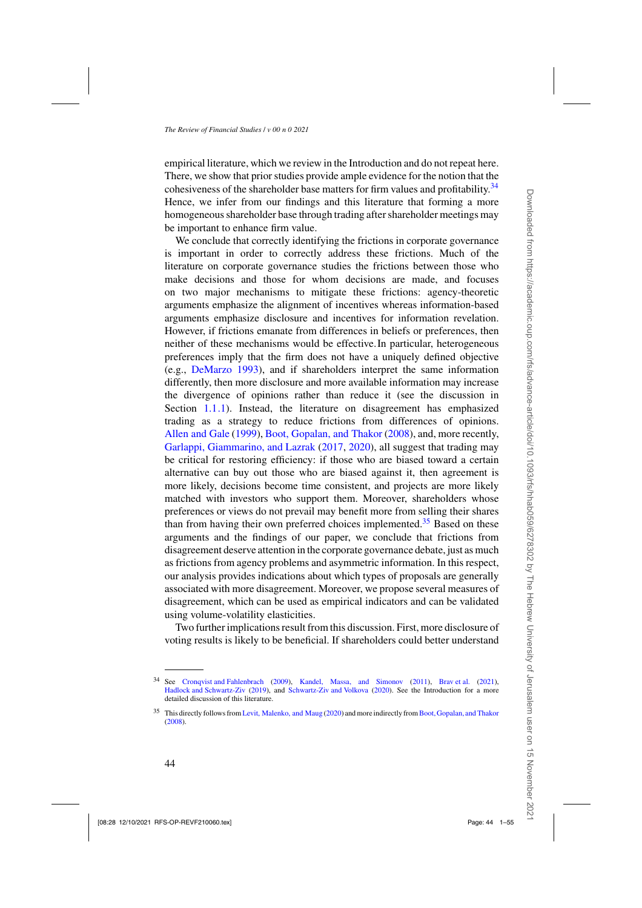empirical literature, which we review in the Introduction and do not repeat here. There, we show that prior studies provide ample evidence for the notion that the cohesiveness of the shareholder base matters for firm values and profitability.<sup>34</sup> Hence, we infer from our findings and this literature that forming a more homogeneous shareholder base through trading after shareholder meetings may be important to enhance firm value.

We conclude that correctly identifying the frictions in corporate governance is important in order to correctly address these frictions. Much of the literature on corporate governance studies the frictions between those who make decisions and those for whom decisions are made, and focuses on two major mechanisms to mitigate these frictions: agency-theoretic arguments emphasize the alignment of incentives whereas information-based arguments emphasize disclosure and incentives for information revelation. However, if frictions emanate from differences in beliefs or preferences, then neither of these mechanisms would be effective. In particular, heterogeneous preferences imply that the firm does not have a uniquely defined objective (e.g., [DeMarzo 1993](#page-51-0)), and if shareholders interpret the same information differently, then more disclosure and more available information may increase the divergence of opinions rather than reduce it (see the discussion in Section [1.1.1\)](#page-6-0). Instead, the literature on disagreement has emphasized trading as a strategy to reduce frictions from differences of opinions. [Allen and Gale](#page-50-0) [\(1999\)](#page-50-0), [Boot, Gopalan, and Thakor](#page-50-0) [\(2008](#page-50-0)), and, more recently, [Garlappi, Giammarino, and Lazrak](#page-51-0) [\(2017,](#page-51-0) [2020\)](#page-52-0), all suggest that trading may be critical for restoring efficiency: if those who are biased toward a certain alternative can buy out those who are biased against it, then agreement is more likely, decisions become time consistent, and projects are more likely matched with investors who support them. Moreover, shareholders whose preferences or views do not prevail may benefit more from selling their shares than from having their own preferred choices implemented.<sup>35</sup> Based on these arguments and the findings of our paper, we conclude that frictions from disagreement deserve attention in the corporate governance debate, just as much as frictions from agency problems and asymmetric information. In this respect, our analysis provides indications about which types of proposals are generally associated with more disagreement. Moreover, we propose several measures of disagreement, which can be used as empirical indicators and can be validated using volume-volatility elasticities.

Two further implications result from this discussion. First, more disclosure of voting results is likely to be beneficial. If shareholders could better understand

<sup>34</sup> See [Cronqvist and Fahlenbrach](#page-51-0) [\(2009\)](#page-51-0), [Kandel, Massa, and Simonov](#page-52-0) [\(2011](#page-52-0)), [Brav et al.](#page-50-0) [\(2021](#page-50-0)), [Hadlock and Schwartz-Ziv](#page-52-0) [\(2019\)](#page-52-0), and [Schwartz-Ziv and Volkova](#page-53-0) [\(2020\)](#page-53-0). See the Introduction for a more detailed discussion of this literature.

<sup>&</sup>lt;sup>35</sup> This directly follows from Levit, Malenko, and Maug [\(2020](#page-53-0)) and more indirectly from Boot, Gopalan, and Thakor [\(2008\)](#page-50-0).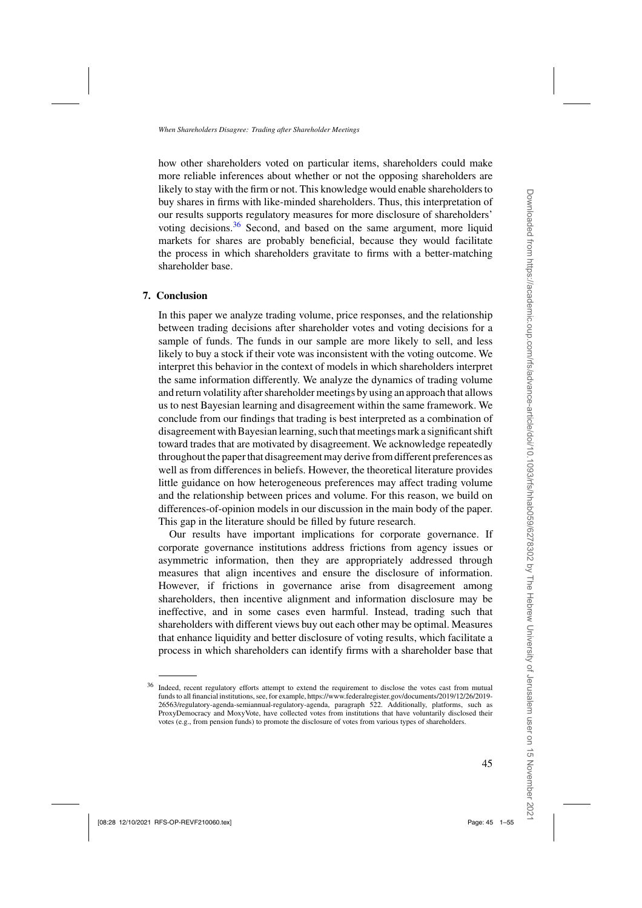how other shareholders voted on particular items, shareholders could make more reliable inferences about whether or not the opposing shareholders are likely to stay with the firm or not. This knowledge would enable shareholders to buy shares in firms with like-minded shareholders. Thus, this interpretation of our results supports regulatory measures for more disclosure of shareholders' voting decisions.<sup>36</sup> Second, and based on the same argument, more liquid markets for shares are probably beneficial, because they would facilitate the process in which shareholders gravitate to firms with a better-matching shareholder base.

#### **7. Conclusion**

In this paper we analyze trading volume, price responses, and the relationship between trading decisions after shareholder votes and voting decisions for a sample of funds. The funds in our sample are more likely to sell, and less likely to buy a stock if their vote was inconsistent with the voting outcome. We interpret this behavior in the context of models in which shareholders interpret the same information differently. We analyze the dynamics of trading volume and return volatility after shareholder meetings by using an approach that allows us to nest Bayesian learning and disagreement within the same framework. We conclude from our findings that trading is best interpreted as a combination of disagreement with Bayesian learning, such that meetings mark a significant shift toward trades that are motivated by disagreement. We acknowledge repeatedly throughout the paper that disagreement may derive from different preferences as well as from differences in beliefs. However, the theoretical literature provides little guidance on how heterogeneous preferences may affect trading volume and the relationship between prices and volume. For this reason, we build on differences-of-opinion models in our discussion in the main body of the paper. This gap in the literature should be filled by future research.

Our results have important implications for corporate governance. If corporate governance institutions address frictions from agency issues or asymmetric information, then they are appropriately addressed through measures that align incentives and ensure the disclosure of information. However, if frictions in governance arise from disagreement among shareholders, then incentive alignment and information disclosure may be ineffective, and in some cases even harmful. Instead, trading such that shareholders with different views buy out each other may be optimal. Measures that enhance liquidity and better disclosure of voting results, which facilitate a process in which shareholders can identify firms with a shareholder base that

<sup>36</sup> Indeed, recent regulatory efforts attempt to extend the requirement to disclose the votes cast from mutual funds to all financial institutions, see, for example, https://www.federalregister.gov/documents/2019/12/26/2019- 26563/regulatory-agenda-semiannual-regulatory-agenda, paragraph 522. Additionally, platforms, such as ProxyDemocracy and MoxyVote, have collected votes from institutions that have voluntarily disclosed their votes (e.g., from pension funds) to promote the disclosure of votes from various types of shareholders.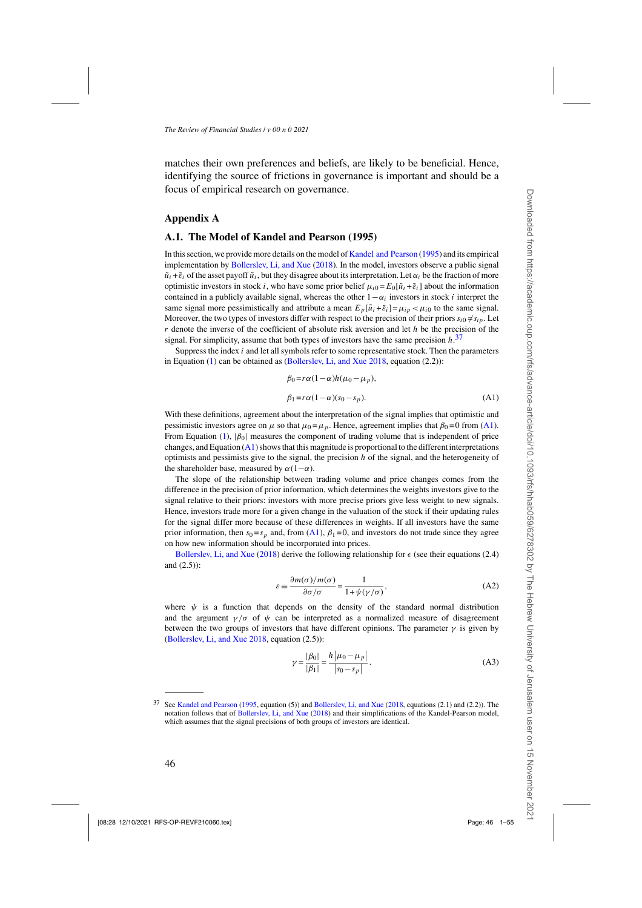<span id="page-45-0"></span>matches their own preferences and beliefs, are likely to be beneficial. Hence, identifying the source of frictions in governance is important and should be a focus of empirical research on governance.

#### **Appendix A**

#### **A.1. The Model of Kandel and Pearson (1995)**

In this section, we provide more details on the model of [Kandel and Pearson](#page-52-0) [\(1995\)](#page-52-0) and its empirical implementation by [Bollerslev, Li, and Xue](#page-50-0) [\(2018](#page-50-0)). In the model, investors observe a public signal  $\tilde{u}_i + \tilde{\varepsilon}_i$  of the asset payoff  $\tilde{u}_i$ , but they disagree about its interpretation. Let  $\alpha_i$  be the fraction of more optimistic investors in stock *i*, who have some prior belief  $\mu_{i0} = E_0[\tilde{u}_i + \tilde{\varepsilon}_i]$  about the information contained in a publicly available signal, whereas the other  $1-\alpha_i$  investors in stock *i* interpret the same signal more pessimistically and attribute a mean  $E_p[\tilde{u}_i + \tilde{\varepsilon}_i] = \mu_{ip} < \mu_{i0}$  to the same signal. Moreover, the two types of investors differ with respect to the precision of their priors  $s_{i0} \neq s_{ip}$ . Let *r* denote the inverse of the coefficient of absolute risk aversion and let *h* be the precision of the signal. For simplicity, assume that both types of investors have the same precision *h*. 37

Suppress the index *i* and let all symbols refer to some representative stock. Then the parameters in Equation [\(1\)](#page-10-0) can be obtained as [\(Bollerslev, Li, and Xue 2018,](#page-50-0) equation (2.2)):

$$
\beta_0 = r\alpha(1-\alpha)h(\mu_0 - \mu_p),
$$
  
\n
$$
\beta_1 = r\alpha(1-\alpha)(s_0 - s_p).
$$
 (A1)

With these definitions, agreement about the interpretation of the signal implies that optimistic and pessimistic investors agree on  $\mu$  so that  $\mu_0 = \mu_p$ . Hence, agreement implies that  $\beta_0 = 0$  from (A1). From Equation [\(1\)](#page-10-0), |*β*0| measures the component of trading volume that is independent of price changes, and Equation  $(A1)$  shows that this magnitude is proportional to the different interpretations optimists and pessimists give to the signal, the precision *h* of the signal, and the heterogeneity of the shareholder base, measured by  $\alpha(1-\alpha)$ .

The slope of the relationship between trading volume and price changes comes from the difference in the precision of prior information, which determines the weights investors give to the signal relative to their priors: investors with more precise priors give less weight to new signals. Hence, investors trade more for a given change in the valuation of the stock if their updating rules for the signal differ more because of these differences in weights. If all investors have the same prior information, then  $s_0 = s_p$  and, from (A1),  $\beta_1 = 0$ , and investors do not trade since they agree on how new information should be incorporated into prices.

[Bollerslev, Li, and Xue](#page-50-0) [\(2018](#page-50-0)) derive the following relationship for  $\epsilon$  (see their equations (2.4) and (2.5)):

$$
\varepsilon = \frac{\partial m(\sigma)/m(\sigma)}{\partial \sigma/\sigma} = \frac{1}{1 + \psi(\gamma/\sigma)},
$$
\n(A2)

where  $\psi$  is a function that depends on the density of the standard normal distribution and the argument  $\gamma/\sigma$  of  $\psi$  can be interpreted as a normalized measure of disagreement between the two groups of investors that have different opinions. The parameter  $\gamma$  is given by [\(Bollerslev, Li, and Xue 2018,](#page-50-0) equation (2.5)):

$$
\gamma = \frac{|\beta_0|}{|\beta_1|} = \frac{h |\mu_0 - \mu_p|}{|s_0 - s_p|}.
$$
 (A3)

<sup>37</sup> See [Kandel and Pearson](#page-52-0) [\(1995,](#page-52-0) equation (5)) and [Bollerslev, Li, and Xue](#page-50-0) [\(2018](#page-50-0), equations (2.1) and (2.2)). The notation follows that of [Bollerslev, Li, and Xue](#page-50-0) [\(2018\)](#page-50-0) and their simplifications of the Kandel-Pearson model, which assumes that the signal precisions of both groups of investors are identical.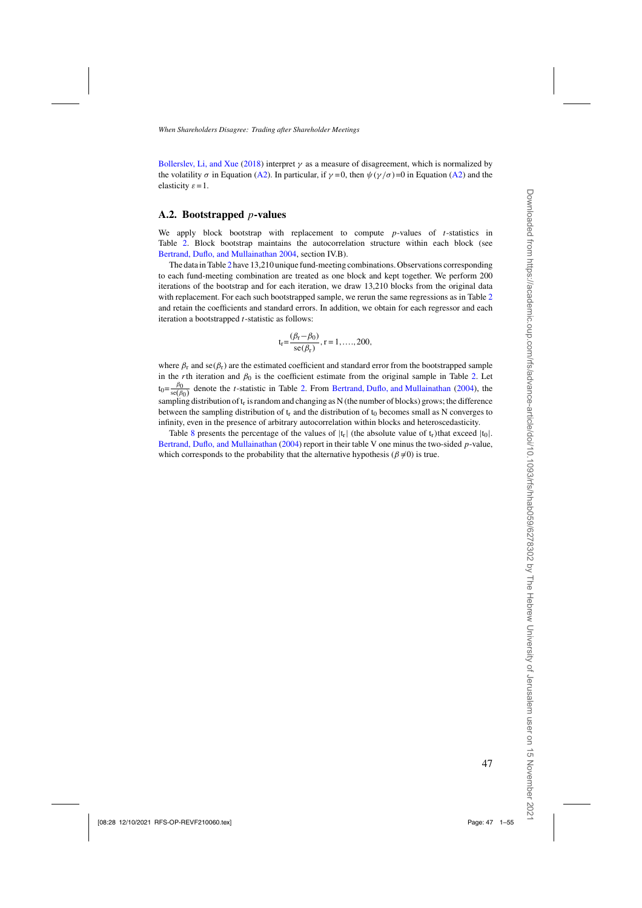[Bollerslev, Li, and Xue](#page-50-0) [\(2018\)](#page-50-0) interpret  $\gamma$  as a measure of disagreement, which is normalized by the volatility  $\sigma$  in Equation [\(A2\)](#page-45-0). In particular, if  $\gamma = 0$ , then  $\psi(\gamma/\sigma) = 0$  in Equation (A2) and the elasticity  $\varepsilon = 1$ .

### **A.2. Bootstrapped** *p***-values**

We apply block bootstrap with replacement to compute *p*-values of *t*-statistics in Table [2.](#page-20-0) Block bootstrap maintains the autocorrelation structure within each block (see [Bertrand, Duflo, and Mullainathan 2004,](#page-50-0) section IV.B).

The data in Table [2](#page-20-0) have 13,210 unique fund-meeting combinations. Observations corresponding to each fund-meeting combination are treated as one block and kept together. We perform 200 iterations of the bootstrap and for each iteration, we draw 13,210 blocks from the original data with replacement. For each such bootstrapped sample, we rerun the same regressions as in Table [2](#page-20-0) and retain the coefficients and standard errors. In addition, we obtain for each regressor and each iteration a bootstrapped *t*-statistic as follows:

$$
t_r = \frac{(\beta_r - \beta_0)}{se(\beta_r)}, r = 1, ..., 200,
$$

where  $\beta_r$  and se( $\beta_r$ ) are the estimated coefficient and standard error from the bootstrapped sample in the *r*th iteration and  $\beta_0$  is the coefficient estimate from the original sample in Table [2.](#page-20-0) Let  $t_0 = \frac{\beta_0}{se(\beta_0)}$  denote the *t*-statistic in Table [2.](#page-20-0) From [Bertrand, Duflo, and Mullainathan](#page-50-0) [\(2004](#page-50-0)), the sampling distribution of  $t_r$  is random and changing as N (the number of blocks) grows; the difference between the sampling distribution of  $t_r$  and the distribution of  $t_0$  becomes small as N converges to infinity, even in the presence of arbitrary autocorrelation within blocks and heteroscedasticity.

Table [8](#page-31-0) presents the percentage of the values of  $|t_r|$  (the absolute value of  $t_r$ )that exceed  $|t_0|$ . [Bertrand, Duflo, and Mullainathan](#page-50-0) [\(2004\)](#page-50-0) report in their table V one minus the two-sided *p*-value, which corresponds to the probability that the alternative hypothesis ( $\beta \neq 0$ ) is true.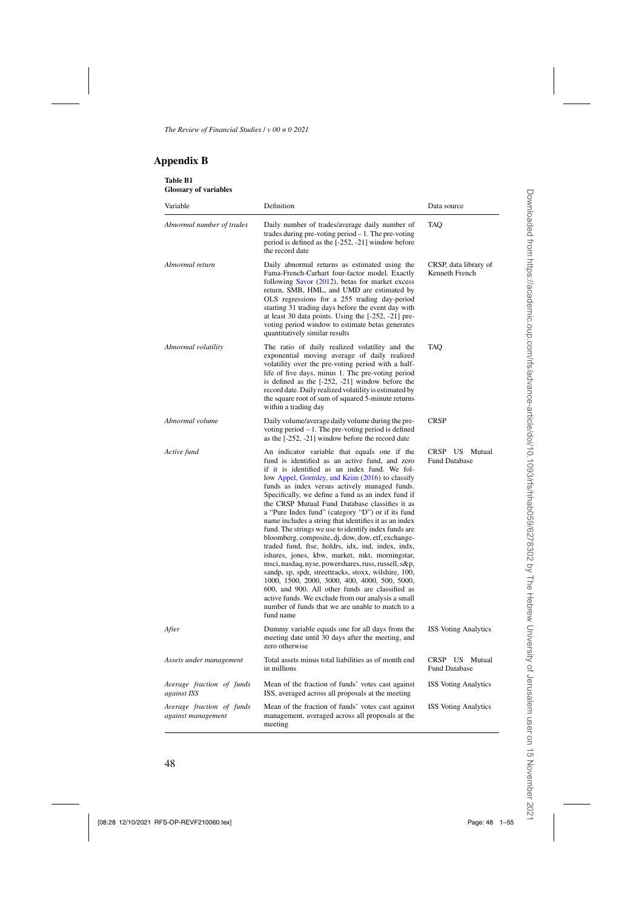## <span id="page-47-0"></span>**Appendix B**

| Table B1<br><b>Glossary of variables</b>        |                                                                                                                                                                                                                                                                                                                                                                                                                                                                                                                                                                                                                                                                                                                                                                                                                                                                                                                                                                                                                                           |                                           |
|-------------------------------------------------|-------------------------------------------------------------------------------------------------------------------------------------------------------------------------------------------------------------------------------------------------------------------------------------------------------------------------------------------------------------------------------------------------------------------------------------------------------------------------------------------------------------------------------------------------------------------------------------------------------------------------------------------------------------------------------------------------------------------------------------------------------------------------------------------------------------------------------------------------------------------------------------------------------------------------------------------------------------------------------------------------------------------------------------------|-------------------------------------------|
| Variable                                        | Definition                                                                                                                                                                                                                                                                                                                                                                                                                                                                                                                                                                                                                                                                                                                                                                                                                                                                                                                                                                                                                                | Data source                               |
| Abnormal number of trades                       | Daily number of trades/average daily number of<br>trades during pre-voting period $-1$ . The pre-voting<br>period is defined as the [-252, -21] window before<br>the record date                                                                                                                                                                                                                                                                                                                                                                                                                                                                                                                                                                                                                                                                                                                                                                                                                                                          | <b>TAQ</b>                                |
| Abnormal return                                 | Daily abnormal returns as estimated using the<br>Fama-French-Carhart four-factor model. Exactly<br>following Savor (2012), betas for market excess<br>return, SMB, HML, and UMD are estimated by<br>OLS regressions for a 255 trading day-period<br>starting 31 trading days before the event day with<br>at least 30 data points. Using the [-252, -21] pre-<br>voting period window to estimate betas generates<br>quantitatively similar results                                                                                                                                                                                                                                                                                                                                                                                                                                                                                                                                                                                       | CRSP, data library of<br>Kenneth French   |
| Abnormal volatility                             | The ratio of daily realized volatility and the<br>exponential moving average of daily realized<br>volatility over the pre-voting period with a half-<br>life of five days, minus 1. The pre-voting period<br>is defined as the [-252, -21] window before the<br>record date. Daily realized volatility is estimated by<br>the square root of sum of squared 5-minute returns<br>within a trading day                                                                                                                                                                                                                                                                                                                                                                                                                                                                                                                                                                                                                                      | <b>TAQ</b>                                |
| Abnormal volume                                 | Daily volume/average daily volume during the pre-<br>voting period $-1$ . The pre-voting period is defined<br>as the [-252, -21] window before the record date                                                                                                                                                                                                                                                                                                                                                                                                                                                                                                                                                                                                                                                                                                                                                                                                                                                                            | <b>CRSP</b>                               |
| Active fund                                     | An indicator variable that equals one if the<br>fund is identified as an active fund, and zero<br>if it is identified as an index fund. We fol-<br>low Appel, Gormley, and Keim (2016) to classify<br>funds as index versus actively managed funds.<br>Specifically, we define a fund as an index fund if<br>the CRSP Mutual Fund Database classifies it as<br>a "Pure Index fund" (category "D") or if its fund<br>name includes a string that identifies it as an index<br>fund. The strings we use to identify index funds are<br>bloomberg, composite, dj, dow, dow, etf, exchange-<br>traded fund, ftse, holdrs, idx, ind, index, indx,<br>ishares, jones, kbw, market, mkt, morningstar,<br>msci, nasdaq, nyse, powershares, russ, russell, s&p,<br>sandp, sp, spdr, streettracks, stoxx, wilshire, 100,<br>1000, 1500, 2000, 3000, 400, 4000, 500, 5000,<br>600, and 900. All other funds are classified as<br>active funds. We exclude from our analysis a small<br>number of funds that we are unable to match to a<br>fund name | CRSP US Mutual<br><b>Fund Database</b>    |
| After                                           | Dummy variable equals one for all days from the<br>meeting date until 30 days after the meeting, and<br>zero otherwise                                                                                                                                                                                                                                                                                                                                                                                                                                                                                                                                                                                                                                                                                                                                                                                                                                                                                                                    | <b>ISS Voting Analytics</b>               |
| Assets under management                         | Total assets minus total liabilities as of month end<br>in millions                                                                                                                                                                                                                                                                                                                                                                                                                                                                                                                                                                                                                                                                                                                                                                                                                                                                                                                                                                       | CRSP US<br>Mutual<br><b>Fund Database</b> |
| Average fraction of funds<br>against ISS        | Mean of the fraction of funds' votes cast against<br>ISS, averaged across all proposals at the meeting                                                                                                                                                                                                                                                                                                                                                                                                                                                                                                                                                                                                                                                                                                                                                                                                                                                                                                                                    | <b>ISS Voting Analytics</b>               |
| Average fraction of funds<br>against management | Mean of the fraction of funds' votes cast against<br>management, averaged across all proposals at the<br>meeting                                                                                                                                                                                                                                                                                                                                                                                                                                                                                                                                                                                                                                                                                                                                                                                                                                                                                                                          | <b>ISS Voting Analytics</b>               |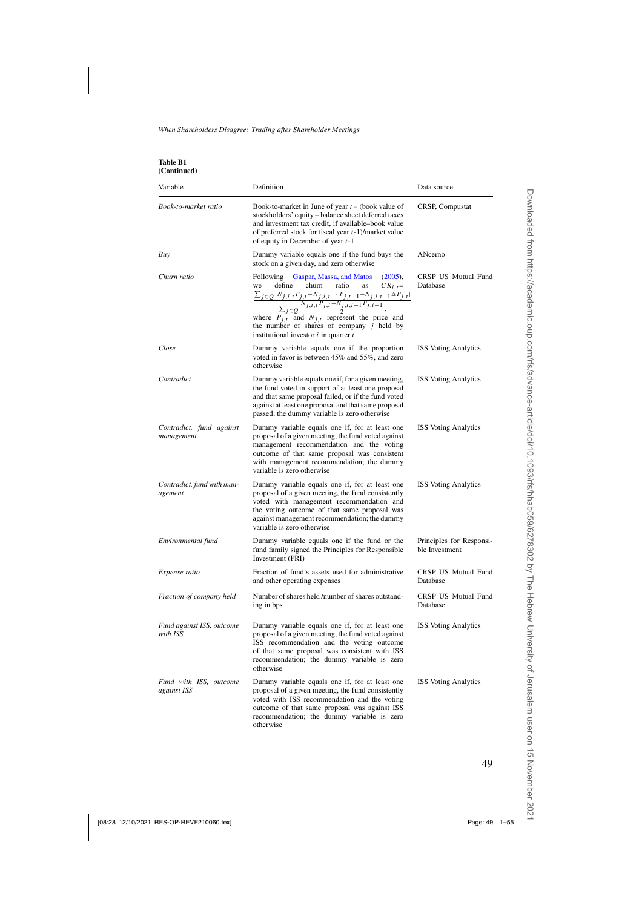| <b>Table B1</b> |
|-----------------|
| (Continued)     |

| Variable                               | Definition                                                                                                                                                                                                                                                                                                                                                                                                                  | Data source                                |
|----------------------------------------|-----------------------------------------------------------------------------------------------------------------------------------------------------------------------------------------------------------------------------------------------------------------------------------------------------------------------------------------------------------------------------------------------------------------------------|--------------------------------------------|
| Book-to-market ratio                   | Book-to-market in June of year $t =$ (book value of<br>stockholders' equity + balance sheet deferred taxes<br>and investment tax credit, if available-book value<br>of preferred stock for fiscal year $t-1$ )/market value<br>of equity in December of year $t-1$                                                                                                                                                          | CRSP, Compustat                            |
| Buy                                    | Dummy variable equals one if the fund buys the<br>stock on a given day, and zero otherwise                                                                                                                                                                                                                                                                                                                                  | ANcerno                                    |
| Churn ratio                            | Gaspar, Massa, and Matos<br>Following<br>(2005),<br>churn<br>we<br>define<br>ratio<br>as<br>$CR_{i,t} =$<br>$\frac{\sum_{j \in Q}  N_{j,i,t}P_{j,t}-N_{j,i,t-1}P_{j,t-1}-N_{j,i,t-1}\Delta P_{j,t} }{\sum_{j \in Q} \frac{N_{j,i,t}P_{j,t}-N_{j,i,t-1}P_{j,t-1}}{2}},$<br>where $P_{j,t}$ and $N_{j,t}$ represent the price and<br>the number of shares of company $j$ held by<br>institutional investor $i$ in quarter $t$ | CRSP US Mutual Fund<br>Database            |
| Close                                  | Dummy variable equals one if the proportion<br>voted in favor is between 45% and 55%, and zero<br>otherwise                                                                                                                                                                                                                                                                                                                 | <b>ISS Voting Analytics</b>                |
| Contradict                             | Dummy variable equals one if, for a given meeting,<br>the fund voted in support of at least one proposal<br>and that same proposal failed, or if the fund voted<br>against at least one proposal and that same proposal<br>passed; the dummy variable is zero otherwise                                                                                                                                                     | <b>ISS</b> Voting Analytics                |
| Contradict, fund against<br>management | Dummy variable equals one if, for at least one<br>proposal of a given meeting, the fund voted against<br>management recommendation and the voting<br>outcome of that same proposal was consistent<br>with management recommendation; the dummy<br>variable is zero otherwise                                                                                                                                                | <b>ISS Voting Analytics</b>                |
| Contradict, fund with man-<br>agement  | Dummy variable equals one if, for at least one<br>proposal of a given meeting, the fund consistently<br>voted with management recommendation and<br>the voting outcome of that same proposal was<br>against management recommendation; the dummy<br>variable is zero otherwise                                                                                                                                              | <b>ISS Voting Analytics</b>                |
| Environmental fund                     | Dummy variable equals one if the fund or the<br>fund family signed the Principles for Responsible<br>Investment (PRI)                                                                                                                                                                                                                                                                                                       | Principles for Responsi-<br>ble Investment |
| Expense ratio                          | Fraction of fund's assets used for administrative<br>and other operating expenses                                                                                                                                                                                                                                                                                                                                           | CRSP US Mutual Fund<br>Database            |
| Fraction of company held               | Number of shares held /number of shares outstand-<br>ing in bps                                                                                                                                                                                                                                                                                                                                                             | CRSP US Mutual Fund<br>Database            |
| Fund against ISS, outcome<br>with ISS  | Dummy variable equals one if, for at least one<br>proposal of a given meeting, the fund voted against<br>ISS recommendation and the voting outcome<br>of that same proposal was consistent with ISS<br>recommendation; the dummy variable is zero<br>otherwise                                                                                                                                                              | <b>ISS Voting Analytics</b>                |
| Fund with ISS, outcome<br>against ISS  | Dummy variable equals one if, for at least one<br>proposal of a given meeting, the fund consistently<br>voted with ISS recommendation and the voting<br>outcome of that same proposal was against ISS<br>recommendation; the dummy variable is zero<br>otherwise                                                                                                                                                            | <b>ISS Voting Analytics</b>                |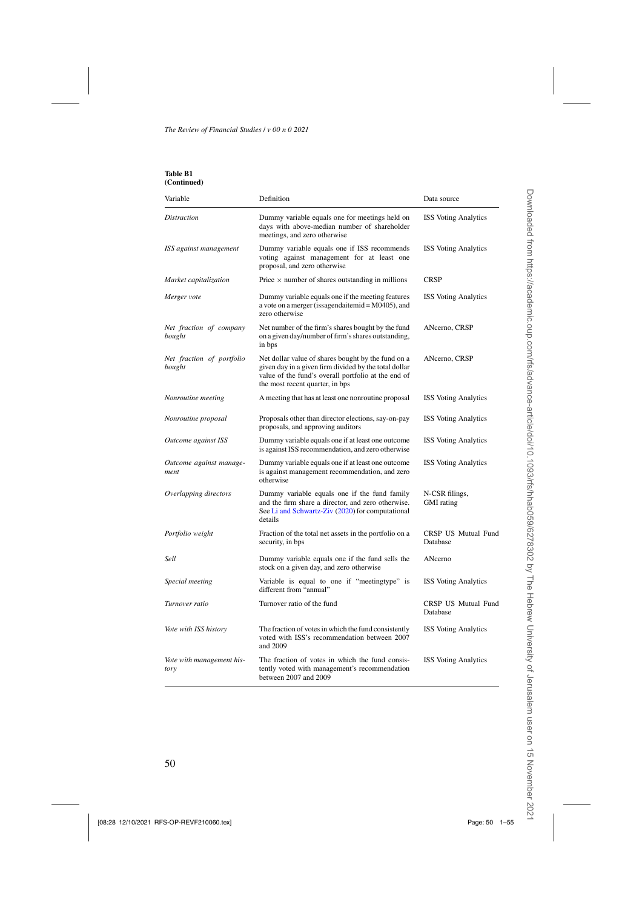| Table B1    |
|-------------|
| (Continued) |

| Variable                            | Definition                                                                                                                                                                                            | Data source                            |
|-------------------------------------|-------------------------------------------------------------------------------------------------------------------------------------------------------------------------------------------------------|----------------------------------------|
| <i>Distraction</i>                  | Dummy variable equals one for meetings held on<br>days with above-median number of shareholder<br>meetings, and zero otherwise                                                                        | <b>ISS Voting Analytics</b>            |
| ISS against management              | Dummy variable equals one if ISS recommends<br>voting against management for at least one<br>proposal, and zero otherwise                                                                             | <b>ISS Voting Analytics</b>            |
| Market capitalization               | Price $\times$ number of shares outstanding in millions                                                                                                                                               | <b>CRSP</b>                            |
| Merger vote                         | Dummy variable equals one if the meeting features<br>a vote on a merger (issagendaitemid = $M0405$ ), and<br>zero otherwise                                                                           | <b>ISS Voting Analytics</b>            |
| Net fraction of company<br>bought   | Net number of the firm's shares bought by the fund<br>on a given day/number of firm's shares outstanding,<br>in bps                                                                                   | ANcerno, CRSP                          |
| Net fraction of portfolio<br>bought | Net dollar value of shares bought by the fund on a<br>given day in a given firm divided by the total dollar<br>value of the fund's overall portfolio at the end of<br>the most recent quarter, in bps | ANcerno, CRSP                          |
| Nonroutine meeting                  | A meeting that has at least one nonroutine proposal                                                                                                                                                   | <b>ISS Voting Analytics</b>            |
| Nonroutine proposal                 | Proposals other than director elections, say-on-pay<br>proposals, and approving auditors                                                                                                              | <b>ISS Voting Analytics</b>            |
| Outcome against ISS                 | Dummy variable equals one if at least one outcome<br>is against ISS recommendation, and zero otherwise                                                                                                | <b>ISS Voting Analytics</b>            |
| Outcome against manage-<br>ment     | Dummy variable equals one if at least one outcome<br>is against management recommendation, and zero<br>otherwise                                                                                      | <b>ISS Voting Analytics</b>            |
| Overlapping directors               | Dummy variable equals one if the fund family<br>and the firm share a director, and zero otherwise.<br>See Li and Schwartz-Ziv (2020) for computational<br>details                                     | N-CSR filings,<br><b>GMI</b> rating    |
| Portfolio weight                    | Fraction of the total net assets in the portfolio on a<br>security, in bps                                                                                                                            | <b>CRSP US Mutual Fund</b><br>Database |
| Sell                                | Dummy variable equals one if the fund sells the<br>stock on a given day, and zero otherwise                                                                                                           | ANcerno                                |
| Special meeting                     | Variable is equal to one if "meetingtype" is<br>different from "annual"                                                                                                                               | <b>ISS Voting Analytics</b>            |
| Turnover ratio                      | Turnover ratio of the fund                                                                                                                                                                            | <b>CRSP US Mutual Fund</b><br>Database |
| Vote with ISS history               | The fraction of votes in which the fund consistently<br>voted with ISS's recommendation between 2007<br>and 2009                                                                                      | <b>ISS Voting Analytics</b>            |
| Vote with management his-<br>tory   | The fraction of votes in which the fund consis-<br>tently voted with management's recommendation<br>between 2007 and 2009                                                                             | <b>ISS</b> Voting Analytics            |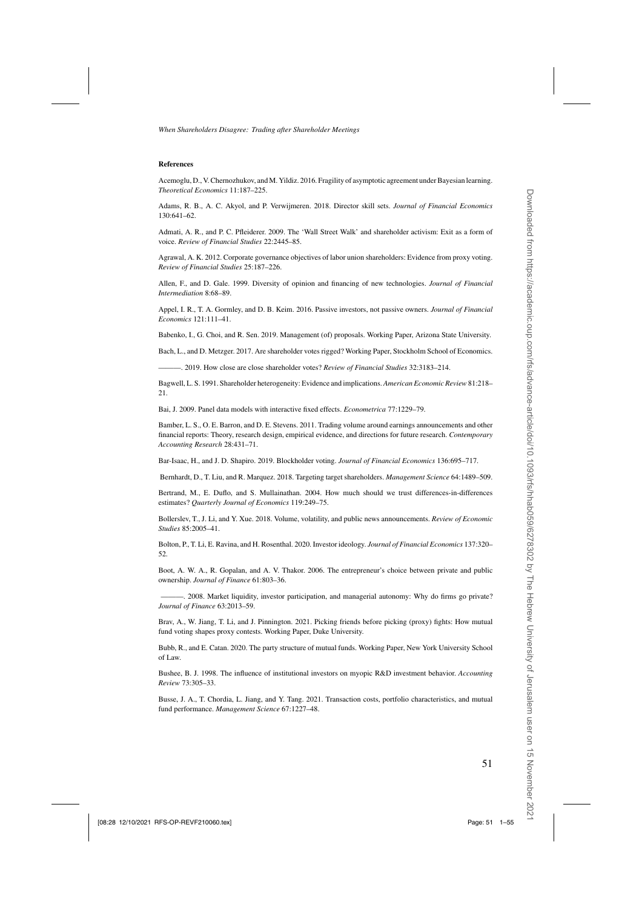#### <span id="page-50-0"></span>**References**

Acemoglu, D., V. Chernozhukov, and M. Yildiz. 2016. Fragility of asymptotic agreement under Bayesian learning. *Theoretical Economics* 11:187–225.

Adams, R. B., A. C. Akyol, and P. Verwijmeren. 2018. Director skill sets. *Journal of Financial Economics* 130:641–62.

Admati, A. R., and P. C. Pfleiderer. 2009. The 'Wall Street Walk' and shareholder activism: Exit as a form of voice. *Review of Financial Studies* 22:2445–85.

Agrawal, A. K. 2012. Corporate governance objectives of labor union shareholders: Evidence from proxy voting. *Review of Financial Studies* 25:187–226.

Allen, F., and D. Gale. 1999. Diversity of opinion and financing of new technologies. *Journal of Financial Intermediation* 8:68–89.

Appel, I. R., T. A. Gormley, and D. B. Keim. 2016. Passive investors, not passive owners. *Journal of Financial Economics* 121:111–41.

Babenko, I., G. Choi, and R. Sen. 2019. Management (of) proposals. Working Paper, Arizona State University.

Bach, L., and D. Metzger. 2017. Are shareholder votes rigged? Working Paper, Stockholm School of Economics.

———. 2019. How close are close shareholder votes? *Review of Financial Studies* 32:3183–214.

Bagwell, L. S. 1991. Shareholder heterogeneity: Evidence and implications. *American Economic Review* 81:218– 21.

Bai, J. 2009. Panel data models with interactive fixed effects. *Econometrica* 77:1229–79.

Bamber, L. S., O. E. Barron, and D. E. Stevens. 2011. Trading volume around earnings announcements and other financial reports: Theory, research design, empirical evidence, and directions for future research. *Contemporary Accounting Research* 28:431–71.

Bar-Isaac, H., and J. D. Shapiro. 2019. Blockholder voting. *Journal of Financial Economics* 136:695–717.

Bernhardt, D., T. Liu, and R. Marquez. 2018. Targeting target shareholders. *Management Science* 64:1489–509.

Bertrand, M., E. Duflo, and S. Mullainathan. 2004. How much should we trust differences-in-differences estimates? *Quarterly Journal of Economics* 119:249–75.

Bollerslev, T., J. Li, and Y. Xue. 2018. Volume, volatility, and public news announcements. *Review of Economic Studies* 85:2005–41.

Bolton, P., T. Li, E. Ravina, and H. Rosenthal. 2020. Investor ideology. *Journal of Financial Economics* 137:320– 52.

Boot, A. W. A., R. Gopalan, and A. V. Thakor. 2006. The entrepreneur's choice between private and public ownership. *Journal of Finance* 61:803–36.

———. 2008. Market liquidity, investor participation, and managerial autonomy: Why do firms go private? *Journal of Finance* 63:2013–59.

Brav, A., W. Jiang, T. Li, and J. Pinnington. 2021. Picking friends before picking (proxy) fights: How mutual fund voting shapes proxy contests. Working Paper, Duke University.

Bubb, R., and E. Catan. 2020. The party structure of mutual funds. Working Paper, New York University School of Law.

Bushee, B. J. 1998. The influence of institutional investors on myopic R&D investment behavior. *Accounting Review* 73:305–33.

Busse, J. A., T. Chordia, L. Jiang, and Y. Tang. 2021. Transaction costs, portfolio characteristics, and mutual fund performance. *Management Science* 67:1227–48.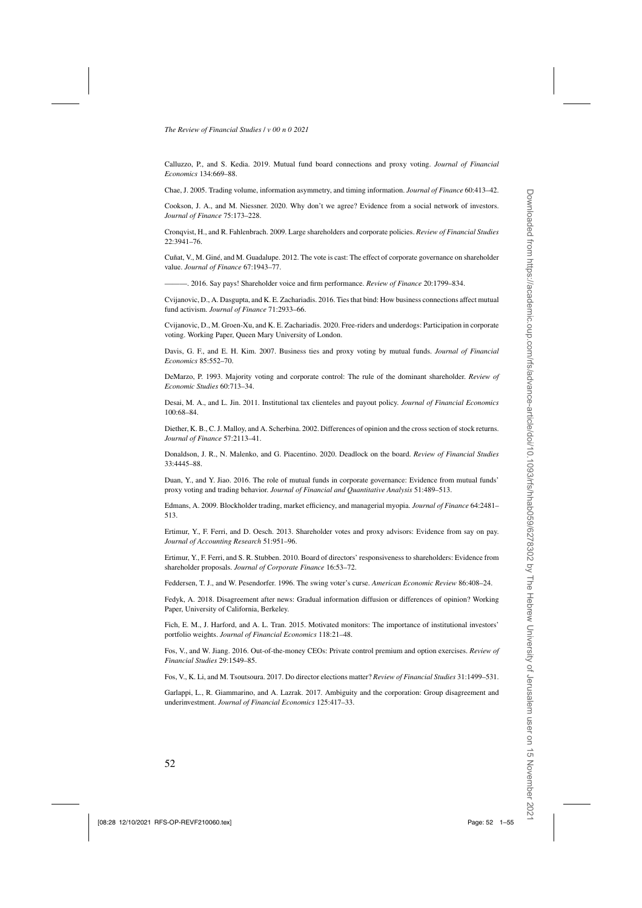<span id="page-51-0"></span>Calluzzo, P., and S. Kedia. 2019. Mutual fund board connections and proxy voting. *Journal of Financial Economics* 134:669–88.

Chae, J. 2005. Trading volume, information asymmetry, and timing information. *Journal of Finance* 60:413–42.

Cookson, J. A., and M. Niessner. 2020. Why don't we agree? Evidence from a social network of investors. *Journal of Finance* 75:173–228.

Cronqvist, H., and R. Fahlenbrach. 2009. Large shareholders and corporate policies. *Review of Financial Studies* 22:3941–76.

Cuñat, V., M. Giné, and M. Guadalupe. 2012. The vote is cast: The effect of corporate governance on shareholder value. *Journal of Finance* 67:1943–77.

———. 2016. Say pays! Shareholder voice and firm performance. *Review of Finance* 20:1799–834.

Cvijanovic, D., A. Dasgupta, and K. E. Zachariadis. 2016. Ties that bind: How business connections affect mutual fund activism. *Journal of Finance* 71:2933–66.

Cvijanovic, D., M. Groen-Xu, and K. E. Zachariadis. 2020. Free-riders and underdogs: Participation in corporate voting. Working Paper, Queen Mary University of London.

Davis, G. F., and E. H. Kim. 2007. Business ties and proxy voting by mutual funds. *Journal of Financial Economics* 85:552–70.

DeMarzo, P. 1993. Majority voting and corporate control: The rule of the dominant shareholder. *Review of Economic Studies* 60:713–34.

Desai, M. A., and L. Jin. 2011. Institutional tax clienteles and payout policy. *Journal of Financial Economics* 100:68–84.

Diether, K. B., C. J. Malloy, and A. Scherbina. 2002. Differences of opinion and the cross section of stock returns. *Journal of Finance* 57:2113–41.

Donaldson, J. R., N. Malenko, and G. Piacentino. 2020. Deadlock on the board. *Review of Financial Studies* 33:4445–88.

Duan, Y., and Y. Jiao. 2016. The role of mutual funds in corporate governance: Evidence from mutual funds' proxy voting and trading behavior. *Journal of Financial and Quantitative Analysis* 51:489–513.

Edmans, A. 2009. Blockholder trading, market efficiency, and managerial myopia. *Journal of Finance* 64:2481– 513.

Ertimur, Y., F. Ferri, and D. Oesch. 2013. Shareholder votes and proxy advisors: Evidence from say on pay. *Journal of Accounting Research* 51:951–96.

Ertimur, Y., F. Ferri, and S. R. Stubben. 2010. Board of directors' responsiveness to shareholders: Evidence from shareholder proposals. *Journal of Corporate Finance* 16:53–72.

Feddersen, T. J., and W. Pesendorfer. 1996. The swing voter's curse. *American Economic Review* 86:408–24.

Fedyk, A. 2018. Disagreement after news: Gradual information diffusion or differences of opinion? Working Paper, University of California, Berkeley.

Fich, E. M., J. Harford, and A. L. Tran. 2015. Motivated monitors: The importance of institutional investors' portfolio weights. *Journal of Financial Economics* 118:21–48.

Fos, V., and W. Jiang. 2016. Out-of-the-money CEOs: Private control premium and option exercises. *Review of Financial Studies* 29:1549–85.

Fos, V., K. Li, and M. Tsoutsoura. 2017. Do director elections matter? *Review of Financial Studies* 31:1499–531.

Garlappi, L., R. Giammarino, and A. Lazrak. 2017. Ambiguity and the corporation: Group disagreement and underinvestment. *Journal of Financial Economics* 125:417–33.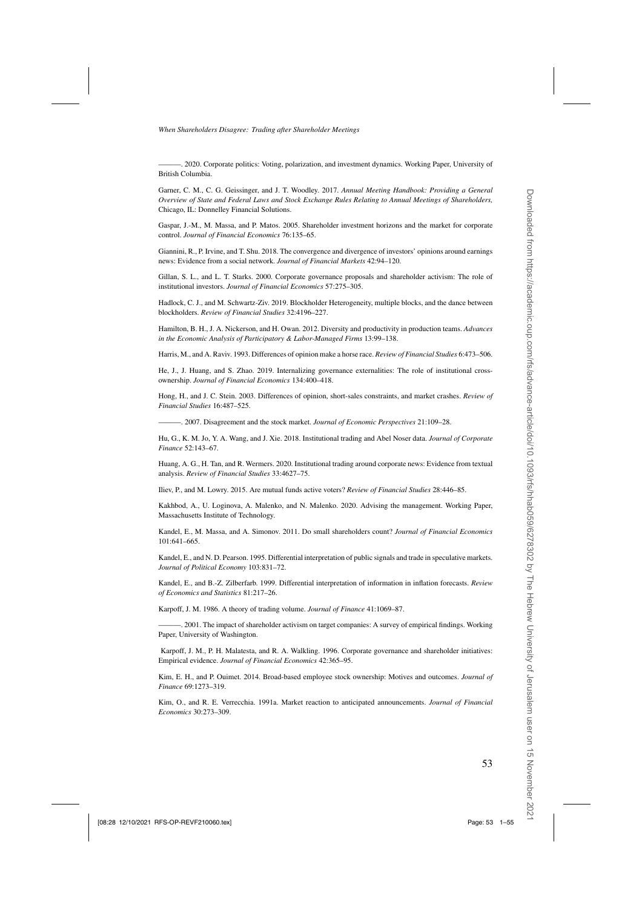<span id="page-52-0"></span>———. 2020. Corporate politics: Voting, polarization, and investment dynamics. Working Paper, University of British Columbia.

Garner, C. M., C. G. Geissinger, and J. T. Woodley. 2017. *Annual Meeting Handbook: Providing a General Overview of State and Federal Laws and Stock Exchange Rules Relating to Annual Meetings of Shareholders,* Chicago, IL: Donnelley Financial Solutions.

Gaspar, J.-M., M. Massa, and P. Matos. 2005. Shareholder investment horizons and the market for corporate control. *Journal of Financial Economics* 76:135–65.

Giannini, R., P. Irvine, and T. Shu. 2018. The convergence and divergence of investors' opinions around earnings news: Evidence from a social network. *Journal of Financial Markets* 42:94–120.

Gillan, S. L., and L. T. Starks. 2000. Corporate governance proposals and shareholder activism: The role of institutional investors. *Journal of Financial Economics* 57:275–305.

Hadlock, C. J., and M. Schwartz-Ziv. 2019. Blockholder Heterogeneity, multiple blocks, and the dance between blockholders. *Review of Financial Studies* 32:4196–227.

Hamilton, B. H., J. A. Nickerson, and H. Owan. 2012. Diversity and productivity in production teams. *Advances in the Economic Analysis of Participatory & Labor-Managed Firms* 13:99–138.

Harris, M., and A. Raviv. 1993. Differences of opinion make a horse race. *Review of Financial Studies* 6:473–506.

He, J., J. Huang, and S. Zhao. 2019. Internalizing governance externalities: The role of institutional crossownership. *Journal of Financial Economics* 134:400–418.

Hong, H., and J. C. Stein. 2003. Differences of opinion, short-sales constraints, and market crashes. *Review of Financial Studies* 16:487–525.

———. 2007. Disagreement and the stock market. *Journal of Economic Perspectives* 21:109–28.

Hu, G., K. M. Jo, Y. A. Wang, and J. Xie. 2018. Institutional trading and Abel Noser data. *Journal of Corporate Finance* 52:143–67.

Huang, A. G., H. Tan, and R. Wermers. 2020. Institutional trading around corporate news: Evidence from textual analysis. *Review of Financial Studies* 33:4627–75.

Iliev, P., and M. Lowry. 2015. Are mutual funds active voters? *Review of Financial Studies* 28:446–85.

Kakhbod, A., U. Loginova, A. Malenko, and N. Malenko. 2020. Advising the management. Working Paper, Massachusetts Institute of Technology.

Kandel, E., M. Massa, and A. Simonov. 2011. Do small shareholders count? *Journal of Financial Economics* 101:641–665.

Kandel, E., and N. D. Pearson. 1995. Differential interpretation of public signals and trade in speculative markets. *Journal of Political Economy* 103:831–72.

Kandel, E., and B.-Z. Zilberfarb. 1999. Differential interpretation of information in inflation forecasts. *Review of Economics and Statistics* 81:217–26.

Karpoff, J. M. 1986. A theory of trading volume. *Journal of Finance* 41:1069–87.

———. 2001. The impact of shareholder activism on target companies: A survey of empirical findings. Working Paper, University of Washington.

Karpoff, J. M., P. H. Malatesta, and R. A. Walkling. 1996. Corporate governance and shareholder initiatives: Empirical evidence. *Journal of Financial Economics* 42:365–95.

Kim, E. H., and P. Ouimet. 2014. Broad-based employee stock ownership: Motives and outcomes. *Journal of Finance* 69:1273–319.

Kim, O., and R. E. Verrecchia. 1991a. Market reaction to anticipated announcements. *Journal of Financial Economics* 30:273–309.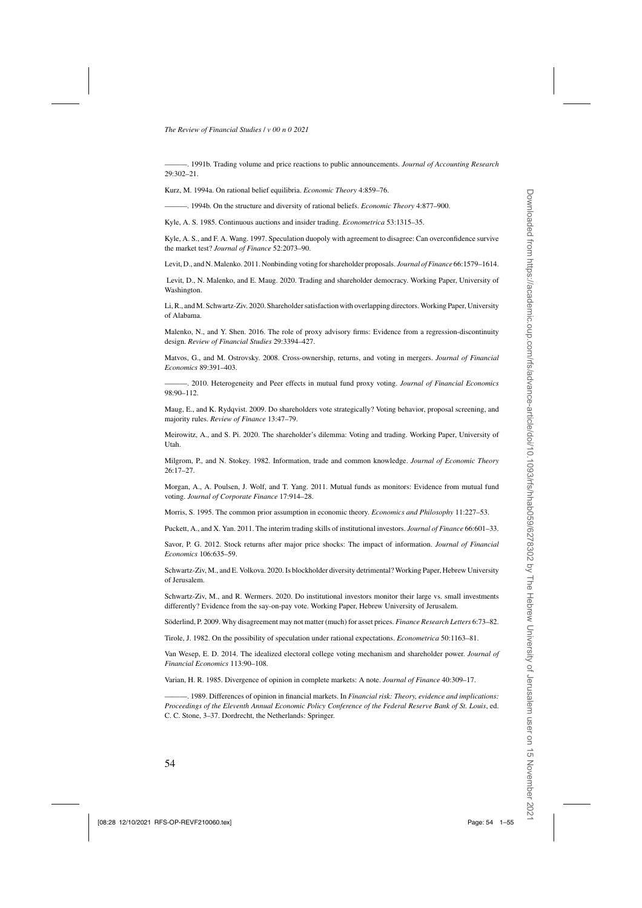<span id="page-53-0"></span>———. 1991b. Trading volume and price reactions to public announcements. *Journal of Accounting Research* 29:302–21.

Kurz, M. 1994a. On rational belief equilibria. *Economic Theory* 4:859–76.

———. 1994b. On the structure and diversity of rational beliefs. *Economic Theory* 4:877–900.

Kyle, A. S. 1985. Continuous auctions and insider trading. *Econometrica* 53:1315–35.

Kyle, A. S., and F. A. Wang. 1997. Speculation duopoly with agreement to disagree: Can overconfidence survive the market test? *Journal of Finance* 52:2073–90.

Levit, D., and N.Malenko. 2011. Nonbinding voting for shareholder proposals. *Journal of Finance* 66:1579–1614.

Levit, D., N. Malenko, and E. Maug. 2020. Trading and shareholder democracy. Working Paper, University of Washington.

Li, R., andM. Schwartz-Ziv. 2020. Shareholder satisfaction with overlapping directors.Working Paper, University of Alabama.

Malenko, N., and Y. Shen. 2016. The role of proxy advisory firms: Evidence from a regression-discontinuity design. *Review of Financial Studies* 29:3394–427.

Matvos, G., and M. Ostrovsky. 2008. Cross-ownership, returns, and voting in mergers. *Journal of Financial Economics* 89:391–403.

———. 2010. Heterogeneity and Peer effects in mutual fund proxy voting. *Journal of Financial Economics*  $98.90 - 112$ .

Maug, E., and K. Rydqvist. 2009. Do shareholders vote strategically? Voting behavior, proposal screening, and majority rules. *Review of Finance* 13:47–79.

Meirowitz, A., and S. Pi. 2020. The shareholder's dilemma: Voting and trading. Working Paper, University of Utah.

Milgrom, P., and N. Stokey. 1982. Information, trade and common knowledge. *Journal of Economic Theory* 26:17–27.

Morgan, A., A. Poulsen, J. Wolf, and T. Yang. 2011. Mutual funds as monitors: Evidence from mutual fund voting. *Journal of Corporate Finance* 17:914–28.

Morris, S. 1995. The common prior assumption in economic theory. *Economics and Philosophy* 11:227–53.

Puckett, A., and X. Yan. 2011. The interim trading skills of institutional investors. *Journal of Finance* 66:601–33.

Savor, P. G. 2012. Stock returns after major price shocks: The impact of information. *Journal of Financial Economics* 106:635–59.

Schwartz-Ziv, M., and E. Volkova. 2020. Is blockholder diversity detrimental? Working Paper, Hebrew University of Jerusalem.

Schwartz-Ziv, M., and R. Wermers. 2020. Do institutional investors monitor their large vs. small investments differently? Evidence from the say-on-pay vote. Working Paper, Hebrew University of Jerusalem.

Söderlind, P. 2009. Why disagreement may not matter (much) for asset prices. *Finance Research Letters* 6:73–82.

Tirole, J. 1982. On the possibility of speculation under rational expectations. *Econometrica* 50:1163–81.

Van Wesep, E. D. 2014. The idealized electoral college voting mechanism and shareholder power. *Journal of Financial Economics* 113:90–108.

Varian, H. R. 1985. Divergence of opinion in complete markets: A note. *Journal of Finance* 40:309–17.

———. 1989. Differences of opinion in financial markets. In *Financial risk: Theory, evidence and implications: Proceedings of the Eleventh Annual Economic Policy Conference of the Federal Reserve Bank of St. Louis*, ed. C. C. Stone, 3–37. Dordrecht, the Netherlands: Springer.